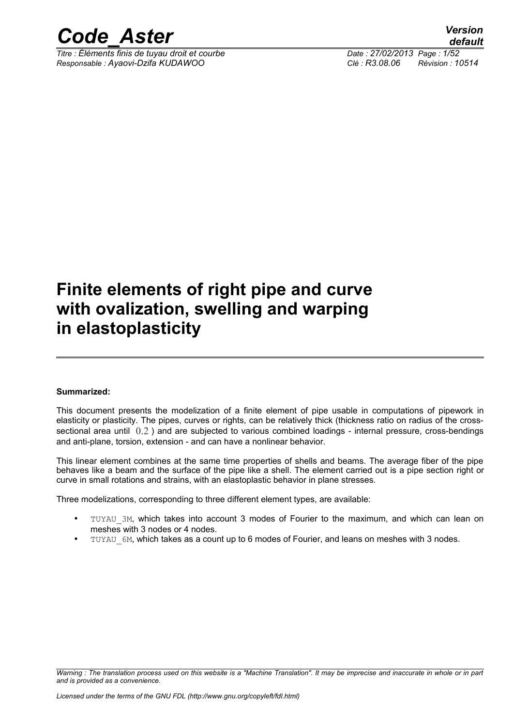

*Titre : Éléments finis de tuyau droit et courbe Date : 27/02/2013 Page : 1/52 Responsable : Ayaovi-Dzifa KUDAWOO Clé : R3.08.06 Révision : 10514*

### **Finite elements of right pipe and curve with ovalization, swelling and warping in elastoplasticity**

#### **Summarized:**

This document presents the modelization of a finite element of pipe usable in computations of pipework in elasticity or plasticity. The pipes, curves or rights, can be relatively thick (thickness ratio on radius of the crosssectional area until  $(0.2)$  and are subjected to various combined loadings - internal pressure, cross-bendings and anti-plane, torsion, extension - and can have a nonlinear behavior.

This linear element combines at the same time properties of shells and beams. The average fiber of the pipe behaves like a beam and the surface of the pipe like a shell. The element carried out is a pipe section right or curve in small rotations and strains, with an elastoplastic behavior in plane stresses.

Three modelizations, corresponding to three different element types, are available:

- TUYAU 3M, which takes into account 3 modes of Fourier to the maximum, and which can lean on meshes with 3 nodes or 4 nodes.
- TUYAU 6M, which takes as a count up to 6 modes of Fourier, and leans on meshes with 3 nodes.

*Warning : The translation process used on this website is a "Machine Translation". It may be imprecise and inaccurate in whole or in part and is provided as a convenience.*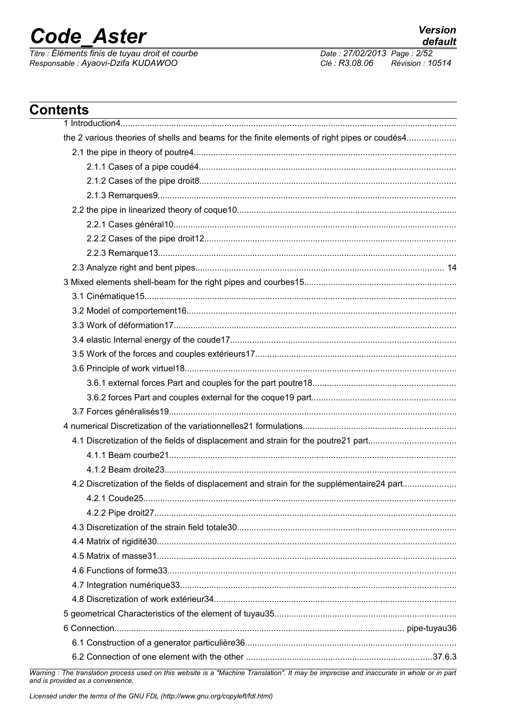# **Code\_Aster**

Titre : Éléments finis de tuyau droit et courbe<br>Responsable : Ayaovi-Dzifa KUDAWOO

Date: 27/02/2013 Page: 2/52 Clé : R3.08.06 Révision : 10514

**Version** 

default

| <b>Contents</b>                                                                                                                           |  |
|-------------------------------------------------------------------------------------------------------------------------------------------|--|
|                                                                                                                                           |  |
| the 2 various theories of shells and beams for the finite elements of right pipes or coudés4                                              |  |
|                                                                                                                                           |  |
|                                                                                                                                           |  |
|                                                                                                                                           |  |
|                                                                                                                                           |  |
|                                                                                                                                           |  |
|                                                                                                                                           |  |
|                                                                                                                                           |  |
|                                                                                                                                           |  |
|                                                                                                                                           |  |
|                                                                                                                                           |  |
|                                                                                                                                           |  |
|                                                                                                                                           |  |
|                                                                                                                                           |  |
|                                                                                                                                           |  |
|                                                                                                                                           |  |
|                                                                                                                                           |  |
|                                                                                                                                           |  |
|                                                                                                                                           |  |
|                                                                                                                                           |  |
|                                                                                                                                           |  |
|                                                                                                                                           |  |
|                                                                                                                                           |  |
|                                                                                                                                           |  |
| 4.2 Discretization of the fields of displacement and strain for the supplémentaire24 part                                                 |  |
|                                                                                                                                           |  |
|                                                                                                                                           |  |
|                                                                                                                                           |  |
|                                                                                                                                           |  |
|                                                                                                                                           |  |
|                                                                                                                                           |  |
|                                                                                                                                           |  |
|                                                                                                                                           |  |
|                                                                                                                                           |  |
|                                                                                                                                           |  |
|                                                                                                                                           |  |
| Marning : The translation process used on this website is a "Machine Translation". It may be impresive and inaccurate in whole or in part |  |

Warning : The translation process used on this website is a "Machine Translation". It may be imprecise and inaccurate in whole or in part and is provided as a convenience.

Licensed under the terms of the GNU FDL (http://www.gnu.org/copyleft/fdl.html)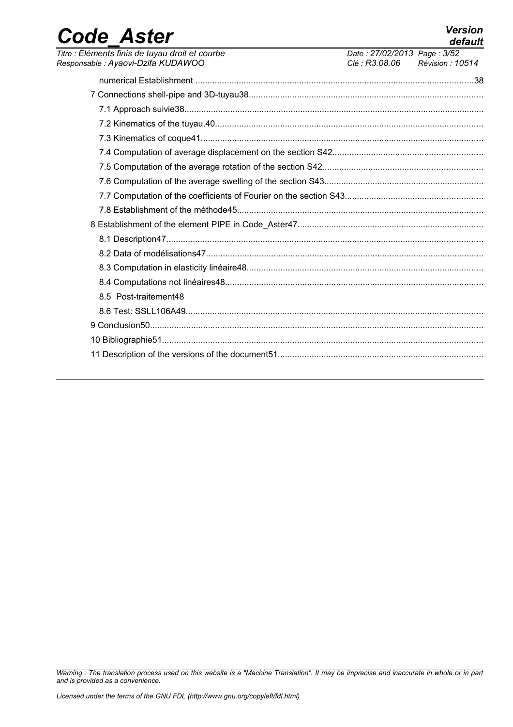| <b>Code Aster</b>                                                                     |                                               | <b>Version</b><br>default |
|---------------------------------------------------------------------------------------|-----------------------------------------------|---------------------------|
| Titre : Éléments finis de tuyau droit et courbe<br>Responsable : Ayaovi-Dzifa KUDAWOO | Date: 27/02/2013 Page: 3/52<br>Clé : R3.08.06 | Révision : 10514          |
|                                                                                       |                                               |                           |
|                                                                                       |                                               |                           |
|                                                                                       |                                               |                           |
|                                                                                       |                                               |                           |
|                                                                                       |                                               |                           |
|                                                                                       |                                               |                           |
|                                                                                       |                                               |                           |
|                                                                                       |                                               |                           |
|                                                                                       |                                               |                           |
|                                                                                       |                                               |                           |
|                                                                                       |                                               |                           |
|                                                                                       |                                               |                           |
|                                                                                       |                                               |                           |
|                                                                                       |                                               |                           |
|                                                                                       |                                               |                           |
| 8.5 Post-traitement48                                                                 |                                               |                           |
|                                                                                       |                                               |                           |
|                                                                                       |                                               |                           |
|                                                                                       |                                               |                           |
|                                                                                       |                                               |                           |

*Warning : The translation process used on this website is a "Machine Translation". It may be imprecise and inaccurate in whole or in part and is provided as a convenience.*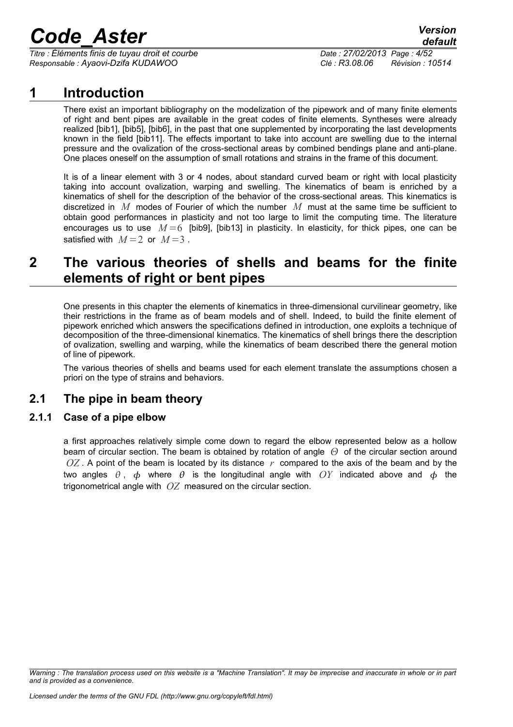*Titre : Éléments finis de tuyau droit et courbe Date : 27/02/2013 Page : 4/52 Responsable : Ayaovi-Dzifa KUDAWOO Clé : R3.08.06 Révision : 10514*

### **1 Introduction**

There exist an important bibliography on the modelization of the pipework and of many finite elements of right and bent pipes are available in the great codes of finite elements. Syntheses were already realized [bib1], [bib5], [bib6], in the past that one supplemented by incorporating the last developments known in the field [bib11]. The effects important to take into account are swelling due to the internal pressure and the ovalization of the cross-sectional areas by combined bendings plane and anti-plane. One places oneself on the assumption of small rotations and strains in the frame of this document.

It is of a linear element with 3 or 4 nodes, about standard curved beam or right with local plasticity taking into account ovalization, warping and swelling. The kinematics of beam is enriched by a kinematics of shell for the description of the behavior of the cross-sectional areas. This kinematics is discretized in *M* modes of Fourier of which the number *M* must at the same time be sufficient to obtain good performances in plasticity and not too large to limit the computing time. The literature encourages us to use  $M = 6$  [bib9], [bib13] in plasticity. In elasticity, for thick pipes, one can be satisfied with  $M=2$  or  $M=3$ .

### **2 The various theories of shells and beams for the finite elements of right or bent pipes**

One presents in this chapter the elements of kinematics in three-dimensional curvilinear geometry, like their restrictions in the frame as of beam models and of shell. Indeed, to build the finite element of pipework enriched which answers the specifications defined in introduction, one exploits a technique of decomposition of the three-dimensional kinematics. The kinematics of shell brings there the description of ovalization, swelling and warping, while the kinematics of beam described there the general motion of line of pipework.

The various theories of shells and beams used for each element translate the assumptions chosen a priori on the type of strains and behaviors.

### **2.1 The pipe in beam theory**

#### **2.1.1 Case of a pipe elbow**

a first approaches relatively simple come down to regard the elbow represented below as a hollow beam of circular section. The beam is obtained by rotation of angle  $\Theta$  of the circular section around *OZ*. A point of the beam is located by its distance r compared to the axis of the beam and by the two angles  $\theta$ ,  $\phi$  where  $\theta$  is the longitudinal angle with OY indicated above and  $\phi$  the trigonometrical angle with *OZ* measured on the circular section.

*Warning : The translation process used on this website is a "Machine Translation". It may be imprecise and inaccurate in whole or in part and is provided as a convenience.*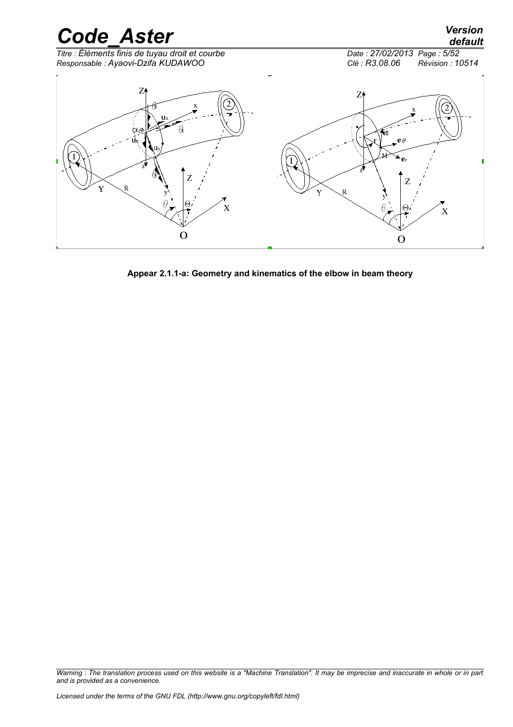

**Appear 2.1.1-a: Geometry and kinematics of the elbow in beam theory**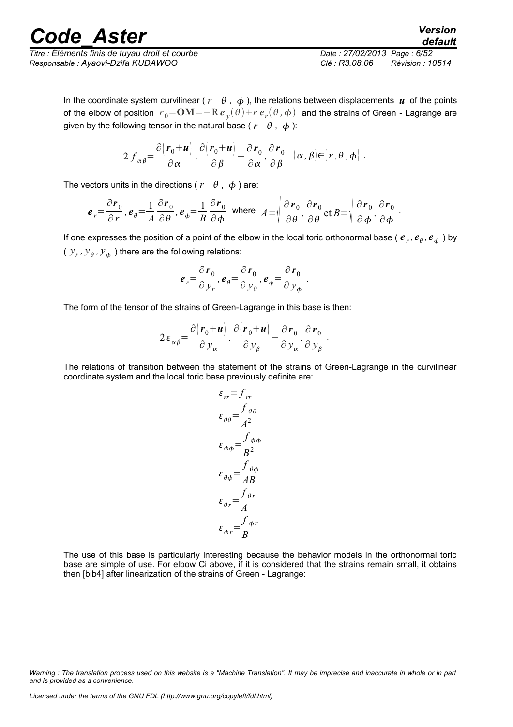*Titre : Éléments finis de tuyau droit et courbe Date : 27/02/2013 Page : 6/52 Responsable : Ayaovi-Dzifa KUDAWOO Clé : R3.08.06 Révision : 10514*

*default*

In the coordinate system curvilinear ( $r \theta$ ,  $\phi$ ), the relations between displacements *u* of the points of the elbow of position  $\; r_{0}^{}$ = $\bf{OM}$  = $-$  R  $e$   $_{y}(\theta)$  +  $r$   $e$   $_{r}(\theta$  ,  $\phi)$  and the strains of Green - Lagrange are given by the following tensor in the natural base ( $r \theta$ ,  $\phi$ ):

$$
2 f_{\alpha\beta} = \frac{\partial (r_0 + u)}{\partial \alpha} \cdot \frac{\partial (r_0 + u)}{\partial \beta} - \frac{\partial r_0}{\partial \alpha} \cdot \frac{\partial r_0}{\partial \beta} \quad (\alpha, \beta) \in [r, \theta, \phi].
$$

The vectors units in the directions ( $r \theta$ ,  $\phi$ ) are:

$$
e_r = \frac{\partial r_0}{\partial r}, e_{\theta} = \frac{1}{A} \frac{\partial r_0}{\partial \theta}, e_{\phi} = \frac{1}{B} \frac{\partial r_0}{\partial \phi} \text{ where } A = \sqrt{\frac{\partial r_0}{\partial \theta}} \cdot \frac{\partial r_0}{\partial \theta} \text{ et } B = \sqrt{\frac{\partial r_0}{\partial \phi}} \cdot \frac{\partial r_0}{\partial \phi}.
$$

If one expresses the position of a point of the elbow in the local toric orthonormal base (  $e_r$  ,  $e_\theta$  ,  $e_\phi$  ) by ( $y_r$ ,  $y_\theta$ ,  $y_\phi$ ) there are the following relations:

$$
\boldsymbol{e}_r = \frac{\partial \boldsymbol{r}_0}{\partial y_r}, \boldsymbol{e}_\theta = \frac{\partial \boldsymbol{r}_0}{\partial y_\theta}, \boldsymbol{e}_\phi = \frac{\partial \boldsymbol{r}_0}{\partial y_\phi}.
$$

The form of the tensor of the strains of Green-Lagrange in this base is then:

$$
2\,\varepsilon_{\alpha\beta} = \frac{\partial (r_0 + u)}{\partial \,y_\alpha} \cdot \frac{\partial (r_0 + u)}{\partial \,y_\beta} - \frac{\partial \,r_0}{\partial \,y_\alpha} \cdot \frac{\partial \,r_0}{\partial \,y_\beta} \,.
$$

The relations of transition between the statement of the strains of Green-Lagrange in the curvilinear coordinate system and the local toric base previously definite are:

$$
\varepsilon_{rr} = f_{rr}
$$
\n
$$
\varepsilon_{\theta\theta} = \frac{f_{\theta\theta}}{A^2}
$$
\n
$$
\varepsilon_{\phi\phi} = \frac{f_{\phi\phi}}{B^2}
$$
\n
$$
\varepsilon_{\theta\phi} = \frac{f_{\theta\phi}}{AB}
$$
\n
$$
\varepsilon_{\theta r} = \frac{f_{\theta r}}{A}
$$
\n
$$
\varepsilon_{\phi r} = \frac{f_{\phi r}}{B}
$$

The use of this base is particularly interesting because the behavior models in the orthonormal toric base are simple of use. For elbow Ci above, if it is considered that the strains remain small, it obtains then [bib4] after linearization of the strains of Green - Lagrange:

*Warning : The translation process used on this website is a "Machine Translation". It may be imprecise and inaccurate in whole or in part and is provided as a convenience.*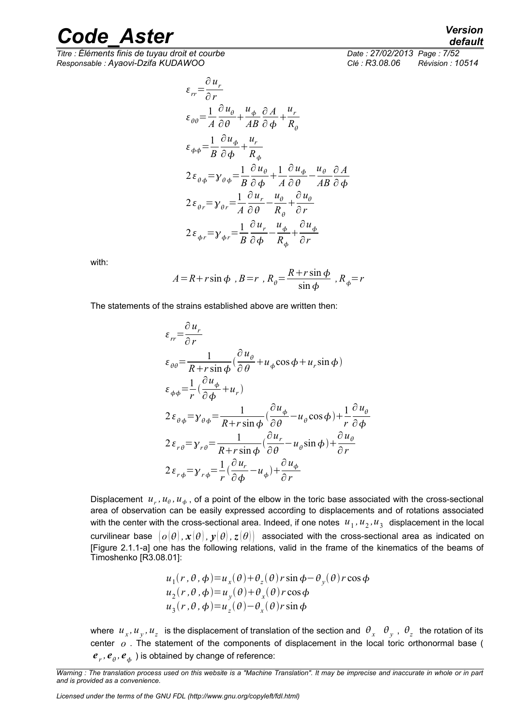*Titre : Éléments finis de tuyau droit et courbe Date : 27/02/2013 Page : 7/52 Responsable : Ayaovi-Dzifa KUDAWOO Clé : R3.08.06 Révision : 10514*

$$
\varepsilon_{rr} = \frac{\partial u_r}{\partial r}
$$
\n
$$
\varepsilon_{\theta\theta} = \frac{1}{A} \frac{\partial u_\theta}{\partial \theta} + \frac{u_\phi}{AB} \frac{\partial A}{\partial \phi} + \frac{u_r}{R_\theta}
$$
\n
$$
\varepsilon_{\phi\phi} = \frac{1}{B} \frac{\partial u_\phi}{\partial \phi} + \frac{u_r}{R_\phi}
$$
\n
$$
2\varepsilon_{\theta\phi} = \gamma_{\theta\phi} = \frac{1}{B} \frac{\partial u_\theta}{\partial \phi} + \frac{1}{A} \frac{\partial u_\phi}{\partial \theta} - \frac{u_\theta}{AB} \frac{\partial A}{\partial \phi}
$$
\n
$$
2\varepsilon_{\theta r} = \gamma_{\theta r} = \frac{1}{A} \frac{\partial u_r}{\partial \theta} - \frac{u_\theta}{R_\theta} + \frac{\partial u_\theta}{\partial r}
$$
\n
$$
2\varepsilon_{\phi r} = \gamma_{\phi r} = \frac{1}{B} \frac{\partial u_r}{\partial \phi} - \frac{u_\phi}{R_\phi} + \frac{\partial u_\phi}{\partial r}
$$

with:

$$
A = R + r \sin \phi, \, B = r, \, R_{\theta} = \frac{R + r \sin \phi}{\sin \phi}, \, R_{\phi} = r
$$

The statements of the strains established above are written then:

$$
\varepsilon_{rr} = \frac{\partial u_r}{\partial r}
$$
\n
$$
\varepsilon_{\theta\theta} = \frac{1}{R + r \sin \phi} \left( \frac{\partial u_\theta}{\partial \theta} + u_\phi \cos \phi + u_r \sin \phi \right)
$$
\n
$$
\varepsilon_{\phi\phi} = \frac{1}{r} \left( \frac{\partial u_\phi}{\partial \phi} + u_r \right)
$$
\n
$$
2 \varepsilon_{\theta\phi} = y_{\theta\phi} = \frac{1}{R + r \sin \phi} \left( \frac{\partial u_\phi}{\partial \theta} - u_\theta \cos \phi \right) + \frac{1}{r} \frac{\partial u_\theta}{\partial \phi}
$$
\n
$$
2 \varepsilon_{r\theta} = y_{r\theta} = \frac{1}{R + r \sin \phi} \left( \frac{\partial u_r}{\partial \theta} - u_\theta \sin \phi \right) + \frac{\partial u_\theta}{\partial r}
$$
\n
$$
2 \varepsilon_{r\phi} = y_{r\phi} = \frac{1}{r} \left( \frac{\partial u_r}{\partial \phi} - u_\phi \right) + \frac{\partial u_\phi}{\partial r}
$$

Displacement  $u_r$ ,  $u_\theta$ ,  $u_\phi$ , of a point of the elbow in the toric base associated with the cross-sectional area of observation can be easily expressed according to displacements and of rotations associated with the center with the cross-sectional area. Indeed, if one notes  $|u_1,u_2,u_3|$  displacement in the local curvilinear base  $\rho(\theta), \mathbf{x}(\theta), \mathbf{y}(\theta), \mathbf{z}(\theta)$  associated with the cross-sectional area as indicated on [Figure 2.1.1-a] one has the following relations, valid in the frame of the kinematics of the beams of Timoshenko [R3.08.01]:

$$
u_1(r, \theta, \phi) = u_x(\theta) + \theta_z(\theta) r \sin \phi - \theta_y(\theta) r \cos \phi
$$
  
\n
$$
u_2(r, \theta, \phi) = u_y(\theta) + \theta_x(\theta) r \cos \phi
$$
  
\n
$$
u_3(r, \theta, \phi) = u_z(\theta) - \theta_x(\theta) r \sin \phi
$$

where  $u_x, u_y, u_z$  is the displacement of translation of the section and  $\vartheta_x$   $\vartheta_y$  ,  $\vartheta_z$  the rotation of its center *o* . The statement of the components of displacement in the local toric orthonormal base (  $e_{r}$ ,  $e_{\theta}$ ,  $e_{\phi}$  ) is obtained by change of reference:

*Licensed under the terms of the GNU FDL (http://www.gnu.org/copyleft/fdl.html)*

*default*

*Warning : The translation process used on this website is a "Machine Translation". It may be imprecise and inaccurate in whole or in part and is provided as a convenience.*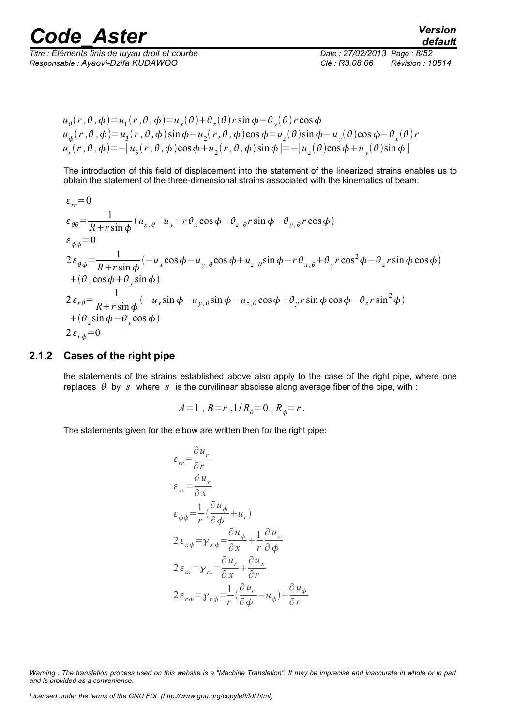*Titre : Éléments finis de tuyau droit et courbe Date : 27/02/2013 Page : 8/52 Responsable : Ayaovi-Dzifa KUDAWOO Clé : R3.08.06 Révision : 10514*

*default*

 $u_{\theta}(r, \theta, \phi) = u_1(r, \theta, \phi) = u_x(\theta) + \theta_z(\theta) r \sin \phi - \theta_y(\theta) r \cos \phi$  $u_{\phi}(r,\theta,\phi) = u_3(r,\theta,\phi)\sin\phi - u_2(r,\theta,\phi)\cos\phi = u_z(\theta)\sin\phi - u_y(\theta)\cos\phi - \theta_x(\theta)r$  $u_r(r, \theta, \phi) = -[u_3(r, \theta, \phi) \cos \phi + u_2(r, \theta, \phi) \sin \phi] = -[u_z(\theta) \cos \phi + u_y(\theta) \sin \phi]$ 

The introduction of this field of displacement into the statement of the linearized strains enables us to obtain the statement of the three-dimensional strains associated with the kinematics of beam:

$$
\varepsilon_{rr} = 0
$$
\n
$$
\varepsilon_{\theta\theta} = \frac{1}{R + r \sin\phi} (u_{x,\theta} - u_y - r \theta_x \cos\phi + \theta_{z,\theta} r \sin\phi - \theta_{y,\theta} r \cos\phi)
$$
\n
$$
\varepsilon_{\phi\phi} = 0
$$
\n
$$
2\varepsilon_{\theta\phi} = \frac{1}{R + r \sin\phi} (-u_x \cos\phi - u_{y,\theta} \cos\phi + u_{z,\theta} \sin\phi - r \theta_{x,\theta} + \theta_y r \cos^2\phi - \theta_z r \sin\phi \cos\phi)
$$
\n
$$
+ (\theta_z \cos\phi + \theta_y \sin\phi)
$$
\n
$$
2\varepsilon_{r\theta} = \frac{1}{R + r \sin\phi} (-u_x \sin\phi - u_{y,\theta} \sin\phi - u_{z,\theta} \cos\phi + \theta_y r \sin\phi \cos\phi - \theta_z r \sin^2\phi)
$$
\n
$$
+ (\theta_z \sin\phi - \theta_y \cos\phi)
$$
\n
$$
2\varepsilon_{r\phi} = 0
$$

#### **2.1.2 Cases of the right pipe**

the statements of the strains established above also apply to the case of the right pipe, where one replaces  $\theta$  by *s* where *s* is the curvilinear abscisse along average fiber of the pipe, with :

$$
A=1
$$
,  $B=r$ ,  $1/R_{\theta}=0$ ,  $R_{\phi}=r$ .

The statements given for the elbow are written then for the right pipe:

$$
\varepsilon_{rr} = \frac{\partial u_r}{\partial r}
$$
\n
$$
\varepsilon_{xx} = \frac{\partial u_x}{\partial x}
$$
\n
$$
\varepsilon_{\phi\phi} = \frac{1}{r} \left( \frac{\partial u_\phi}{\partial \phi} + u_r \right)
$$
\n
$$
2 \varepsilon_{x\phi} = y_{x\phi} = \frac{\partial u_\phi}{\partial x} + \frac{1}{r} \frac{\partial u_x}{\partial \phi}
$$
\n
$$
2 \varepsilon_{rx} = y_{rx} = \frac{\partial u_r}{\partial x} + \frac{\partial u_x}{\partial r}
$$
\n
$$
2 \varepsilon_{r\phi} = y_{r\phi} = \frac{1}{r} \left( \frac{\partial u_r}{\partial \phi} - u_\phi \right) + \frac{\partial u_\phi}{\partial r}
$$

*Warning : The translation process used on this website is a "Machine Translation". It may be imprecise and inaccurate in whole or in part and is provided as a convenience.*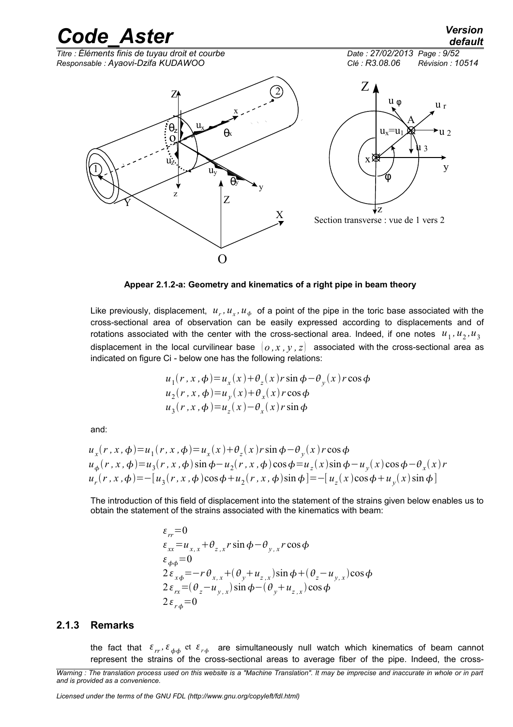

**Appear 2.1.2-a: Geometry and kinematics of a right pipe in beam theory**

Like previously, displacement,  $u_r$ ,  $u_x$ ,  $u_\phi$  of a point of the pipe in the toric base associated with the cross-sectional area of observation can be easily expressed according to displacements and of rotations associated with the center with the cross-sectional area. Indeed, if one notes  $u_1$ ,  $u_2$ ,  $u_3$ displacement in the local curvilinear base  $(0, x, y, z)$  associated with the cross-sectional area as indicated on figure Ci - below one has the following relations:

$$
u_1(r, x, \phi) = u_x(x) + \theta_z(x) r \sin \phi - \theta_y(x) r \cos \phi
$$
  
\n
$$
u_2(r, x, \phi) = u_y(x) + \theta_x(x) r \cos \phi
$$
  
\n
$$
u_3(r, x, \phi) = u_z(x) - \theta_x(x) r \sin \phi
$$

and:

$$
u_x(r, x, \phi) = u_1(r, x, \phi) = u_x(x) + \theta_z(x) r \sin \phi - \theta_y(x) r \cos \phi
$$
  
\n
$$
u_{\phi}(r, x, \phi) = u_3(r, x, \phi) \sin \phi - u_2(r, x, \phi) \cos \phi = u_z(x) \sin \phi - u_y(x) \cos \phi - \theta_x(x) r
$$
  
\n
$$
u_r(r, x, \phi) = -[u_3(r, x, \phi) \cos \phi + u_2(r, x, \phi) \sin \phi] = -[u_z(x) \cos \phi + u_y(x) \sin \phi]
$$

The introduction of this field of displacement into the statement of the strains given below enables us to obtain the statement of the strains associated with the kinematics with beam:

$$
\varepsilon_{rr} = 0
$$
\n
$$
\varepsilon_{xx} = u_{x,x} + \theta_{z,x} r \sin \phi - \theta_{y,x} r \cos \phi
$$
\n
$$
\varepsilon_{\phi\phi} = 0
$$
\n
$$
2\varepsilon_{x\phi} = -r \theta_{x,x} + (\theta_y + u_{z,x}) \sin \phi + (\theta_z - u_{y,x}) \cos \phi
$$
\n
$$
2\varepsilon_{rx} = (\theta_z - u_{y,x}) \sin \phi - (\theta_y + u_{z,x}) \cos \phi
$$
\n
$$
2\varepsilon_{r\phi} = 0
$$

#### **2.1.3 Remarks**

the fact that  $\ket{\varepsilon_{rr},\varepsilon_{\phi\phi}}$  et  $\ket{\varepsilon_{r\phi}}$  are simultaneously null watch which kinematics of beam cannot represent the strains of the cross-sectional areas to average fiber of the pipe. Indeed, the cross-

*Licensed under the terms of the GNU FDL (http://www.gnu.org/copyleft/fdl.html)*

*Warning : The translation process used on this website is a "Machine Translation". It may be imprecise and inaccurate in whole or in part and is provided as a convenience.*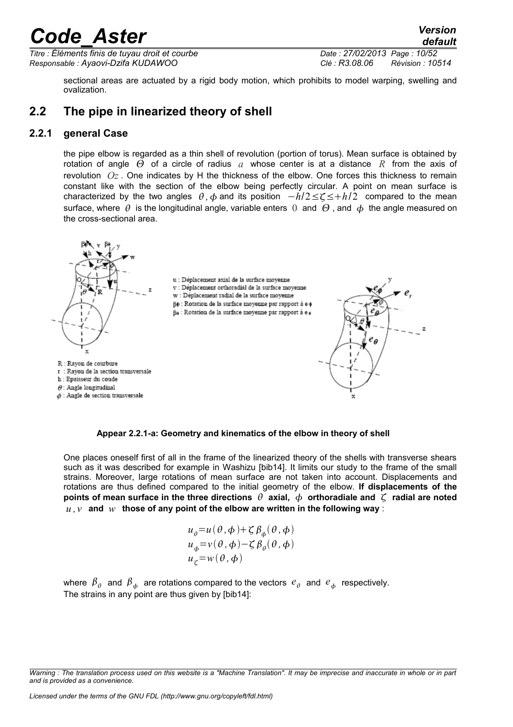*Titre : Éléments finis de tuyau droit et courbe Date : 27/02/2013 Page : 10/52 Responsable : Ayaovi-Dzifa KUDAWOO Clé : R3.08.06 Révision : 10514*

*default*

sectional areas are actuated by a rigid body motion, which prohibits to model warping, swelling and ovalization.

### **2.2 The pipe in linearized theory of shell**

#### **2.2.1 general Case**

the pipe elbow is regarded as a thin shell of revolution (portion of torus). Mean surface is obtained by rotation of angle  $\Theta$  of a circle of radius  $a$  whose center is at a distance  $R$  from the axis of revolution *Oz* . One indicates by H the thickness of the elbow. One forces this thickness to remain constant like with the section of the elbow being perfectly circular. A point on mean surface is characterized by the two angles  $\theta$ ,  $\phi$  and its position  $-h/2 \leq \zeta \leq +h/2$  compared to the mean surface, where  $\theta$  is the longitudinal angle, variable enters 0 and  $\theta$ , and  $\phi$  the angle measured on the cross-sectional area.



**Appear 2.2.1-a: Geometry and kinematics of the elbow in theory of shell**

One places oneself first of all in the frame of the linearized theory of the shells with transverse shears such as it was described for example in Washizu [bib14]. It limits our study to the frame of the small strains. Moreover, large rotations of mean surface are not taken into account. Displacements and rotations are thus defined compared to the initial geometry of the elbow. **If displacements of the points of mean surface in the three directions**  $\theta$  **axial,**  $\phi$  **orthoradiale and**  $\zeta$  **radial are noted**  $u, v$  and  $w$  those of any point of the elbow are written in the following way:

$$
u_{\theta} = u(\theta, \phi) + \zeta \beta_{\phi}(\theta, \phi)
$$
  
\n
$$
u_{\phi} = v(\theta, \phi) - \zeta \beta_{\theta}(\theta, \phi)
$$
  
\n
$$
u_{\zeta} = w(\theta, \phi)
$$

where  $\,\beta_\theta\,$  and  $\,\beta_\phi\,$  are rotations compared to the vectors  $\,e_\theta\,$  and  $\,e_\phi\,$  respectively. The strains in any point are thus given by [bib14]:

*Warning : The translation process used on this website is a "Machine Translation". It may be imprecise and inaccurate in whole or in part and is provided as a convenience.*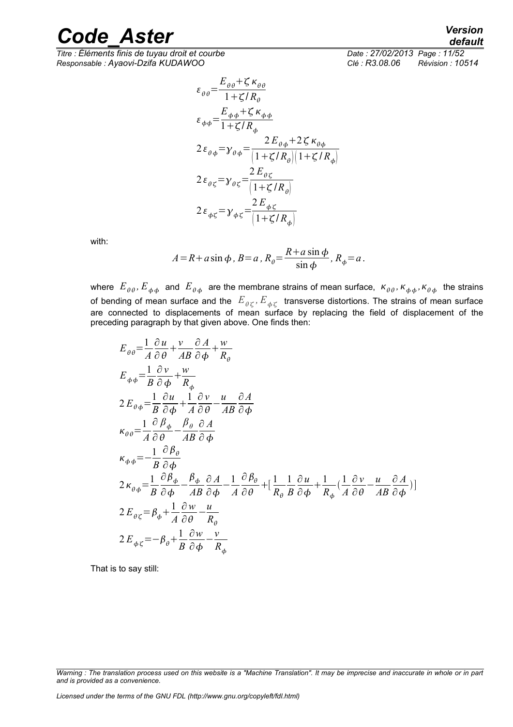*Titre : Éléments finis de tuyau droit et courbe Date : 27/02/2013 Page : 11/52 Responsable : Ayaovi-Dzifa KUDAWOO Clé : R3.08.06 Révision : 10514*

$$
\varepsilon_{\theta\theta} = \frac{E_{\theta\theta} + \zeta \kappa_{\theta\theta}}{1 + \zeta/R_{\theta}}
$$
\n
$$
\varepsilon_{\phi\phi} = \frac{E_{\phi\phi} + \zeta \kappa_{\phi\phi}}{1 + \zeta/R_{\phi}}
$$
\n
$$
2\varepsilon_{\theta\phi} = \gamma_{\theta\phi} = \frac{2E_{\theta\phi} + 2\zeta \kappa_{\theta\phi}}{1 + \zeta/R_{\theta} \left| 1 + \zeta/R_{\phi} \right|}
$$
\n
$$
2\varepsilon_{\theta\zeta} = \gamma_{\theta\zeta} = \frac{2E_{\theta\zeta}}{\left| 1 + \zeta/R_{\theta} \right|}
$$
\n
$$
2\varepsilon_{\phi\zeta} = \gamma_{\phi\zeta} = \frac{2E_{\phi\zeta}}{\left| 1 + \zeta/R_{\phi} \right|}
$$

with:

$$
A = R + a \sin \phi, B = a, R_{\theta} = \frac{R + a \sin \phi}{\sin \phi}, R_{\phi} = a.
$$

where  $E_{\theta\theta}$ ,  $E_{\phi\phi}$  and  $E_{\theta\phi}$  are the membrane strains of mean surface,  $\kappa_{\theta\theta}$ ,  $\kappa_{\phi\phi}$ ,  $\kappa_{\theta\phi}$  the strains of bending of mean surface and the  $\,E_{\,\theta\,\zeta}$  ,  $E_{\,\phi\,\zeta}\,$  transverse distortions. The strains of mean surface are connected to displacements of mean surface by replacing the field of displacement of the preceding paragraph by that given above. One finds then:

$$
E_{\theta\theta} = \frac{1}{A} \frac{\partial u}{\partial \theta} + \frac{v}{AB} \frac{\partial A}{\partial \phi} + \frac{w}{R_{\theta}}
$$
  
\n
$$
E_{\phi\phi} = \frac{1}{B} \frac{\partial v}{\partial \phi} + \frac{w}{R_{\phi}}
$$
  
\n
$$
2 E_{\theta\phi} = \frac{1}{B} \frac{\partial u}{\partial \phi} + \frac{1}{A} \frac{\partial v}{\partial \theta} - \frac{u}{AB} \frac{\partial A}{\partial \phi}
$$
  
\n
$$
\kappa_{\theta\theta} = \frac{1}{A} \frac{\partial \beta_{\phi}}{\partial \theta} - \frac{\beta_{\theta}}{AB} \frac{\partial A}{\partial \phi}
$$
  
\n
$$
\kappa_{\phi\phi} = -\frac{1}{B} \frac{\partial \beta_{\theta}}{\partial \phi}
$$
  
\n
$$
2 \kappa_{\theta\phi} = \frac{1}{B} \frac{\partial \beta_{\phi}}{\partial \phi} - \frac{\beta_{\phi}}{AB} \frac{\partial A}{\partial \phi} - \frac{1}{A} \frac{\partial \beta_{\theta}}{\partial \theta} + \left[ \frac{1}{R_{\theta}} \frac{1}{B} \frac{\partial u}{\partial \phi} + \frac{1}{R_{\phi}} \frac{1}{A} \frac{\partial v}{\partial \theta} - \frac{u}{AB} \frac{\partial A}{\partial \phi} \right]
$$
  
\n
$$
2 E_{\theta\zeta} = \beta_{\phi} + \frac{1}{A} \frac{\partial w}{\partial \theta} - \frac{u}{R_{\theta}}
$$
  
\n
$$
2 E_{\phi\zeta} = -\beta_{\theta} + \frac{1}{B} \frac{\partial w}{\partial \phi} - \frac{v}{R_{\phi}}
$$

That is to say still:

*Warning : The translation process used on this website is a "Machine Translation". It may be imprecise and inaccurate in whole or in part and is provided as a convenience.*

*Licensed under the terms of the GNU FDL (http://www.gnu.org/copyleft/fdl.html)*

*default*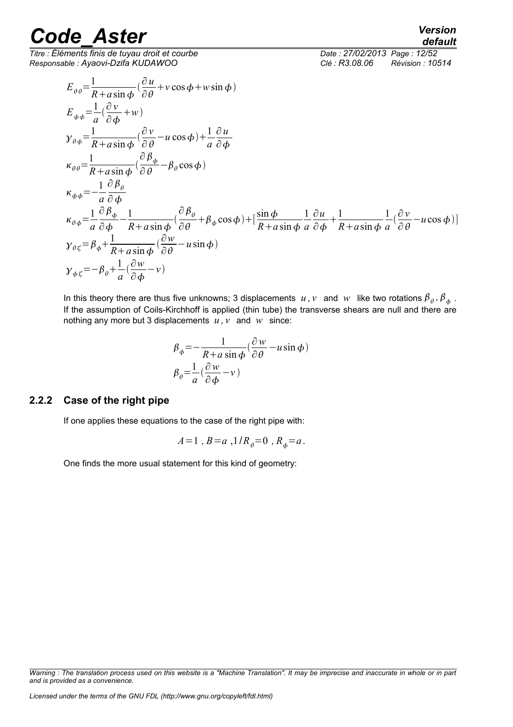$\overline{T}$ *Titre : Éléments finis de tuyau droit et courbe Responsable : Ayaovi-Dzifa KUDAWOO Clé : R3.08.06 Révision : 10514*

*default*

$$
E_{\theta\theta} = \frac{1}{R + a\sin\phi} (\frac{\partial u}{\partial \theta} + v\cos\phi + w\sin\phi)
$$
  
\n
$$
E_{\phi\phi} = \frac{1}{a} (\frac{\partial v}{\partial \phi} + w)
$$
  
\n
$$
y_{\theta\phi} = \frac{1}{R + a\sin\phi} (\frac{\partial v}{\partial \theta} - u\cos\phi) + \frac{1}{a} \frac{\partial u}{\partial \phi}
$$
  
\n
$$
\kappa_{\theta\theta} = \frac{1}{R + a\sin\phi} (\frac{\partial \beta_{\phi}}{\partial \theta} - \beta_{\theta}\cos\phi)
$$
  
\n
$$
\kappa_{\phi\phi} = -\frac{1}{a} \frac{\partial \beta_{\phi}}{\partial \phi}
$$
  
\n
$$
\kappa_{\theta\phi} = \frac{1}{a} \frac{\partial \beta_{\phi}}{\partial \phi} - \frac{1}{R + a\sin\phi} (\frac{\partial \beta_{\theta}}{\partial \theta} + \beta_{\phi}\cos\phi) + [\frac{\sin\phi}{R + a\sin\phi} \frac{1}{a} \frac{\partial u}{\partial \phi} + \frac{1}{R + a\sin\phi} \frac{1}{a} (\frac{\partial v}{\partial \theta} - u\cos\phi)]
$$
  
\n
$$
y_{\theta\zeta} = \beta_{\phi} + \frac{1}{R + a\sin\phi} (\frac{\partial w}{\partial \theta} - u\sin\phi)
$$
  
\n
$$
y_{\phi\zeta} = -\beta_{\theta} + \frac{1}{a} (\frac{\partial w}{\partial \phi} - v)
$$

In this theory there are thus five unknowns; 3 displacements  $u$ ,  $v$  and  $w$  like two rotations  $\beta_{\theta}$ ,  $\beta_{\phi}$ . If the assumption of Coils-Kirchhoff is applied (thin tube) the transverse shears are null and there are nothing any more but 3 displacements  $u, v$  and  $w$  since:

$$
\beta_{\phi} = -\frac{1}{R + a \sin \phi} (\frac{\partial w}{\partial \theta} - u \sin \phi)
$$

$$
\beta_{\theta} = \frac{1}{a} (\frac{\partial w}{\partial \phi} - v)
$$

#### **2.2.2 Case of the right pipe**

If one applies these equations to the case of the right pipe with:

$$
A=1
$$
,  $B=a$ ,  $1/R_{\theta}=0$ ,  $R_{\phi}=a$ .

One finds the more usual statement for this kind of geometry:

*Warning : The translation process used on this website is a "Machine Translation". It may be imprecise and inaccurate in whole or in part and is provided as a convenience.*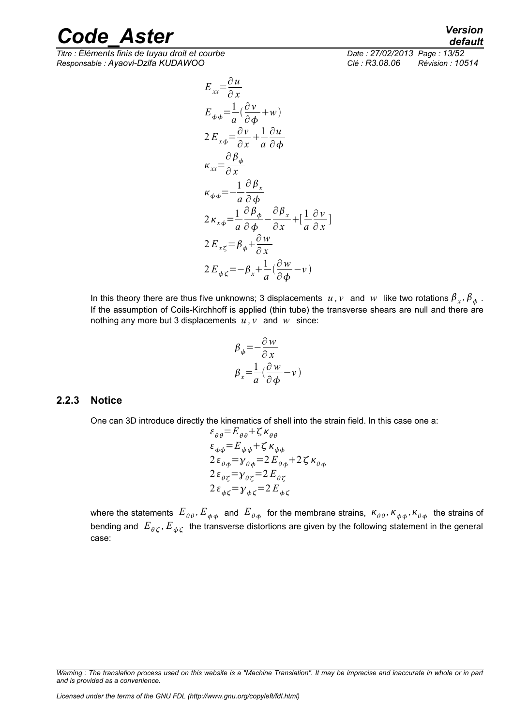*Titre : Éléments finis de tuyau droit et courbe Date : 27/02/2013 Page : 13/52 Responsable : Ayaovi-Dzifa KUDAWOO Clé : R3.08.06 Révision : 10514*

$$
E_{xx} = \frac{\partial u}{\partial x}
$$
  
\n
$$
E_{\phi\phi} = \frac{1}{a}(\frac{\partial v}{\partial \phi} + w)
$$
  
\n
$$
2E_{x\phi} = \frac{\partial v}{\partial x} + \frac{1}{a}\frac{\partial u}{\partial \phi}
$$
  
\n
$$
\kappa_{xx} = \frac{\partial \beta_{\phi}}{\partial x}
$$
  
\n
$$
\kappa_{\phi\phi} = -\frac{1}{a}\frac{\partial \beta_{x}}{\partial \phi}
$$
  
\n
$$
2\kappa_{x\phi} = \frac{1}{a}\frac{\partial \beta_{\phi}}{\partial \phi} - \frac{\partial \beta_{x}}{\partial x} + \left[\frac{1}{a}\frac{\partial v}{\partial x}\right]
$$
  
\n
$$
2E_{x\zeta} = \beta_{\phi} + \frac{\partial w}{\partial x}
$$
  
\n
$$
2E_{\phi\zeta} = -\beta_{x} + \frac{1}{a}(\frac{\partial w}{\partial \phi} - v)
$$

In this theory there are thus five unknowns; 3 displacements  $u$  ,  $v$  and  $w$  like two rotations  $\beta_x$  ,  $\beta_\phi$  . If the assumption of Coils-Kirchhoff is applied (thin tube) the transverse shears are null and there are nothing any more but 3 displacements  $u, v$  and  $w$  since:

$$
\beta_{\phi} = -\frac{\partial w}{\partial x}
$$

$$
\beta_{x} = \frac{1}{a}(\frac{\partial w}{\partial \phi} - v)
$$

#### **2.2.3 Notice**

One can 3D introduce directly the kinematics of shell into the strain field. In this case one a:

$$
\varepsilon_{\theta\theta} = E_{\theta\theta} + \zeta \kappa_{\theta\theta}
$$
\n
$$
\varepsilon_{\phi\phi} = E_{\phi\phi} + \zeta \kappa_{\phi\phi}
$$
\n
$$
2 \varepsilon_{\theta\phi} = \gamma_{\theta\phi} = 2 E_{\theta\phi} + 2 \zeta \kappa_{\theta\phi}
$$
\n
$$
2 \varepsilon_{\theta\zeta} = \gamma_{\theta\zeta} = 2 E_{\theta\zeta}
$$
\n
$$
2 \varepsilon_{\phi\zeta} = \gamma_{\phi\zeta} = 2 E_{\phi\zeta}
$$

where the statements  $E_{\theta\theta}$ ,  $E_{\phi\phi}$  and  $E_{\theta\phi}$  for the membrane strains,  $\kappa_{\theta\theta}$ ,  $\kappa_{\phi\phi}$ ,  $\kappa_{\theta\phi}$  the strains of bending and  $\,E_{\,\theta\,\zeta}$  ,  $E_{\,\phi\,\zeta}\,$  the transverse distortions are given by the following statement in the general case:

*Warning : The translation process used on this website is a "Machine Translation". It may be imprecise and inaccurate in whole or in part and is provided as a convenience.*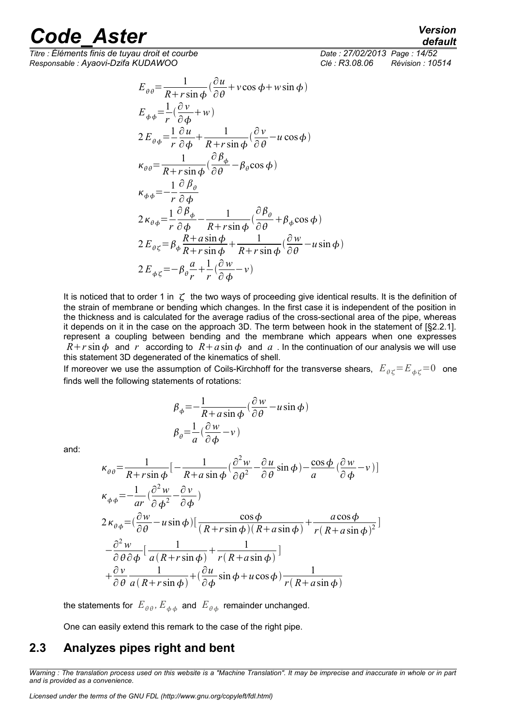*Titre : Éléments finis de tuyau droit et courbe Date : 27/02/2013 Page : 14/52 Responsable : Ayaovi-Dzifa KUDAWOO Clé : R3.08.06 Révision : 10514*

*default*

$$
E_{\theta\theta} = \frac{1}{R + r \sin \phi} (\frac{\partial u}{\partial \theta} + v \cos \phi + w \sin \phi)
$$
  
\n
$$
E_{\phi\phi} = \frac{1}{r} (\frac{\partial v}{\partial \phi} + w)
$$
  
\n
$$
2 E_{\theta\phi} = \frac{1}{r} \frac{\partial u}{\partial \phi} + \frac{1}{R + r \sin \phi} (\frac{\partial v}{\partial \theta} - u \cos \phi)
$$
  
\n
$$
\kappa_{\theta\theta} = \frac{1}{R + r \sin \phi} (\frac{\partial \beta_{\phi}}{\partial \theta} - \beta_{\theta} \cos \phi)
$$
  
\n
$$
\kappa_{\phi\phi} = -\frac{1}{r} \frac{\partial \beta_{\theta}}{\partial \phi}
$$
  
\n
$$
2 \kappa_{\theta\phi} = \frac{1}{r} \frac{\partial \beta_{\phi}}{\partial \phi} - \frac{1}{R + r \sin \phi} (\frac{\partial \beta_{\theta}}{\partial \theta} + \beta_{\phi} \cos \phi)
$$
  
\n
$$
2 E_{\theta\zeta} = \beta_{\phi} \frac{R + a \sin \phi}{R + r \sin \phi} + \frac{1}{R + r \sin \phi} (\frac{\partial w}{\partial \theta} - u \sin \phi)
$$
  
\n
$$
2 E_{\phi\zeta} = -\beta_{\theta} \frac{a}{r} + \frac{1}{r} (\frac{\partial w}{\partial \phi} - v)
$$

It is noticed that to order 1 in  $\zeta$  the two ways of proceeding give identical results. It is the definition of the strain of membrane or bending which changes. In the first case it is independent of the position in the thickness and is calculated for the average radius of the cross-sectional area of the pipe, whereas it depends on it in the case on the approach 3D. The term between hook in the statement of [§2.2.1]. represent a coupling between bending and the membrane which appears when one expresses  $R+r\sin\phi$  and *r* according to  $R+a\sin\phi$  and *a* . In the continuation of our analysis we will use this statement 3D degenerated of the kinematics of shell.

If moreover we use the assumption of Coils-Kirchhoff for the transverse shears,  $E_{\theta\zeta} = E_{\phi\zeta} = 0$  one finds well the following statements of rotations:

$$
\beta_{\phi} = -\frac{1}{R + a \sin \phi} \left( \frac{\partial w}{\partial \theta} - u \sin \phi \right)
$$

$$
\beta_{\theta} = \frac{1}{a} \left( \frac{\partial w}{\partial \phi} - v \right)
$$

and:

$$
\kappa_{\theta\theta} = \frac{1}{R + r\sin\phi} \left[ -\frac{1}{R + a\sin\phi} \left( \frac{\partial^2 w}{\partial \theta^2} - \frac{\partial u}{\partial \theta} \sin\phi \right) - \frac{\cos\phi}{a} \left( \frac{\partial w}{\partial \phi} - v \right) \right]
$$
  
\n
$$
\kappa_{\phi\phi} = -\frac{1}{ar} \left( \frac{\partial^2 w}{\partial \phi^2} - \frac{\partial v}{\partial \phi} \right)
$$
  
\n
$$
2\kappa_{\theta\phi} = \left( \frac{\partial w}{\partial \theta} - u \sin\phi \right) \left[ \frac{\cos\phi}{(R + r\sin\phi)(R + a\sin\phi)} + \frac{a\cos\phi}{r(R + a\sin\phi)^2} \right]
$$
  
\n
$$
- \frac{\partial^2 w}{\partial \theta \partial \phi} \left[ \frac{1}{a(R + r\sin\phi)} + \frac{1}{r(R + a\sin\phi)} \right]
$$
  
\n
$$
+ \frac{\partial v}{\partial \theta} \frac{1}{a(R + r\sin\phi)} + \left( \frac{\partial u}{\partial \phi} \sin\phi + u \cos\phi \right) \frac{1}{r(R + a\sin\phi)}
$$

the statements for  $\overline{E}_{\theta\theta}$ ,  $\overline{E}_{\phi\phi}$  and  $\overline{E}_{\theta\phi}$  remainder unchanged.

One can easily extend this remark to the case of the right pipe.

### **2.3 Analyzes pipes right and bent**

*Warning : The translation process used on this website is a "Machine Translation". It may be imprecise and inaccurate in whole or in part and is provided as a convenience.*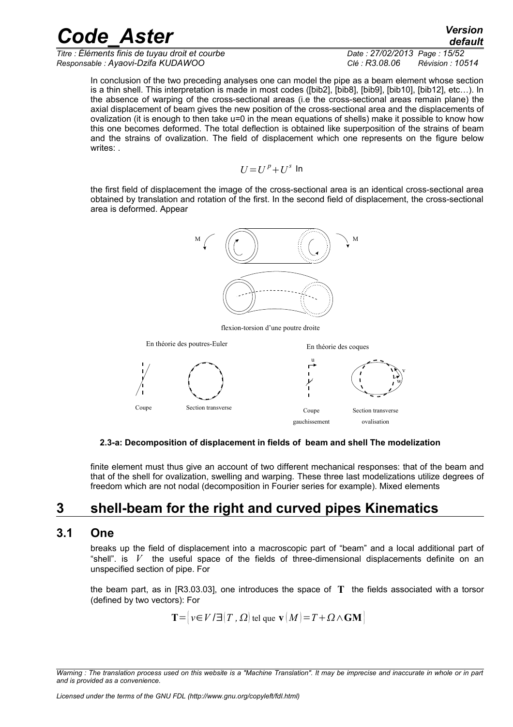*Titre : Éléments finis de tuyau droit et courbe Date : 27/02/2013 Page : 15/52 Responsable : Ayaovi-Dzifa KUDAWOO Clé : R3.08.06 Révision : 10514*

In conclusion of the two preceding analyses one can model the pipe as a beam element whose section is a thin shell. This interpretation is made in most codes ([bib2], [bib8], [bib9], [bib10], [bib12], etc…). In the absence of warping of the cross-sectional areas (i.e the cross-sectional areas remain plane) the axial displacement of beam gives the new position of the cross-sectional area and the displacements of ovalization (it is enough to then take u=0 in the mean equations of shells) make it possible to know how this one becomes deformed. The total deflection is obtained like superposition of the strains of beam and the strains of ovalization. The field of displacement which one represents on the figure below writes: .

$$
U\!=\!U^{\,p}\!+\!U^s\,\ln
$$

the first field of displacement the image of the cross-sectional area is an identical cross-sectional area obtained by translation and rotation of the first. In the second field of displacement, the cross-sectional area is deformed. Appear



flexion-torsion d'une poutre droite



#### **2.3-a: Decomposition of displacement in fields of beam and shell The modelization**

finite element must thus give an account of two different mechanical responses: that of the beam and that of the shell for ovalization, swelling and warping. These three last modelizations utilize degrees of freedom which are not nodal (decomposition in Fourier series for example). Mixed elements

### **3 shell-beam for the right and curved pipes Kinematics**

#### **3.1 One**

breaks up the field of displacement into a macroscopic part of "beam" and a local additional part of "shell". is  $V$  the useful space of the fields of three-dimensional displacements definite on an unspecified section of pipe. For

the beam part, as in [R3.03.03], one introduces the space of **T** the fields associated with a torsor (defined by two vectors): For

 $\mathbf{T} = \{ v \in V / \exists | T, \Omega \}$  tel que  $\mathbf{v} | M = T + \Omega \wedge \mathbf{GM}$ 

*Warning : The translation process used on this website is a "Machine Translation". It may be imprecise and inaccurate in whole or in part and is provided as a convenience.*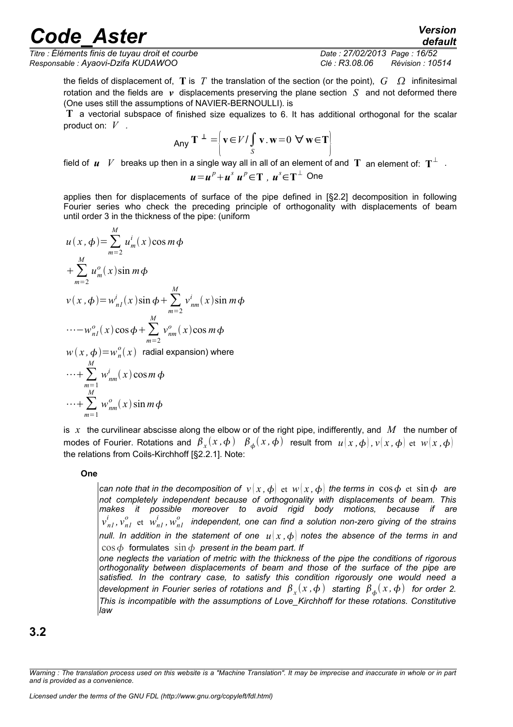*Titre : Éléments finis de tuyau droit et courbe Date : 27/02/2013 Page : 16/52 Responsable : Ayaovi-Dzifa KUDAWOO Clé : R3.08.06 Révision : 10514*

the fields of displacement of,  $\bf{T}$  is  $T$  the translation of the section (or the point),  $G \Omega$  infinitesimal rotation and the fields are *v* displacements preserving the plane section *S* and not deformed there (One uses still the assumptions of NAVIER-BERNOULLI). is

**T** a vectorial subspace of finished size equalizes to 6. It has additional orthogonal for the scalar product on: *V .*

$$
Any \mathbf{T}^{\perp} = \left\{ \mathbf{v} \in V / \int_{S} \mathbf{v} \cdot \mathbf{w} = 0 \ \forall \mathbf{w} \in \mathbf{T} \right\}
$$

field of  $\bm{u}$   $V$  breaks up then in a single way all in all of an element of and  $\bf{T}$  an element of:  $\bf{T}^{\perp}$   $\cdot$ 

$$
u = up + us up \in \mathbf{T}, us \in \mathbf{T}^{\perp} \text{ One}
$$

applies then for displacements of surface of the pipe defined in [§2.2] decomposition in following Fourier series who check the preceding principle of orthogonality with displacements of beam until order 3 in the thickness of the pipe: (uniform

$$
u(x, \phi) = \sum_{m=2}^{M} u_m^i(x) \cos m\phi
$$
  
+ 
$$
\sum_{m=2}^{M} u_m^o(x) \sin m\phi
$$
  

$$
v(x, \phi) = w_{nl}^i(x) \sin \phi + \sum_{m=2}^{M} v_{nm}^i(x) \sin m\phi
$$
  
....
$$
-w_{nl}^o(x) \cos \phi + \sum_{m=2}^{M} v_{nm}^o(x) \cos m\phi
$$
  

$$
w(x, \phi) = w_n^o(x) \text{ radial expansion} \text{ where}
$$

$$
\cdots + \sum_{m=1}^{M} w_{nm}^{i}(x) \cos m \phi
$$
  
 
$$
\cdots + \sum_{m=1}^{M} w_{nm}^{o}(x) \sin m \phi
$$

is  $x$  the curvilinear abscisse along the elbow or of the right pipe, indifferently, and  $M$  the number of modes of Fourier. Rotations and  $\beta_x(x, \phi)$   $\beta_\phi(x, \phi)$  result from  $u(x, \phi)$ ,  $v(x, \phi)$  et  $w(x, \phi)$ the relations from Coils-Kirchhoff [§2.2.1]. Note:

#### **One**

*can note that in the decomposition of*  $v(x, \phi)$  *et*  $w(x, \phi)$  *the terms in*  $\cos \phi$  *et*  $\sin \phi$  *are not completely independent because of orthogonality with displacements of beam. This makes it possible moreover to avoid rigid body motions, because if are*  $v^{i}_{nl}$  ,  $v^{o}_{nl}$  et  $w^{i}_{nl}$  ,  $w^{o}_{nl}$  independent, one can find a solution non-zero giving of the strains *null. In addition in the statement of one*  $u(x, \phi)$  notes the absence of the terms in and  $\cos \phi$  formulates  $\sin \phi$  present in the beam part. If

*one neglects the variation of metric with the thickness of the pipe the conditions of rigorous orthogonality between displacements of beam and those of the surface of the pipe are satisfied. In the contrary case, to satisfy this condition rigorously one would need a development in Fourier series of rotations and*  $\,\beta_{_X}(x\,, \phi\,) \,\,$  *starting*  $\,\beta_{\,\phi}(\,x\,, \phi\,) \,\,$  *for order 2. This is incompatible with the assumptions of Love\_Kirchhoff for these rotations. Constitutive law* 

**3.2**

*Warning : The translation process used on this website is a "Machine Translation". It may be imprecise and inaccurate in whole or in part and is provided as a convenience.*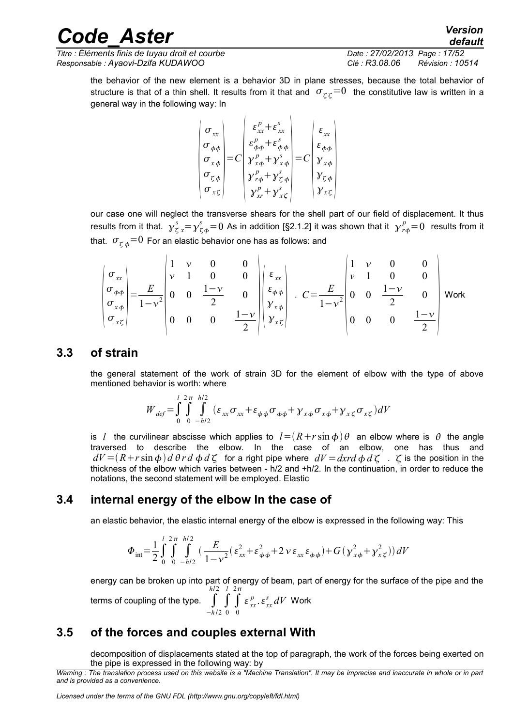*Titre : Éléments finis de tuyau droit et courbe Date : 27/02/2013 Page : 17/52 Responsable : Ayaovi-Dzifa KUDAWOO Clé : R3.08.06 Révision : 10514*

the behavior of the new element is a behavior 3D in plane stresses, because the total behavior of structure is that of a thin shell. It results from it that and  $\sigma_{\chi\chi}=0$  the constitutive law is written in a general way in the following way: In

$$
\begin{pmatrix}\n\sigma_{xx} \\
\sigma_{\phi\phi} \\
\sigma_{x\phi} \\
\sigma_{\zeta\phi} \\
\sigma_{x\zeta}\n\end{pmatrix} = C \begin{pmatrix}\n\varepsilon_{xx}^p + \varepsilon_{xx}^s \\
\varepsilon_{\phi\phi}^p + \varepsilon_{\phi\phi}^s \\
\gamma_{x\phi}^p + \gamma_{x\phi}^s \\
\gamma_{x\phi}^p + \gamma_{\zeta\phi}^s \\
\gamma_{x\phi}^p + \gamma_{\zeta\phi}^s \\
\gamma_{x\phi}^p + \gamma_{x\zeta}^s\n\end{pmatrix} = C \begin{pmatrix}\n\varepsilon_{xx} \\
\varepsilon_{\phi\phi} \\
\varepsilon_{\phi\phi} \\
\gamma_{x\phi} \\
\gamma_{x\phi} \\
\gamma_{x\zeta}\n\end{pmatrix}
$$

our case one will neglect the transverse shears for the shell part of our field of displacement. It thus results from it that.  $\stackrel{\circ}{\gamma^s_\zeta}_x = \stackrel{\circ}{\gamma^s_\zeta}_\phi = 0$  As in addition [§2.1.2] it was shown that it  $\stackrel{p}{\gamma^r_{r\phi}} = 0$  results from it that.  $\sigma_{\gamma b} = 0$  For an elastic behavior one has as follows: and

$$
\begin{pmatrix}\n\sigma_{xx} \\
\sigma_{\phi\phi} \\
\sigma_{x\phi} \\
\sigma_{x\zeta}\n\end{pmatrix} = \frac{E}{1 - v^2} \begin{pmatrix}\n1 & v & 0 & 0 \\
v & 1 & 0 & 0 \\
0 & 0 & \frac{1 - v}{2} & 0 \\
0 & 0 & 0 & \frac{1 - v}{2}\n\end{pmatrix} \begin{pmatrix}\n\varepsilon_{xx} \\
\varepsilon_{\phi\phi} \\
\gamma_{x\phi} \\
\gamma_{x\zeta}\n\end{pmatrix} . C = \frac{E}{1 - v^2} \begin{pmatrix}\n1 & v & 0 & 0 \\
v & 1 & 0 & 0 \\
0 & 0 & \frac{1 - v}{2} & 0 \\
0 & 0 & 0 & \frac{1 - v}{2}\n\end{pmatrix}
$$
Work

#### **3.3 of strain**

the general statement of the work of strain 3D for the element of elbow with the type of above mentioned behavior is worth: where

$$
W_{def} = \int_{0}^{l} \int_{0}^{2\pi} \int_{-h/2}^{h/2} (\varepsilon_{xx} \sigma_{xx} + \varepsilon_{\phi\phi} \sigma_{\phi\phi} + \gamma_{x\phi} \sigma_{x\phi} + \gamma_{x\zeta} \sigma_{x\zeta}) dV
$$

is *l* the curvilinear abscisse which applies to  $l = (R + r \sin \phi) \theta$  an elbow where is  $\theta$  the angle traversed to describe the elbow. In the case of an elbow, one has thus and  $dV = (R + r \sin \phi) d \theta r d \phi d \zeta$  for a right pipe where  $dV = dxd \phi d \zeta$ .  $\zeta$  is the position in the thickness of the elbow which varies between - h/2 and +h/2. In the continuation, in order to reduce the notations, the second statement will be employed. Elastic

#### **3.4 internal energy of the elbow In the case of**

an elastic behavior, the elastic internal energy of the elbow is expressed in the following way: This

$$
\Phi_{int} = \frac{1}{2} \int_{0}^{l} \int_{0}^{2\pi} \int_{-h/2}^{h/2} \left( \frac{E}{1 - v^2} \left( \varepsilon_{xx}^2 + \varepsilon_{\phi\phi}^2 + 2 v \varepsilon_{xx} \varepsilon_{\phi\phi} \right) + G \left( y_{x\phi}^2 + y_{x\zeta}^2 \right) \right) dV
$$

energy can be broken up into part of energy of beam, part of energy for the surface of the pipe and the *h*/2 *l*  $2\pi$ 

terms of coupling of the type.  $$\int$$ −*h* /2 ∫  $\boldsymbol{0}$ ∫  $\boldsymbol{0}$  $\epsilon_{xx}^p$ .  $\epsilon_{xx}^s dV$  Work

### **3.5 of the forces and couples external With**

decomposition of displacements stated at the top of paragraph, the work of the forces being exerted on the pipe is expressed in the following way: by

*Warning : The translation process used on this website is a "Machine Translation". It may be imprecise and inaccurate in whole or in part and is provided as a convenience.*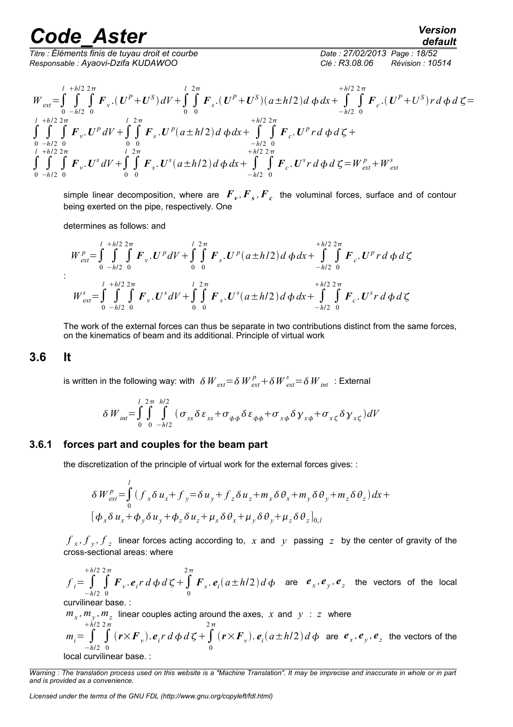*Titre : Éléments finis de tuyau droit et courbe Date : 27/02/2013 Page : 18/52 Responsable : Ayaovi-Dzifa KUDAWOO Clé : R3.08.06 Révision : 10514*

*default*

$$
W_{ext} = \int_{0}^{l} \int_{-h/2}^{+h/2} \int_{0}^{2\pi} \mathbf{F}_{v} \cdot (U^{P} + U^{S}) dV + \int_{0}^{l} \int_{0}^{2\pi} \mathbf{F}_{s} \cdot (U^{P} + U^{S}) (a \pm h/2) d \phi \, dx + \int_{-h/2}^{+h/2} \int_{0}^{2\pi} \mathbf{F}_{c} \cdot (U^{P} + U^{S}) r \, d \phi \, d \zeta =
$$
  

$$
\int_{0}^{l} \int_{-h/2}^{+h/2} \int_{0}^{2\pi} \mathbf{F}_{v} \cdot U^{P} dV + \int_{0}^{l} \int_{0}^{2\pi} \mathbf{F}_{s} \cdot U^{P} (a \pm h/2) d \phi \, dx + \int_{-h/2}^{+h/2} \int_{0}^{2\pi} \mathbf{F}_{c} \cdot U^{P} r \, d \phi \, d \zeta +
$$
  

$$
\int_{0}^{l} \int_{-h/2}^{h/2} \int_{0}^{2\pi} \mathbf{F}_{v} \cdot U^{s} dV + \int_{0}^{l} \int_{0}^{2\pi} \mathbf{F}_{s} \cdot U^{s} (a \pm h/2) d \phi \, dx + \int_{-h/2}^{h/2} \int_{0}^{2\pi} \mathbf{F}_{c} \cdot U^{s} r \, d \phi \, d \zeta = W_{ext}^{P} + W_{ext}^{s}
$$

simple linear decomposition, where are  $|F_{\nu},F_{\overline{s}},F_{\overline{c}}|$  the voluminal forces, surface and of contour being exerted on the pipe, respectively. One

determines as follows: and

$$
W_{ext}^{p} = \int_{0}^{l} \int_{-h/2}^{h/2} \int_{0}^{2\pi} \mathbf{F}_{v} \cdot \mathbf{U}^{p} dV + \int_{0}^{l} \int_{0}^{2\pi} \mathbf{F}_{s} \cdot \mathbf{U}^{p} (a \pm h/2) d \phi dx + \int_{-h/2}^{h/2} \int_{0}^{2\pi} \mathbf{F}_{c} \cdot \mathbf{U}^{p} r d \phi d \zeta
$$
  

$$
W_{ext}^{s} = \int_{0}^{l} \int_{-h/2}^{h/2} \int_{0}^{2\pi} \mathbf{F}_{v} \cdot \mathbf{U}^{s} dV + \int_{0}^{l} \int_{0}^{2\pi} \mathbf{F}_{s} \cdot \mathbf{U}^{s} (a \pm h/2) d \phi dx + \int_{-h/2}^{h/2} \int_{0}^{2\pi} \mathbf{F}_{c} \cdot \mathbf{U}^{s} r d \phi d \zeta
$$

The work of the external forces can thus be separate in two contributions distinct from the same forces, on the kinematics of beam and its additional. Principle of virtual work

#### **3.6 It**

:

is written in the following way: with  $\,\delta\,W_{ext}^{} \!=\! \delta\,W_{ext}^{p} \!+\! \delta\,W_{ext}^{s} \!=\! \delta\,W_{int}^{}$  : External

$$
\delta W_{int} = \int_{0}^{l} \int_{0}^{2\pi} \int_{-h/2}^{h/2} (\sigma_{xx} \delta \varepsilon_{xx} + \sigma_{\phi\phi} \delta \varepsilon_{\phi\phi} + \sigma_{x\phi} \delta \gamma_{x\phi} + \sigma_{x\zeta} \delta \gamma_{x\zeta}) dV
$$

#### **3.6.1 forces part and couples for the beam part**

the discretization of the principle of virtual work for the external forces gives: :

$$
\delta W_{ext}^{p} = \int_{0}^{l} (f_x \delta u_x + f_y) = \delta u_y + f_z \delta u_z + m_x \delta \theta_x + m_y \delta \theta_y + m_z \delta \theta_z) dx +
$$
  
\n
$$
[\phi_x \delta u_x + \phi_y \delta u_y + \phi_z \delta u_z + \mu_x \delta \theta_x + \mu_y \delta \theta_y + \mu_z \delta \theta_z]_{0,l}
$$

 $f_{x}$ ,  $f_{y}$ ,  $f_{z}$  linear forces acting according to,  $x$  and  $y$  passing  $z$  by the center of gravity of the cross-sectional areas: where

 $f_i = \int$ −*h*/2 *h*/2 ∫ 0  $2\,\pi$  $\int$ *F*<sub>*v*</sub>.  $e_i$ <sup>*r*</sup>  $d \phi$   $d \zeta$  +  $\int$ 0  $2\,\pi$  $\mathbf{F}_s \cdot \mathbf{e}_i (a \pm h/2) d \phi$  are  $\mathbf{e}_x, \mathbf{e}_y, \mathbf{e}_z$  the vectors of the local curvilinear base. :

 $m_x$ ,  $m_y$ ,  $m_z$  linear couples acting around the axes,  $x$  and  $y$  :  $z$  where

 $m_i = \int$ −*h*/2 *h*/2 ∫ 0  $2\,\pi$  $(r \times F_v)$ .  $e_i r d \phi d \zeta + \int$ 0  $2\,\pi$  $(r \times F_v)$ .  $e_i(a \pm h/2) d \phi$  are  $e_x$ ,  $e_y$ ,  $e_z$  the vectors of the local curvilinear base. :

*Warning : The translation process used on this website is a "Machine Translation". It may be imprecise and inaccurate in whole or in part and is provided as a convenience.*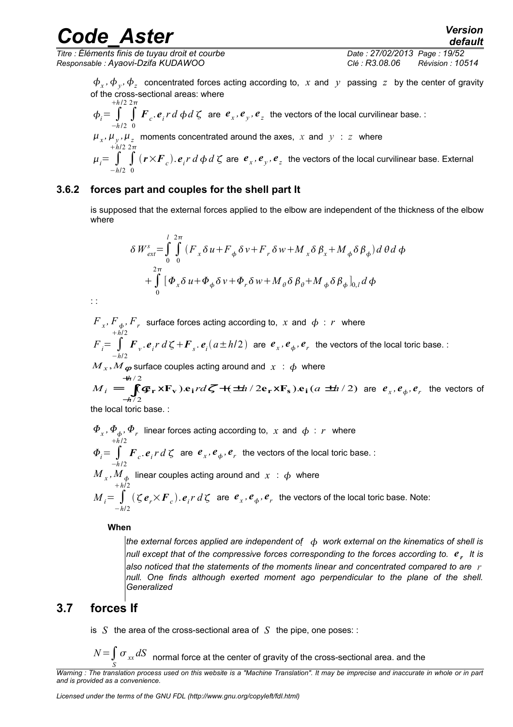*Titre : Éléments finis de tuyau droit et courbe Date : 27/02/2013 Page : 19/52 Responsable : Ayaovi-Dzifa KUDAWOO Clé : R3.08.06 Révision : 10514*

*default*

 $\phi_x$ ,  $\phi_y$ ,  $\phi_z$  concentrated forces acting according to, x and y passing z by the center of gravity of the cross-sectional areas: where

$$
\phi_i = \int_{-h/2}^{+h/2} \int_{0}^{2\pi} \mathbf{F}_c \cdot \mathbf{e}_i r \, d \phi \, d \zeta
$$
 are  $\mathbf{e}_x$ ,  $\mathbf{e}_y$ ,  $\mathbf{e}_z$  the vectors of the local curvilinear base. :

$$
\mu_x
$$
,  $\mu_y$ ,  $\mu_z$  moments concentrated around the axes, x and y : z where  
\n $\mu/2$  2 $\pi$ 

 $\mu_i = \int$ −*h*/2 ∫ 0  $(r\times F_{c})$ .  $e_{i}$ *r d*  $\phi$  *d*  $\zeta$  are  $e_{x}$  *,*  $e_{y}$  *,*  $e_{z}$  the vectors of the local curvilinear base. External

#### **3.6.2 forces part and couples for the shell part It**

is supposed that the external forces applied to the elbow are independent of the thickness of the elbow where

$$
\delta W_{ext}^{s} = \int_{0}^{l} \int_{0}^{2\pi} (F_{x} \delta u + F_{\phi} \delta v + F_{r} \delta w + M_{x} \delta \beta_{x} + M_{\phi} \delta \beta_{\phi}) d\theta d\phi
$$
  
+ 
$$
\int_{0}^{2\pi} [\Phi_{x} \delta u + \Phi_{\phi} \delta v + \Phi_{r} \delta w + M_{\theta} \delta \beta_{\theta} + M_{\phi} \delta \beta_{\phi}]_{0,l} d\phi
$$

: :

 $F_{\,\,_{x}},F_{\,\,\phi},F_{\,\,r}\,$  surface forces acting according to,  $\,\,x\,$  and  $\,\,\phi\,$  :  $\,r\,$  where  $F_i = \int$ −*h*/2 *h*/2  $\bm{F}_v$ ,  $\bm{e}_i r d\bm{\zeta} + \bm{F}_s$ ,  $\bm{e}_i (a \pm h/2)$  are  $\bm{e}_x$ ,  $\bm{e}_\phi$ ,  $\bm{e}_r$  the vectors of the local toric base. :

$$
M_x, M_\phi
$$
 surface couples acting around and  $x : \phi$  where  
\n $+h/2$   
\n $M = \int (\phi \times \mathbf{F}) \cdot \phi \, d\phi \, d\phi / \phi \, d\phi / \phi$ 

 $(\mathbf{F_r} \times \mathbf{F_v}) \cdot \mathbf{e_i}$ rd $\zeta + (\pm h/2 \mathbf{e_r} \times \mathbf{F_s}) \cdot \mathbf{e_i}$  $(a \pm h/2)$ / 2  $M_i = \int (\mathbf{\mathfrak{G}}_r \times \mathbf{F}_v) \cdot \mathbf{e}_i r d \zeta + (\pm h/2 \mathbf{e}_r \times \mathbf{F}_s) \cdot \mathbf{e}_i (a \pm h)$ *h*  $\mathbf{e}_i = \int_{k/2}^{+h/2} (\mathbf{\mathfrak{E}}_\mathbf{r} \times \mathbf{F}_\mathbf{v}) \cdot \mathbf{e}_i r d \mathcal{L} + (\pm h/2 \mathbf{e}_\mathbf{r} \times \mathbf{F}_\mathbf{s}) \cdot \mathbf{e}_i (a \pm h)$ −  $(\mathbf{F}_r \times \mathbf{F}_v) \cdot \mathbf{e}_i r d \mathcal{L} + (\pm h/2\mathbf{e}_r \times \mathbf{F}_s) \cdot \mathbf{e}_i (a \pm h/2)$  are  $e_x, e_\phi, e_r$  the vectors of

the local toric base. :

$$
\Phi_x, \Phi_\phi, \Phi_r
$$
 linear forces acting according to, x and  $\phi : r$  where  
\n
$$
\Phi_i = \int_{-h/2}^{h/2} \mathbf{F}_c \cdot \mathbf{e}_i r \, d \zeta
$$
 are  $\mathbf{e}_x, \mathbf{e}_\phi, \mathbf{e}_r$  the vectors of the local toric base.  
\n
$$
M_x, M_\phi
$$
 linear couples acting around and  $x : \phi$  where  
\n
$$
M_i = \int_{-h/2}^{h/2} (\zeta \mathbf{e}_r \times \mathbf{F}_c) \cdot \mathbf{e}_i r \, d \zeta
$$
 are  $\mathbf{e}_x, \mathbf{e}_\phi, \mathbf{e}_r$  the vectors of the local toric base. Note:

**When** 

*the external forces applied are independent of work external on the kinematics of shell is null except that of the compressive forces corresponding to the forces according to. e <sup>r</sup> It is also noticed that the statements of the moments linear and concentrated compared to are r null. One finds although exerted moment ago perpendicular to the plane of the shell. Generalized*

#### **3.7 forces If**

is *S* the area of the cross-sectional area of *S* the pipe, one poses: :

*<sup>N</sup>*=∫ *S*  $\sigma_{xx} dS$  normal force at the center of gravity of the cross-sectional area. and the

*Warning : The translation process used on this website is a "Machine Translation". It may be imprecise and inaccurate in whole or in part and is provided as a convenience.*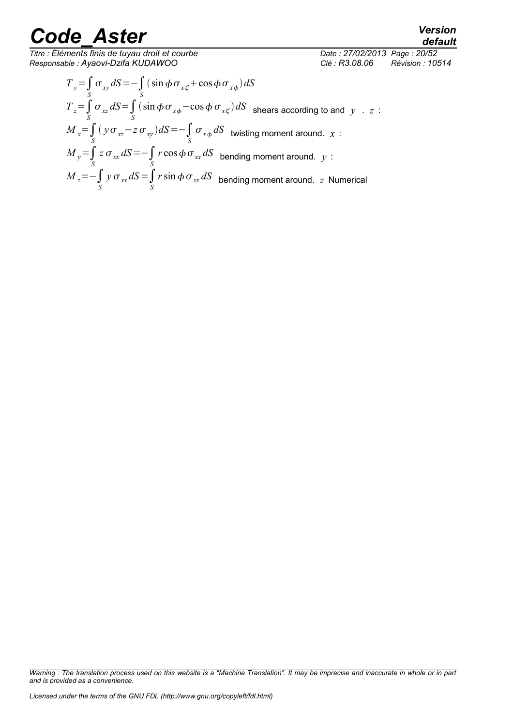*Titre : Éléments finis de tuyau droit et courbe Date : 27/02/2013 Page : 20/52 Responsable : Ayaovi-Dzifa KUDAWOO Clé : R3.08.06 Révision : 10514*

*default*

 $T_y = \int_S$  $\sigma_{xy} dS = -\int_S$  $(\sin \phi \sigma_{x\zeta} + \cos \phi \sigma_{x\phi}) dS$  $T_z = \int_S$  $\sigma_{xz} dS = \int_S$  $\int \sin \phi \, \sigma_{x\phi}$  -  $\cos \phi \, \sigma_{x\zeta}$ ) *dS* shears according to and *y* . *z* :  $M_{x} = \int_{S}$  $(y \sigma_{xz} - z \sigma_{xy}) dS = -\int_S$  $\sigma_{x\phi}\,dS$  twisting moment around.  $x$  :  $M_y = \int_S$  $z \sigma_{xx} dS = -\int_S$  $r\cos\phi\,\sigma_{xx}dS$  bending moment around.  $y$  :  $M_z = -\int_S$  $y \sigma_{xx} dS = \int_S$  $r\sin\phi\,\sigma_{_{\rm{xx}}}dS$  bending moment around.  $\,$  Numerical

*Warning : The translation process used on this website is a "Machine Translation". It may be imprecise and inaccurate in whole or in part and is provided as a convenience.*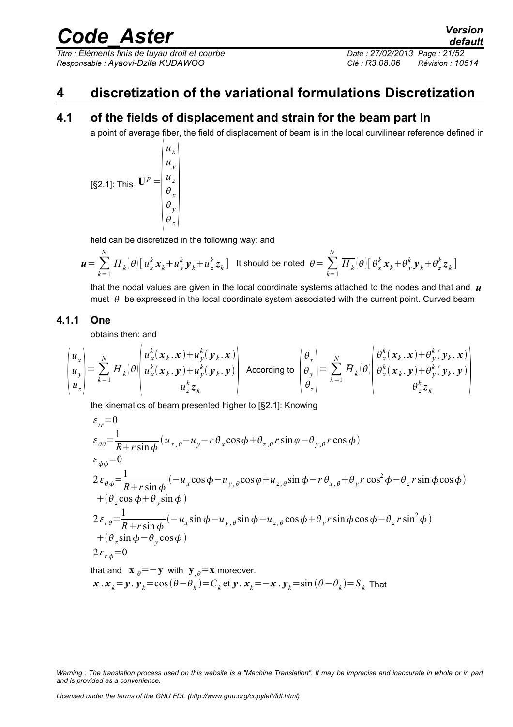*Titre : Éléments finis de tuyau droit et courbe Date : 27/02/2013 Page : 21/52 Responsable : Ayaovi-Dzifa KUDAWOO Clé : R3.08.06 Révision : 10514*

### **4 discretization of the variational formulations Discretization**

#### **4.1 of the fields of displacement and strain for the beam part In**

a point of average fiber, the field of displacement of beam is in the local curvilinear reference defined in

[§2.1]: This 
$$
\mathbf{U}^p = \begin{pmatrix} u_x \\ u_y \\ u_z \\ \theta_x \\ \theta_y \\ \theta_z \end{pmatrix}
$$

field can be discretized in the following way: and

*ux*

$$
\boldsymbol{u} = \sum_{k=1}^N H_k(\boldsymbol{\theta}) \big[ u_x^k \boldsymbol{x}_k + u_y^k \boldsymbol{y}_k + u_z^k \boldsymbol{z}_k \big]
$$
 It should be noted 
$$
\boldsymbol{\theta} = \sum_{k=1}^N \overline{H_k}(\boldsymbol{\theta}) \big[ \boldsymbol{\theta}_x^k \boldsymbol{x}_k + \boldsymbol{\theta}_y^k \boldsymbol{y}_k + \boldsymbol{\theta}_z^k \boldsymbol{z}_k \big]
$$

that the nodal values are given in the local coordinate systems attached to the nodes and that and  $\boldsymbol{\mu}$ must  $\theta$  be expressed in the local coordinate system associated with the current point. Curved beam

#### **4.1.1 One**

obtains then: and

$$
\begin{pmatrix} u_x \\ u_y \\ u_z \end{pmatrix} = \sum_{k=1}^N H_k(\theta) \begin{pmatrix} u_x^k(x_k, x) + u_y^k(y_k, x) \\ u_x^k(x_k, y) + u_y^k(y_k, y) \\ u_z^k z_k \end{pmatrix} \text{ According to } \begin{pmatrix} \theta_x \\ \theta_y \\ \theta_z \end{pmatrix} = \sum_{k=1}^N H_k(\theta) \begin{pmatrix} \theta_x^k(x_k, x) + \theta_y^k(y_k, x) \\ \theta_x^k(x_k, y) + \theta_y^k(y_k, y) \\ \theta_z^k z_k \end{pmatrix}
$$

the kinematics of beam presented higher to [§2.1]: Knowing

$$
\varepsilon_{rr} = 0
$$
\n
$$
\varepsilon_{\theta\theta} = \frac{1}{R + r \sin\phi} (u_{x,\theta} - u_y - r\theta_x \cos\phi + \theta_{z,\theta} r \sin\phi - \theta_{y,\theta} r \cos\phi)
$$
\n
$$
\varepsilon_{\phi\phi} = 0
$$
\n
$$
2 \varepsilon_{\theta\phi} = \frac{1}{R + r \sin\phi} (-u_x \cos\phi - u_{y,\theta} \cos\phi + u_{z,\theta} \sin\phi - r\theta_{x,\theta} + \theta_y r \cos^2\phi - \theta_z r \sin\phi \cos\phi)
$$
\n
$$
+ (\theta_z \cos\phi + \theta_y \sin\phi)
$$
\n
$$
2 \varepsilon_{r\theta} = \frac{1}{R + r \sin\phi} (-u_x \sin\phi - u_{y,\theta} \sin\phi - u_{z,\theta} \cos\phi + \theta_y r \sin\phi \cos\phi - \theta_z r \sin^2\phi)
$$
\n
$$
+ (\theta_z \sin\phi - \theta_y \cos\phi)
$$
\n
$$
2 \varepsilon_{r\phi} = 0
$$

that and  $\mathbf{x}_{\theta} = -\mathbf{y}$  with  $\mathbf{y}_{\theta} = \mathbf{x}$  moreover.  $x$  .  $x_k = y$  .  $y_k = cos(\theta - \theta_k) = C_k$  et  $y$  .  $x_k = -x$  .  $y_k = sin(\theta - \theta_k) = S_k$  That

*Warning : The translation process used on this website is a "Machine Translation". It may be imprecise and inaccurate in whole or in part and is provided as a convenience.*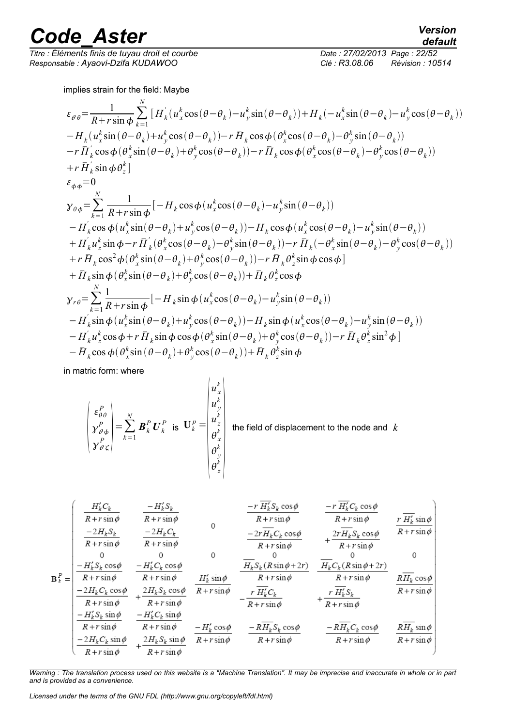*Titre : Éléments finis de tuyau droit et courbe Date : 27/02/2013 Page : 22/52 Responsable : Ayaovi-Dzifa KUDAWOO Clé : R3.08.06 Révision : 10514*

implies strain for the field: Maybe

$$
\varepsilon_{\theta\theta} = \frac{1}{R + r \sin \phi} \sum_{k=1}^{N} \left[ H'_{k}(u_{x}^{k} \cos(\theta - \theta_{k}) - u_{y}^{k} \sin(\theta - \theta_{k})) + H_{k}(-u_{x}^{k} \sin(\theta - \theta_{k}) - u_{y}^{k} \cos(\theta - \theta_{k})) \right] \n- H_{k}(u_{x}^{k} \sin(\theta - \theta_{k}) + u_{y}^{k} \cos(\theta - \theta_{k})) - r \overline{H}_{k} \cos \phi(\theta_{x}^{k} \cos(\theta - \theta_{k}) - \theta_{y}^{k} \sin(\theta - \theta_{k})) \n- r \overline{H}'_{k} \cos \phi(\theta_{x}^{k} \sin(\theta - \theta_{k}) + \theta_{y}^{k} \cos(\theta - \theta_{k})) - r \overline{H}_{k} \cos \phi(\theta_{x}^{k} \cos(\theta - \theta_{k}) - \theta_{y}^{k} \cos(\theta - \theta_{k})) \n+ r \overline{H}'_{k} \sin \phi \theta_{z}^{k} \right] \n\varepsilon_{\phi\phi} = 0 \n\mathcal{Y}_{\theta\phi} = \sum_{k=1}^{N} \frac{1}{R + r \sin \phi} \left[ -H_{k} \cos \phi(u_{x}^{k} \cos(\theta - \theta_{k}) - u_{y}^{k} \sin(\theta - \theta_{k})) \right] \n- H'_{k} \cos \phi(u_{x}^{k} \sin(\theta - \theta_{k}) + u_{y}^{k} \cos(\theta - \theta_{k})) - H_{k} \cos \phi(u_{x}^{k} \cos(\theta - \theta_{k}) - u_{y}^{k} \sin(\theta - \theta_{k})) \n+ H'_{k} u_{z}^{k} \sin \phi - r \overline{H}'_{k} (\theta_{x}^{k} \cos(\theta - \theta_{k}) - \theta_{y}^{k} \sin(\theta - \theta_{k})) - r \overline{H}_{k} (-\theta_{x}^{k} \sin(\theta - \theta_{k}) - \theta_{y}^{k} \cos(\theta - \theta_{k})) \n+ r \overline{H}_{k} \cos^{2} \phi(\theta_{x}^{k} \sin(\theta - \theta_{k}) + \theta_{y}^{k} \cos(\theta - \theta_{k})) - r \overline{H}_{k} (\theta_{z}^{k} \sin \phi \cos \phi) \n+ \over
$$

in matric form: where

$$
\begin{pmatrix}\n\boldsymbol{\varepsilon}_{\theta\theta}^{P} \\
\boldsymbol{y}_{\theta\phi}^{P} \\
\boldsymbol{y}_{\theta\zeta}^{P}\n\end{pmatrix} = \sum_{k=1}^{N} \boldsymbol{B}_{k}^{P} \boldsymbol{U}_{k}^{P} \text{ is } \boldsymbol{\mathrm{U}}_{k}^{P} = \begin{pmatrix}\n\boldsymbol{u}_{x}^{k} \\
\boldsymbol{u}_{y}^{k} \\
\boldsymbol{u}_{z}^{k} \\
\boldsymbol{\theta}_{x}^{k} \\
\boldsymbol{\theta}_{y}^{k} \\
\boldsymbol{\theta}_{z}^{k}\n\end{pmatrix} \text{ the field of displacement to the node and } k
$$

$$
\mathbf{B}_{k}^{P} = \begin{pmatrix}\nH_{k}^{'}C_{k} & -H_{k}^{'}S_{k} & -r \overline{H}_{k}^{'}S_{k} \cos\phi & -r \overline{H}_{k}^{'}C_{k} \cos\phi \\
\frac{-2H_{k}S_{k}}{R+r \sin\phi} & \frac{-2H_{k}C_{k}}{R+r \sin\phi} & 0 & -r \overline{H_{k}^{'}C_{k}} & \frac{-r \overline{H_{k}}^{'}C_{k} \cos\phi}{R+r \sin\phi} & \frac{r \overline{H_{k}^{'} \sin\phi}}{R+r \sin\phi} \\
0 & 0 & 0 & 0 & 0 & 0 \\
\frac{-H_{k}^{'}S_{k} \cos\phi}{R+r \sin\phi} & \frac{-H_{k}^{'}C_{k} \cos\phi}{R+r \sin\phi} & \frac{-H_{k}^{'}C_{k} \cos\phi}{R+r \sin\phi} & \frac{-H_{k}^{'}C_{k} \cos\phi}{R+r \sin\phi} & \frac{-H_{k}^{'}C_{k} \cos\phi}{R+r \sin\phi} \\
\frac{-2H_{k}C_{k} \cos\phi}{R+r \sin\phi} & \frac{H_{k}^{'}\sin\phi}{R+r \sin\phi} & \frac{H_{k}^{'}\sin\phi}{R+r \sin\phi} & \frac{-r \overline{H_{k}^{'}C_{k}}(R \sin\phi + 2r)}{R+r \sin\phi} & \frac{H_{k}^{'}\sin\phi}{R+r \sin\phi} \\
\frac{-H_{k}^{'}S_{k} \sin\phi}{R+r \sin\phi} & \frac{-H_{k}^{'}C_{k} \sin\phi}{R+r \sin\phi} & \frac{-H_{k}^{'}C_{k} \cos\phi}{R+r \sin\phi} & \frac{-r \overline{H_{k}^{'}C_{k}}}{R+r \sin\phi} & \frac{-r \overline{H_{k}^{'}C_{k}}}{R+r \sin\phi} \\
\frac{-2H_{k}C_{k} \sin\phi}{R+r \sin\phi} & \frac{-2H_{k}C_{k} \sin\phi}{R+r \sin\phi} & \frac{-r \overline{H_{k}^{'}C_{k}} \cos\phi}{R+r \sin\phi} & \frac{-r \overline{H_{k}^{'}C_{k}} \cos\phi}{R+r \sin\phi} & \frac{-r \overline{H_{k}^{'}C_{k}} \cos\phi}{R+r \sin\phi} & \frac{r
$$

*Warning : The translation process used on this website is a "Machine Translation". It may be imprecise and inaccurate in whole or in part and is provided as a convenience.*

*Licensed under the terms of the GNU FDL (http://www.gnu.org/copyleft/fdl.html)*

*default*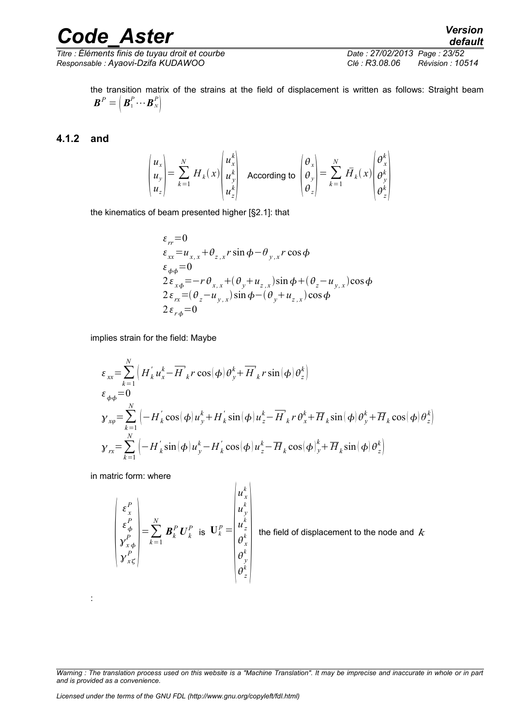$\overline{T}$ itre : Éléments finis de tuyau droit et courbe *Responsable : Ayaovi-Dzifa KUDAWOO Clé : R3.08.06 Révision : 10514*

the transition matrix of the strains at the field of displacement is written as follows: Straight beam  $\boldsymbol{B}^P = \begin{bmatrix} \boldsymbol{B}_1^P \cdots \boldsymbol{B}_N^P \end{bmatrix}$ 

#### **4.1.2 and**

$$
\begin{pmatrix} u_x \\ u_y \\ u_z \end{pmatrix} = \sum_{k=1}^N H_k(x) \begin{pmatrix} u_x^k \\ u_y^k \\ u_z^k \end{pmatrix}
$$
 According to 
$$
\begin{pmatrix} \theta_x \\ \theta_y \\ \theta_z \end{pmatrix} = \sum_{k=1}^N \overline{H}_k(x) \begin{pmatrix} \theta_x^k \\ \theta_y^k \\ \theta_z^k \end{pmatrix}
$$

the kinematics of beam presented higher [§2.1]: that

$$
\varepsilon_{rr} = 0
$$
\n
$$
\varepsilon_{xx} = u_{x,x} + \theta_{z,x} r \sin \phi - \theta_{y,x} r \cos \phi
$$
\n
$$
\varepsilon_{\phi\phi} = 0
$$
\n
$$
2\varepsilon_{x\phi} = -r \theta_{x,x} + (\theta_y + u_{z,x}) \sin \phi + (\theta_z - u_{y,x}) \cos \phi
$$
\n
$$
2\varepsilon_{rx} = (\theta_z - u_{y,x}) \sin \phi - (\theta_y + u_{z,x}) \cos \phi
$$
\n
$$
2\varepsilon_{r\phi} = 0
$$

implies strain for the field: Maybe

$$
\varepsilon_{xx} = \sum_{k=1}^{N} \left( H_{k}^{'} u_{x}^{k} - \overline{H}_{k}^{'} r \cos(\phi) \theta_{y}^{k} + \overline{H}_{k}^{'} r \sin(\phi) \theta_{z}^{k} \right)
$$
  
\n
$$
\varepsilon_{\phi\phi} = 0
$$
  
\n
$$
\gamma_{x\phi} = \sum_{k=1}^{N} \left( -H_{k}^{'} \cos(\phi) u_{y}^{k} + H_{k}^{'} \sin(\phi) u_{z}^{k} - \overline{H}_{k}^{'} r \theta_{x}^{k} + \overline{H}_{k} \sin(\phi) \theta_{y}^{k} + \overline{H}_{k} \cos(\phi) \theta_{z}^{k} \right)
$$
  
\n
$$
\gamma_{rx} = \sum_{k=1}^{N} \left( -H_{k}^{'} \sin(\phi) u_{y}^{k} - H_{k}^{'} \cos(\phi) u_{z}^{k} - \overline{H}_{k} \cos(\phi)_{y}^{k} + \overline{H}_{k} \sin(\phi) \theta_{z}^{k} \right)
$$

in matric form: where

:

$$
\begin{pmatrix}\n\varepsilon_x^P \\
\varepsilon_y^P \\
\gamma_{x\phi}^P \\
\gamma_{x\zeta}^P\n\end{pmatrix} = \sum_{k=1}^N \boldsymbol{B}_k^P \boldsymbol{U}_k^P \text{ is } \boldsymbol{U}_k^P = \begin{pmatrix}\nu_x^k \\
u_y^k \\
u_z^k \\
\theta_x^k \\
\theta_y^k \\
\theta_z^k\n\end{pmatrix} \text{ the fie}
$$

the field of displacement to the node and *k*

*Warning : The translation process used on this website is a "Machine Translation". It may be imprecise and inaccurate in whole or in part and is provided as a convenience.*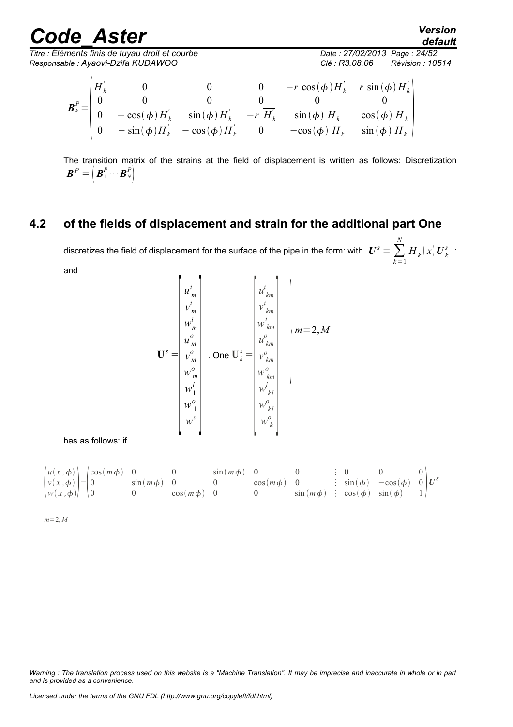*default*<br>Date : 27/02/2013 Page : 24/52

 $\overline{T}$ itre : Éléments finis de tuyau droit et courbe *Responsable : Ayaovi-Dzifa KUDAWOO Clé : R3.08.06 Révision : 10514*

$$
\mathbf{B}_{k}^{P} = \begin{pmatrix} H_{k}^{'} & 0 & 0 & 0 & -r \cos(\phi) \overline{H}_{k}^{'} & r \sin(\phi) \overline{H}_{k}^{'} \\ 0 & 0 & 0 & 0 & 0 & 0 \\ 0 & -\cos(\phi) H_{k}^{'} & \sin(\phi) H_{k}^{'} & -r \overline{H}_{k}^{'} & \sin(\phi) \overline{H}_{k} & \cos(\phi) \overline{H}_{k}^{'} \\ 0 & -\sin(\phi) H_{k}^{'} & -\cos(\phi) H_{k}^{'} & 0 & -\cos(\phi) \overline{H}_{k} & \sin(\phi) \overline{H}_{k}^{'} \end{pmatrix}
$$

The transition matrix of the strains at the field of displacement is written as follows: Discretization  $\boldsymbol{B}^P = \begin{pmatrix} \boldsymbol{B}_1^P \cdots \boldsymbol{B}_N^P \end{pmatrix}$ 

### **4.2 of the fields of displacement and strain for the additional part One**

discretizes the field of displacement for the surface of the pipe in the form: with  $\,\, \bm{U}^s = \sum_{k=1}$ *N*  $H_k(x|\boldsymbol{U}^s_k):$ and

$$
\mathbf{U}^{s} = \begin{bmatrix} u_{m}^{i} \\ v_{m}^{i} \\ w_{m}^{i} \\ u_{m}^{o} \\ w_{m}^{o} \\ w_{1}^{i} \\ w_{2}^{i} \\ w_{0}^{i} \\ w_{1}^{o} \\ w_{0}^{o} \\ w_{1}^{o} \\ w_{0}^{o} \\ w_{0}^{o} \\ w_{k}^{o} \\ w_{k}^{o} \\ w_{k}^{o} \\ w_{k}^{o} \\ w_{k}^{o} \\ w_{k}^{o} \\ w_{k}^{o} \\ w_{k}^{o} \\ w_{k}^{o} \\ w_{k}^{o} \\ w_{k}^{o} \\ w_{k}^{o} \\ w_{k}^{o} \\ w_{k}^{o} \\ w_{k}^{o} \\ w_{k}^{o} \\ w_{k}^{o} \\ w_{k}^{o} \\ w_{k}^{o} \\ w_{k}^{o} \\ w_{k}^{o} \\ w_{k}^{o} \\ w_{k}^{o} \\ w_{k}^{o} \\ w_{k}^{o} \\ w_{k}^{o} \\ w_{k}^{o} \\ w_{k}^{o} \\ w_{k}^{o} \\ w_{k}^{o} \\ w_{k}^{o} \\ w_{k}^{o} \\ w_{k}^{o} \\ w_{k}^{o} \\ w_{k}^{o} \\ w_{k}^{o} \\ w_{k}^{o} \\ w_{k}^{o} \\ w_{k}^{o} \\ w_{k}^{o} \\ w_{k}^{o} \\ w_{k}^{o} \\ w_{k}^{o} \\ w_{k}^{o} \\ w_{k}^{o} \\ w_{k}^{o} \\ w_{k}^{o} \\ w_{k}^{o} \\ w_{k}^{o} \\ w_{k}^{o} \\ w_{k}^{o} \\ w_{k}^{o} \\ w_{k}^{o} \\ w_{k}^{o} \\ w_{k}^{o} \\ w_{k}^{o} \\ w_{k}^{o} \\ w_{k}^{o} \\ w_{k}^{o} \\ w_{k}^{o} \\ w_{k}^{o} \\ w_{k}^{o} \\ w_{k}^{o} \\ w_{k}^{o} \\ w_{k}^{o} \\ w_{k}^{o} \\ w_{k}^{o} \\ w_{k}^{o} \\ w_{k}^{o} \\ w_{k}^{o} \\ w_{k}^{o} \\ w_{k}^{o} \\ w_{k}^{o} \\ w_{k}^{o} \\ w_{k}^{o} \\ w_{k}^{o} \\ w_{k}^{o} \\ w_{k}^{o} \\ w_{k}^{o} \\ w_{k}^{o} \\
$$

has as follows: if

|                                             | $\left\{u(x,\phi)\right\}$ $\left(\cos(m\phi)\right)$ 0 |                 |                 | $\sin(m\phi)$ 0 |                 |  |                                                   |  |
|---------------------------------------------|---------------------------------------------------------|-----------------|-----------------|-----------------|-----------------|--|---------------------------------------------------|--|
| $ v(x,\phi) = 0 $                           |                                                         | $\sin(m\phi)$ 0 |                 |                 | $\cos(m\phi)$ 0 |  | $\frac{1}{2}$ sin( $\phi$ ) $-\cos(\phi)$ 0 $U^s$ |  |
| $\left  w(x,\phi) \right  \left  0 \right $ |                                                         |                 | $\cos(m\phi)$ 0 |                 |                 |  | $sin(m\phi)$ : $cos(\phi)$ $sin(\phi)$ 1          |  |

 $m=2, M$ 

*Warning : The translation process used on this website is a "Machine Translation". It may be imprecise and inaccurate in whole or in part and is provided as a convenience.*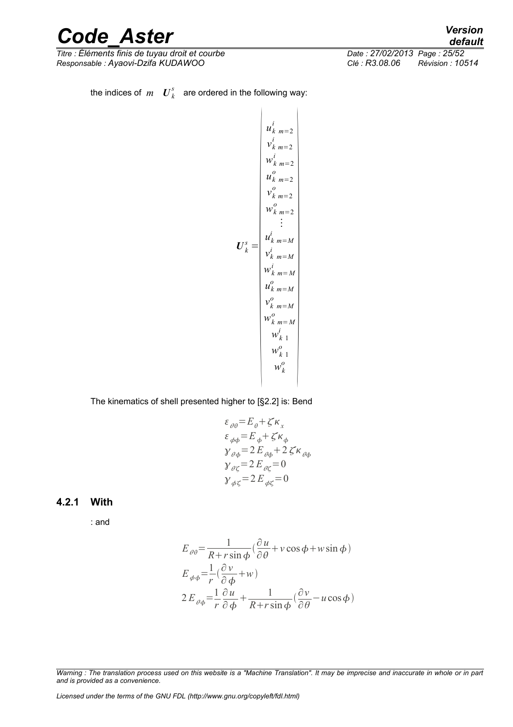*Titre : Éléments finis de tuyau droit et courbe Date : 27/02/2013 Page : 25/52 Responsable : Ayaovi-Dzifa KUDAWOO Clé : R3.08.06* 

*default*<br>Date : 27/02/2013 Page : 25/52

the indices of  $m$   $\boldsymbol{U}_k^s$  are ordered in the following way:

$$
u_{k m = 2}^{i}
$$
\n
$$
u_{k m = 2}^{i}
$$
\n
$$
v_{k m = 2}^{i}
$$
\n
$$
u_{k m = 2}^{o}
$$
\n
$$
v_{k m = 2}^{o}
$$
\n
$$
v_{k m = 2}^{o}
$$
\n
$$
\vdots
$$
\n
$$
u_{k m = M}^{i}
$$
\n
$$
v_{k m = M}^{i}
$$
\n
$$
u_{k m = M}^{o}
$$
\n
$$
u_{k m = M}^{o}
$$
\n
$$
v_{k m = M}^{o}
$$
\n
$$
v_{k m = M}^{o}
$$
\n
$$
w_{k 1}^{o}
$$
\n
$$
w_{k 1}^{o}
$$
\n
$$
w_{k 1}^{o}
$$
\n
$$
w_{k}^{o}
$$
\n
$$
w_{k}^{o}
$$

The kinematics of shell presented higher to [§2.2] is: Bend

$$
\varepsilon_{\theta\theta} = E_{\theta} + \zeta \kappa_x
$$
  
\n
$$
\varepsilon_{\phi\phi} = E_{\phi} + \zeta \kappa_{\phi}
$$
  
\n
$$
\gamma_{\theta\phi} = 2 E_{\theta\phi} + 2 \zeta \kappa_{\theta\phi}
$$
  
\n
$$
\gamma_{\theta\zeta} = 2 E_{\theta\zeta} = 0
$$
  
\n
$$
\gamma_{\phi\zeta} = 2 E_{\phi\zeta} = 0
$$

#### **4.2.1 With**

: and

$$
E_{\theta\theta} = \frac{1}{R + r\sin\phi} \left(\frac{\partial u}{\partial \theta} + v\cos\phi + w\sin\phi\right)
$$
  
\n
$$
E_{\phi\phi} = \frac{1}{r} \left(\frac{\partial v}{\partial \phi} + w\right)
$$
  
\n
$$
2E_{\theta\phi} = \frac{1}{r} \frac{\partial u}{\partial \phi} + \frac{1}{R + r\sin\phi} \left(\frac{\partial v}{\partial \theta} - u\cos\phi\right)
$$

*Warning : The translation process used on this website is a "Machine Translation". It may be imprecise and inaccurate in whole or in part and is provided as a convenience.*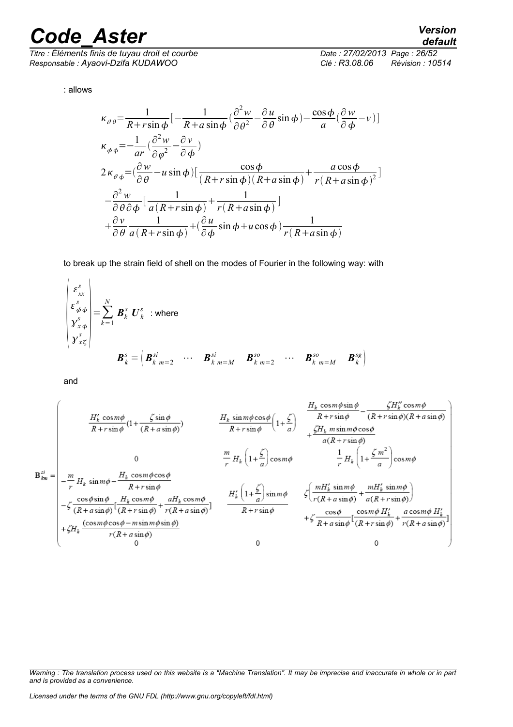*Titre : Éléments finis de tuyau droit et courbe Date : 27/02/2013 Page : 26/52 Responsable : Ayaovi-Dzifa KUDAWOO Clé : R3.08.06 Révision : 10514*

: allows

$$
\kappa_{\theta\theta} = \frac{1}{R + r\sin\phi} \left[ -\frac{1}{R + a\sin\phi} \left( \frac{\partial^2 w}{\partial \theta^2} - \frac{\partial u}{\partial \theta} \sin\phi \right) - \frac{\cos\phi}{a} \left( \frac{\partial w}{\partial \phi} - v \right) \right]
$$
  
\n
$$
\kappa_{\phi\phi} = -\frac{1}{ar} \left( \frac{\partial^2 w}{\partial \phi^2} - \frac{\partial v}{\partial \phi} \right)
$$
  
\n
$$
2\kappa_{\theta\phi} = \left( \frac{\partial w}{\partial \theta} - u \sin\phi \right) \left[ \frac{\cos\phi}{(R + r\sin\phi)(R + a\sin\phi)} + \frac{a\cos\phi}{r(R + a\sin\phi)^2} \right]
$$
  
\n
$$
-\frac{\partial^2 w}{\partial \theta \partial \phi} \left[ \frac{1}{a(R + r\sin\phi)} + \frac{1}{r(R + a\sin\phi)} \right]
$$
  
\n
$$
+\frac{\partial v}{\partial \theta} \frac{1}{a(R + r\sin\phi)} + \left( \frac{\partial u}{\partial \phi} \sin\phi + u\cos\phi \right) \frac{1}{r(R + a\sin\phi)}
$$

to break up the strain field of shell on the modes of Fourier in the following way: with

$$
\begin{pmatrix}\n\varepsilon_{xx}^s \\
\varepsilon_{\phi\phi}^s \\
y_{x\phi}^s \\
y_{x\zeta}^s\n\end{pmatrix} = \sum_{k=1}^N \boldsymbol{B}_k^s \boldsymbol{U}_k^s \text{ where}
$$
\n
$$
\boldsymbol{B}_k^s = \begin{pmatrix} \boldsymbol{B}_k^{si} & \cdots & \boldsymbol{B}_k^{si} \\ \boldsymbol{B}_k^{si} & \cdots & \boldsymbol{B}_k^{si} \\ \cdots & \cdots & \cdots & \cdots \\ \boldsymbol{B}_k^{si} & \cdots & \boldsymbol{B}_k^{so} & \cdots \\ \end{pmatrix}
$$

and

 $\overline{1}$ 

$$
\mathbf{B}_{km}^{si} = \begin{pmatrix}\nH_k' \cos m\phi & H_k' \sin m\phi & H_k' \sin m\phi \cos \phi \\
-\frac{m}{r} H_k \sin m\phi & H_k' \sin m\phi & H_k' \sin m\phi & H_k \sin m\phi \cos \phi \\
-\frac{m}{r} H_k \sin m\phi & H_k' \cos m\phi & H_k \sin m\phi & H_k \sin m\phi & H_k \sin m\phi\n\end{pmatrix}
$$
\n
$$
\mathbf{B}_{km}^{si} = \begin{pmatrix}\nH_k \cos m\phi & H_k' \sin m\phi & H_k' \sin m\phi & H_k \sin m\phi & H_k \sin m\phi & H_k \sin m\phi & H_k \sin m\phi & H_k \sin m\phi & H_k \sin m\phi & H_k \sin m\phi & H_k \sin m\phi & H_k \sin m\phi & H_k \sin m\phi & H_k \sin m\phi & H_k \sin m\phi & H_k \sin m\phi & H_k \sin m\phi & H_k \sin m\phi & H_k \sin m\phi & H_k \sin m\phi & H_k \sin m\phi & H_k \sin m\phi & H_k \sin m\phi & H_k \sin m\phi & H_k \sin m\phi & H_k \sin m\phi & H_k \sin m\phi & H_k \sin m\phi & H_k \sin m\phi & H_k \sin m\phi & H_k \sin m\phi & H_k \sin m\phi & H_k \sin m\phi & H_k \sin m\phi & H_k \sin m\phi & H_k \sin m\phi & H_k \sin m\phi & H_k \sin m\phi & H_k \sin m\phi & H_k \sin m\phi & H_k \sin m\phi & H_k \sin m\phi & H_k \sin m\phi & H_k \sin m\phi & H_k \sin m\phi & H_k \sin m\phi & H_k \sin m\phi & H_k \sin m\phi & H_k \sin m\phi & H_k \sin m\phi & H_k \sin m\phi & H_k \sin m\phi & H_k \sin m\phi & H_k \sin m\phi & H_k \sin m\phi & H_k \sin m\phi & H_k \sin m\phi & H_k \sin m\phi & H_k \sin m\phi & H_k \sin m\phi & H_k \sin m\phi & H_k \sin m\phi & H_k \sin m\phi & H_k \sin m\phi & H_k \sin m\phi & H_k \sin m\phi & H_k \sin m\phi & H_k \sin m\phi & H_k \sin m\phi & H_k \sin m\phi & H_k \sin m\phi & H_k \sin m\phi & H_k \sin m\
$$

*Warning : The translation process used on this website is a "Machine Translation". It may be imprecise and inaccurate in whole or in part and is provided as a convenience.*

### *default*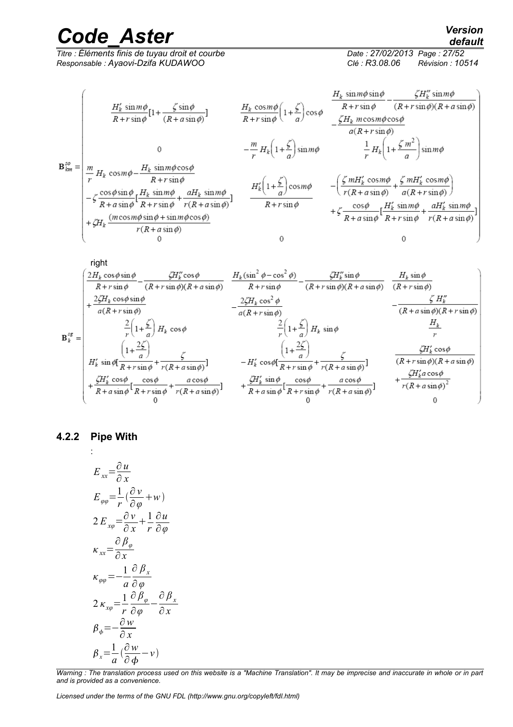*Titre : Éléments finis de tuyau droit et courbe Responsable : Ayaovi-Dzifa KUDAWOO Clé : R3.08.06 Révision : 10514*

*default*

$$
\mathbf{B}_{km}^{\infty} = \begin{pmatrix}\nH_k' \sin m\phi \\
\frac{H_k' \sin m\phi}{R + r \sin \phi} \left[1 + \frac{\zeta \sin \phi}{(R + a \sin \phi)}\right] & H_k \cos m\phi \\
\frac{H_k \cos m\phi}{R + r \sin \phi} \left(1 + \frac{\zeta}{a}\right) \cos \phi & \frac{\zeta H_k' \sin m\phi \cos \phi}{(R + r \sin \phi)} - \frac{\zeta H_k'' \sin m\phi}{(R + r \sin \phi)}\right] \\
0 & 0 & -\frac{m}{r} H_k \left(1 + \frac{\zeta}{a}\right) \sin m\phi & \frac{1}{r} H_k \left(1 + \frac{\zeta m^2}{a}\right) \sin m\phi \\
-\zeta \frac{\cos \phi \sin \phi}{R + r \sin \phi} \frac{H_k \sin m\phi \cos \phi}{R + r \sin \phi} & H_k' \left(1 + \frac{\zeta}{a}\right) \cos m\phi & - \left(\frac{\zeta m H_k' \cos m\phi}{r(R + a \sin \phi)} + \frac{\zeta m H_k' \cos m\phi}{a(R + r \sin \phi)}\right) \\
+ \zeta H_k \frac{(m \cos m\phi \sin \phi + \sin m\phi \cos \phi)}{r(R + a \sin \phi)} & \frac{H_k' \left(1 + \frac{\zeta}{a}\right) \cos m\phi}{R + r \sin \phi} & + \zeta \frac{\cos \phi}{R + a \sin \phi} \left[ \frac{H_k' \sin m\phi}{R + r \sin \phi} + \frac{aH_k' \sin m\phi}{r(R + a \sin \phi)} \right] \\
+ \zeta H_k \frac{(m \cos m\phi \sin \phi + \sin m\phi \cos \phi)}{r(R + a \sin \phi)} & 0 & 0\n\end{pmatrix}
$$



#### **4.2.2 Pipe With**

:

$$
E_{xx} = \frac{\partial u}{\partial x}
$$
  
\n
$$
E_{\varphi\varphi} = \frac{1}{r} \left( \frac{\partial v}{\partial \varphi} + w \right)
$$
  
\n
$$
2 E_{x\varphi} = \frac{\partial v}{\partial x} + \frac{1}{r} \frac{\partial u}{\partial \varphi}
$$
  
\n
$$
\kappa_{xx} = \frac{\partial \beta_{\varphi}}{\partial x}
$$
  
\n
$$
\kappa_{\varphi\varphi} = -\frac{1}{a} \frac{\partial \beta_{x}}{\partial \varphi}
$$
  
\n
$$
2 \kappa_{x\varphi} = \frac{1}{r} \frac{\partial \beta_{\varphi}}{\partial \varphi} - \frac{\partial \beta_{x}}{\partial x}
$$
  
\n
$$
\beta_{\varphi} = -\frac{\partial w}{\partial x}
$$
  
\n
$$
\beta_{x} = \frac{1}{a} \left( \frac{\partial w}{\partial \varphi} - v \right)
$$

*Warning : The translation process used on this website is a "Machine Translation". It may be imprecise and inaccurate in whole or in part and is provided as a convenience.*

*Licensed under the terms of the GNU FDL (http://www.gnu.org/copyleft/fdl.html)*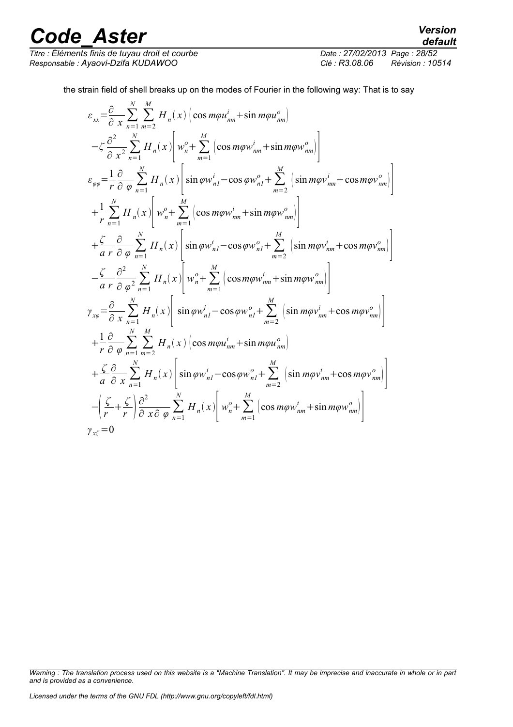*Titre : Éléments finis de tuyau droit et courbe Date : 27/02/2013 Page : 28/52 Responsable : Ayaovi-Dzifa KUDAWOO Clé : R3.08.06 Révision : 10514*

the strain field of shell breaks up on the modes of Fourier in the following way: That is to say

$$
\varepsilon_{xx} = \frac{\partial}{\partial x} \sum_{n=1}^{N} \sum_{m=2}^{M} H_{n}(x) \left( \cos m\varphi u_{nm}^{i} + \sin m\varphi u_{nm}^{\circ} \right)
$$
  
\n
$$
- \zeta \frac{\partial^{2}}{\partial x^{2}} \sum_{n=1}^{N} H_{n}(x) \left[ w_{n}^{o} + \sum_{m=1}^{M} \left( \cos m\varphi w_{nm}^{i} + \sin m\varphi w_{nm}^{\circ} \right) \right]
$$
  
\n
$$
\varepsilon_{\varphi\varphi} = \frac{1}{r} \frac{\partial}{\partial \varphi} \sum_{n=1}^{N} H_{n}(x) \left[ \sin \varphi w_{nI}^{i} - \cos \varphi w_{nI}^{o} + \sum_{m=2}^{M} \left( \sin m\varphi v_{nm}^{i} + \cos m\varphi v_{nm}^{\circ} \right) \right]
$$
  
\n
$$
+ \frac{1}{r} \sum_{n=1}^{N} H_{n}(x) \left[ w_{n}^{o} + \sum_{m=1}^{M} \left( \cos m\varphi w_{nm}^{i} + \sin m\varphi w_{nm}^{\circ} \right) \right]
$$
  
\n
$$
+ \frac{\zeta}{a r} \frac{\partial}{\partial \varphi} \sum_{n=1}^{N} H_{n}(x) \left[ \sin \varphi w_{nI}^{i} - \cos \varphi w_{nI}^{o} + \sum_{m=2}^{M} \left( \sin m\varphi v_{nm}^{i} + \cos m\varphi v_{nm}^{\circ} \right) \right]
$$
  
\n
$$
- \frac{\zeta}{a r} \frac{\partial^{2}}{\partial \varphi^{2}} \sum_{n=1}^{N} H_{n}(x) \left[ \sin \varphi w_{nI}^{i} - \cos \varphi w_{nI}^{o} + \sum_{m=2}^{M} \left( \sin m\varphi v_{nm}^{i} + \cos m\varphi v_{nm}^{\circ} \right) \right]
$$
  
\n
$$
\gamma_{x\varphi} = \frac{\partial}{\partial x} \sum_{n=1}^{N} H_{n}(x) \left[ \sin \varphi w_{nI}^{i} - \cos \varphi w_{nI}^{o} + \sum_{m=2}^{M} \left( \sin m\varphi v_{nm
$$

*Warning : The translation process used on this website is a "Machine Translation". It may be imprecise and inaccurate in whole or in part and is provided as a convenience.*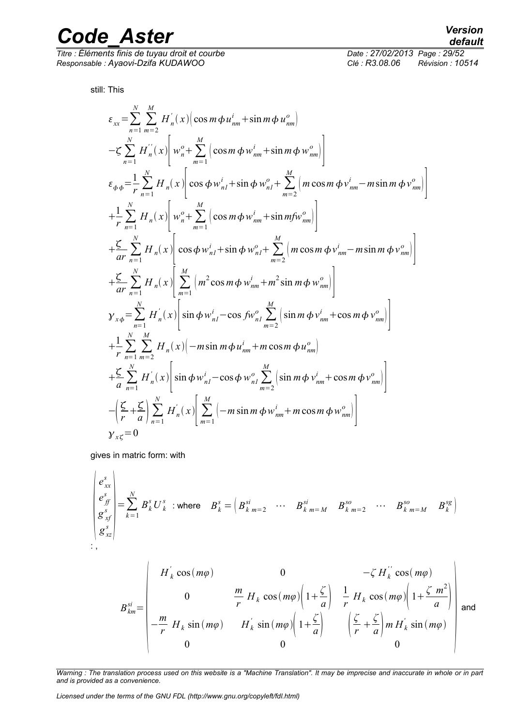*Titre : Éléments finis de tuyau droit et courbe Date : 27/02/2013 Page : 29/52 Responsable : Ayaovi-Dzifa KUDAWOO Clé : R3.08.06 Révision : 10514*

 $\frac{1}{2}$ 

still: This

$$
\varepsilon_{xx} = \sum_{n=1}^{N} \sum_{m=2}^{M} H'_{n}(x) \Big( \cos m \phi u_{nm}^{i} + \sin m \phi u_{nm}^{o} \Big) \n- \zeta \sum_{n=1}^{N} H'_{n}(x) \Bigg[ w_{n}^{o} + \sum_{m=1}^{M} \Big( \cos m \phi w_{nm}^{i} + \sin m \phi w_{nm}^{o} \Big) \n\varepsilon_{\phi\phi} = \frac{1}{r} \sum_{n=1}^{N} H_{n}(x) \Bigg[ \cos \phi w_{n}^{i} + \sin \phi w_{n}^{o} + \sum_{m=2}^{M} \Big( m \cos m \phi v_{nm}^{i} - m \sin m \phi v_{nm}^{o} \n+ \frac{1}{r} \sum_{n=1}^{N} H_{n}(x) \Bigg[ w_{n}^{o} + \sum_{m=1}^{M} \Big( \cos m \phi w_{nm}^{i} + \sin m \theta w_{nm}^{o} \Big) \n+ \frac{\zeta}{ar} \sum_{n=1}^{N} H_{n}(x) \Bigg[ \cos \phi w_{n}^{i} + \sin \phi w_{n}^{o} + \sum_{m=2}^{M} \Big( m \cos m \phi v_{nm}^{i} - m \sin m \phi v_{nm}^{o} \Big) \n+ \frac{\zeta}{ar} \sum_{n=1}^{N} H_{n}(x) \Bigg[ \sum_{m=1}^{M} \Big( m^{2} \cos m \phi w_{nm}^{i} + m^{2} \sin m \phi w_{nm}^{o} \Big) \n\mathbf{y}_{x\phi} = \sum_{n=1}^{N} H'_{n}(x) \Bigg[ \sin \phi w_{n}^{i} - \cos f w_{n}^{o} \sum_{m=2}^{M} \Big( \sin m \phi v_{nm}^{i} + \cos m \phi v_{nm}^{o} \Big) \n+ \frac{1}{r} \sum_{n=1}^{N} \sum_{m=2}^{M} H_{n}(x) \Big( -m \sin m \phi u_{nm}^{i} + m \cos m \phi u_{nm}^{o} \Big) \n+ \frac{\zeta}{a} \sum_{n=1}^{N} H'_{n}(x) \Bigg[ \sin \phi w_{n}^{i} - \cos \phi w_{n}^{o} \sum_{m=2}^{M} \Big( \sin m \phi v
$$

gives in matric form: with

$$
\begin{pmatrix} e_{xx}^s \\ e_{jj}^s \\ g_{xf}^s \\ g_{xz}^s \end{pmatrix} = \sum_{k=1}^N B_k^s U_k^s \text{ : where } B_k^s = \begin{pmatrix} B_{k,m=2}^{si} & \cdots & B_{k,m=M}^{si} & B_{k,m=2}^{so} & \cdots & B_{k,m=M}^{so} & B_k^{sg} \end{pmatrix}
$$
  
\n: ,

$$
B_{km}^{si} = \begin{pmatrix} H_{k}^{'} \cos(m\varphi) & 0 & -\zeta H_{k}^{''} \cos(m\varphi) \\ 0 & \frac{m}{r} H_{k} \cos(m\varphi) \left(1 + \frac{\zeta}{a}\right) & \frac{1}{r} H_{k} \cos(m\varphi) \left(1 + \frac{\zeta}{a}\right) \\ -\frac{m}{r} H_{k} \sin(m\varphi) & H_{k}^{'} \sin(m\varphi) \left(1 + \frac{\zeta}{a}\right) & \left(\frac{\zeta}{r} + \frac{\zeta}{a}\right) m H_{k}^{'} \sin(m\varphi) \\ 0 & 0 & 0 \end{pmatrix} \text{ and}
$$

*Warning : The translation process used on this website is a "Machine Translation". It may be imprecise and inaccurate in whole or in part and is provided as a convenience.*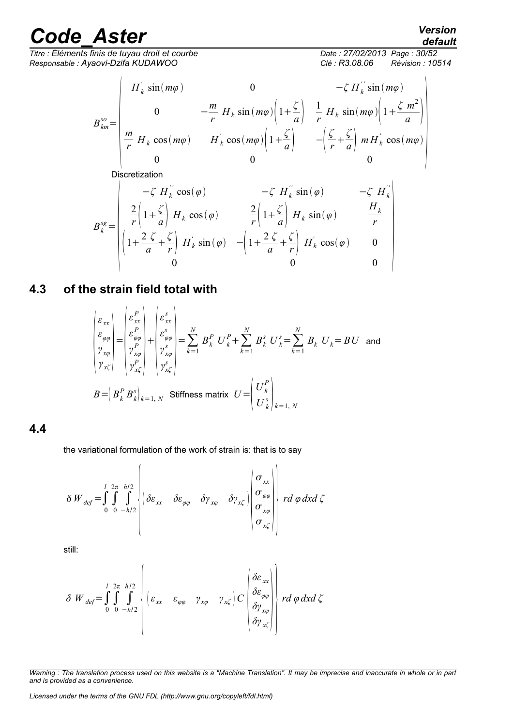*Titre : Éléments finis de tuyau droit et courbe Date : 27/02/2014*<br>Responsable : Avaovi-Dzifa KUDAWOO *Responsable : Ayaovi-Dzifa KUDAWOO Clé : R3.08.06 Révision : 10514*

*default*

$$
B_{km}^{so} = \begin{pmatrix} H_k' \sin(m\varphi) & 0 & -\zeta H_k'' \sin(m\varphi) \\ 0 & -\frac{m}{r} H_k \sin(m\varphi) \left(1 + \frac{\zeta}{a}\right) & \frac{1}{r} H_k \sin(m\varphi) \left(1 + \frac{\zeta}{a}\right) \\ \frac{m}{r} H_k \cos(m\varphi) & H_k' \cos(m\varphi) \left(1 + \frac{\zeta}{a}\right) & -\left(\frac{\zeta}{r} + \frac{\zeta}{a}\right) m H_k' \cos(m\varphi) \\ 0 & 0 & 0 \end{pmatrix}
$$

Discretization

$$
B_k^{sg} = \begin{pmatrix} -\zeta H_k^{''} \cos(\varphi) & -\zeta H_k^{''} \sin(\varphi) & -\zeta H_k^{''} \\ \frac{2}{r} \left(1 + \frac{\zeta}{a}\right) H_k \cos(\varphi) & \frac{2}{r} \left(1 + \frac{\zeta}{a}\right) H_k \sin(\varphi) & \frac{H_k}{r} \\ \left(1 + \frac{2 \zeta}{a} + \frac{\zeta}{r}\right) H_k^{'} \sin(\varphi) & -\left(1 + \frac{2 \zeta}{a} + \frac{\zeta}{r}\right) H_k^{'} \cos(\varphi) & 0 \\ 0 & 0 & 0 \end{pmatrix}
$$

### **4.3 of the strain field total with**

$$
\begin{aligned}\n\begin{bmatrix}\n\varepsilon_{xx} \\
\varepsilon_{\varphi\varphi} \\
\varphi_{\varphi\varphi} \\
\varphi_{x\zeta}\n\end{bmatrix} &= \begin{bmatrix}\n\varepsilon_{xx}^P \\
\varepsilon_{\varphi\varphi}^P \\
\varphi_{\varphi\varphi}^P \\
\varphi_{x\zeta}^P\n\end{bmatrix} + \begin{bmatrix}\n\varepsilon_{xx}^S \\
\varepsilon_{\varphi\varphi}^S \\
\varphi_{\varphi\varphi}^S \\
\varphi_{x\zeta}^S\n\end{bmatrix} &= \sum_{k=1}^N B_k^P U_k^P + \sum_{k=1}^N B_k^S U_k^S = \sum_{k=1}^N B_k U_k = BU \text{ and} \\
\varphi_{x\zeta}^P \\
\varphi_{x\zeta}^S\n\end{aligned}
$$
\n
$$
B = \left(B_k^P B_k^S\right)_{k=1,N} \text{ Stiffness matrix } U = \begin{pmatrix} U_k^P \\ U_k^S \\ U_k^S \end{pmatrix}_{k=1,N}
$$

#### **4.4**

the variational formulation of the work of strain is: that is to say

$$
\delta W_{def} = \int_{0}^{l} \int_{0}^{2\pi} \int_{-h/2}^{h/2} \left| \left( \delta \varepsilon_{xx} \quad \delta \varepsilon_{\varphi\varphi} \quad \delta \gamma_{x\varphi} \quad \delta \gamma_{x\zeta} \right) \begin{pmatrix} \sigma_{xx} \\ \sigma_{\varphi\varphi} \\ \sigma_{x\varphi} \\ \sigma_{x\zeta} \end{pmatrix} \right| r d \varphi dx d \zeta
$$

still:

$$
\delta W_{def} = \int_{0}^{1} \int_{0}^{2\pi} \int_{-h/2}^{h/2} \left( \varepsilon_{xx} \varepsilon_{\varphi\varphi} \gamma_{x\varphi} \gamma_{x\zeta} \right) C \begin{pmatrix} \delta \varepsilon_{xx} \\ \delta \varepsilon_{\varphi\varphi} \\ \delta \gamma_{x\varphi} \\ \delta \gamma_{x\zeta} \end{pmatrix} r d \varphi dx d \zeta
$$

*Warning : The translation process used on this website is a "Machine Translation". It may be imprecise and inaccurate in whole or in part and is provided as a convenience.*

*Licensed under the terms of the GNU FDL (http://www.gnu.org/copyleft/fdl.html)*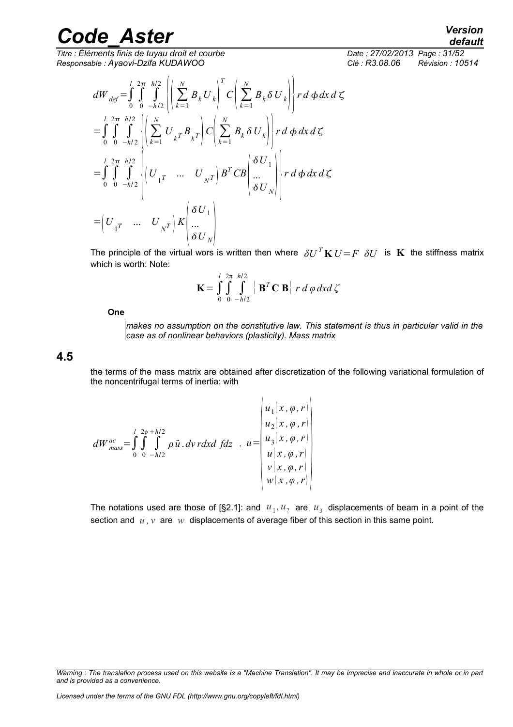$\overline{T}$ itre : Éléments finis de tuyau droit et courbe *Responsable : Ayaovi-Dzifa KUDAWOO Clé : R3.08.06 Révision : 10514*

*default*

$$
dW_{def} = \int_{0}^{l} \int_{0}^{2\pi} \int_{-h/2}^{h/2} \left\{ \left( \sum_{k=1}^{N} B_k U_k \right)^T C \left( \sum_{k=1}^{N} B_k \delta U_k \right) \right\} r d\phi dx d\zeta
$$
  
\n
$$
= \int_{0}^{l} \int_{0}^{2\pi} \int_{-h/2}^{h/2} \left\{ \left( \sum_{k=1}^{N} U_{k} T B_{k} T \right) C \left( \sum_{k=1}^{N} B_k \delta U_k \right) \right\} r d\phi dx d\zeta
$$
  
\n
$$
= \int_{0}^{l} \int_{0}^{2\pi} \int_{-h/2}^{h/2} \left\{ U_{1} T \cdots U_{NT} \right\} B^T C B \left( \frac{\delta U_1}{\cdots} \right) \right\} r d\phi dx d\zeta
$$
  
\n
$$
= \left( U_{1} T \cdots U_{NT} \right) K \left( \frac{\delta U_1}{\delta U_N} \right)
$$

The principle of the virtual wors is written then where  $\delta U^T K U = F \delta U$  is K the stiffness matrix which is worth: Note:

$$
\mathbf{K} = \int_{0}^{l} \int_{0}^{2\pi} \int_{-h/2}^{h/2} \left[ \mathbf{B}^{T} \mathbf{C} \mathbf{B} \right] r \, d \varphi \, dx \, d \zeta
$$

 $\overline{1}$ 

**One** 

*makes no assumption on the constitutive law. This statement is thus in particular valid in the case as of nonlinear behaviors (plasticity). Mass matrix*

 $\mathbf{I}$ 

**4.5**

the terms of the mass matrix are obtained after discretization of the following variational formulation of the noncentrifugal terms of inertia: with

$$
dW_{mass}^{ac} = \int_{0}^{l} \int_{0}^{2p+h/2} \rho \ddot{u} \cdot dv \, r dx d \, f dz \quad u = \begin{vmatrix} u_1(x, \varphi, r) \\ u_2(x, \varphi, r) \\ u_3(x, \varphi, r) \\ u(x, \varphi, r) \\ v(x, \varphi, r) \\ w(x, \varphi, r) \end{vmatrix}
$$

The notations used are those of [§2.1]: and  $u_1$ ,  $u_2$  are  $u_3$  displacements of beam in a point of the section and  $u, v$  are  $w$  displacements of average fiber of this section in this same point.

*Warning : The translation process used on this website is a "Machine Translation". It may be imprecise and inaccurate in whole or in part and is provided as a convenience.*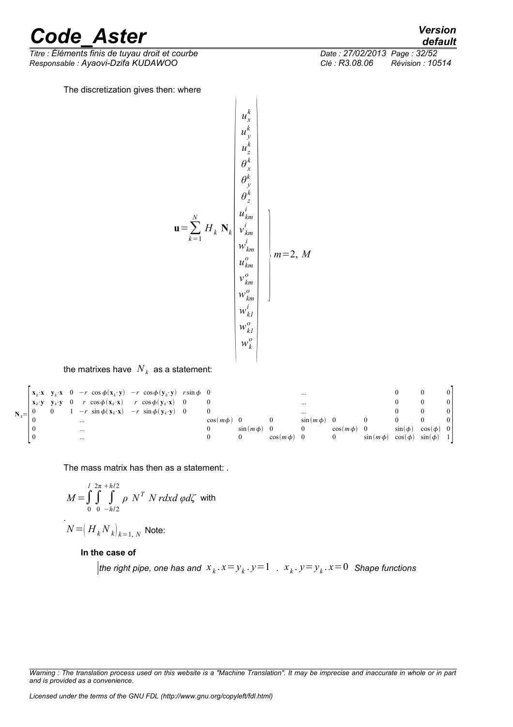*Titre : Éléments finis de tuyau droit et courbe Date : 27/02/2013 Page : 32/52 Responsable : Ayaovi-Dzifa KUDAWOO Clé : R3.08.06* 

The discretization gives then: where

**<sup>u</sup>**=∑ *k*=1 *N H <sup>k</sup>* **N***<sup>k</sup> ux k u y k uz k θ x k θ y k θ z k ukm i v km i wkm i ukm o v km o wkm o wk1 i wk1 o wk <sup>o</sup>* } *m*=2, *M*

the matrixes have  $\left. N_{\textit{k}}\right.$  as a statement:

|            |                                                                 |  |          | $\begin{vmatrix} \mathbf{x}_k \cdot \mathbf{x} & \mathbf{y}_k \cdot \mathbf{x} & 0 & -r \cos \phi(\mathbf{x}_k \cdot \mathbf{y}) & -r \cos \phi(\mathbf{y}_k \cdot \mathbf{y}) & r \sin \phi & 0 \end{vmatrix}$ |  |                |               |              |               | $\cdots$      |               |               |              |                |  |
|------------|-----------------------------------------------------------------|--|----------|-----------------------------------------------------------------------------------------------------------------------------------------------------------------------------------------------------------------|--|----------------|---------------|--------------|---------------|---------------|---------------|---------------|--------------|----------------|--|
|            | $\mathbf{X}_k \cdot \mathbf{V} = \mathbf{V}_k \cdot \mathbf{V}$ |  |          | 0 $r \cos \phi(\mathbf{x}_k \cdot \mathbf{x})$ $r \cos \phi(\mathbf{y}_k \cdot \mathbf{x})$                                                                                                                     |  |                |               |              |               | $\cdots$      |               |               |              |                |  |
| $N_{\nu}=$ |                                                                 |  |          | $1 - r \sin \phi(\mathbf{x}_k \cdot \mathbf{x}) - r \sin \phi(\mathbf{y}_k \cdot \mathbf{y})$                                                                                                                   |  | $\overline{0}$ |               |              |               | $\cdots$      |               |               |              |                |  |
|            |                                                                 |  | $\cdots$ |                                                                                                                                                                                                                 |  |                | $\cos(m\phi)$ |              |               | $\sin(m\phi)$ |               |               |              |                |  |
|            |                                                                 |  | $\cdots$ |                                                                                                                                                                                                                 |  |                |               | $sin(m\phi)$ |               |               | $\cos(m\phi)$ |               | $\sin(\phi)$ | $\cos(\phi)$ 0 |  |
|            |                                                                 |  | $\cdots$ |                                                                                                                                                                                                                 |  |                | $^{(1)}$      |              | $\cos(m\phi)$ |               |               | $\sin(m\phi)$ | $\cos(\phi)$ | $sin(\phi)$    |  |

The mass matrix has then as a statement: .

$$
M = \int_{0}^{l} \int_{0}^{2\pi} \int_{-h/2}^{h/2} \rho \, N^T \, N \, r \, dx \, d\varphi \, d\zeta \text{ with}
$$

$$
N = (H_k N_k)_{k=1, N}
$$
 Note:

#### **In the case of**

the right pipe, one has and  $\left. x_{\,k} \right. . x {=} y_{\,k} \right. . y {=} 1\,$  .  $\left. x_{\,k} \right. . y {=} y_{\,k} \right. . x {=} 0\,$  Shape functions

*Warning : The translation process used on this website is a "Machine Translation". It may be imprecise and inaccurate in whole or in part and is provided as a convenience.*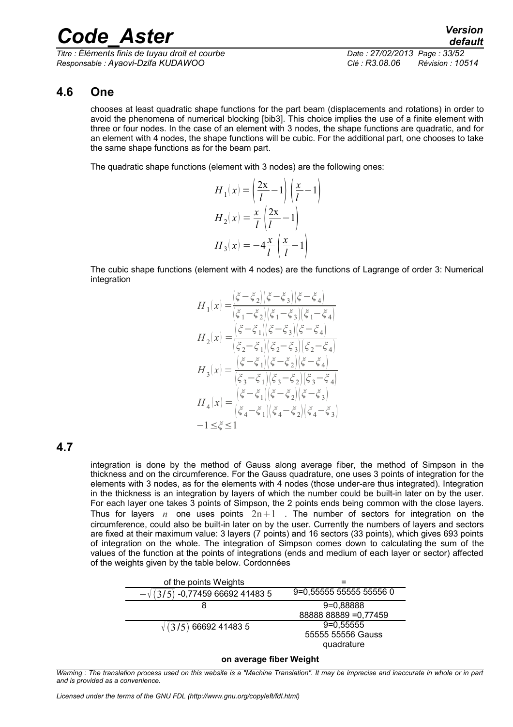*Titre : Éléments finis de tuyau droit et courbe Date : 27/02/2013 Page : 33/52 Responsable : Ayaovi-Dzifa KUDAWOO Clé : R3.08.06 Révision : 10514*

### **4.6 One**

chooses at least quadratic shape functions for the part beam (displacements and rotations) in order to avoid the phenomena of numerical blocking [bib3]. This choice implies the use of a finite element with three or four nodes. In the case of an element with 3 nodes, the shape functions are quadratic, and for an element with 4 nodes, the shape functions will be cubic. For the additional part, one chooses to take the same shape functions as for the beam part.

The quadratic shape functions (element with 3 nodes) are the following ones:

$$
H_1(x) = \left(\frac{2x}{l} - 1\right) \left(\frac{x}{l} - 1\right)
$$

$$
H_2(x) = \frac{x}{l} \left(\frac{2x}{l} - 1\right)
$$

$$
H_3(x) = -4\frac{x}{l} \left(\frac{x}{l} - 1\right)
$$

The cubic shape functions (element with 4 nodes) are the functions of Lagrange of order 3: Numerical integration

$$
\begin{split} H_1(x) = & \frac{\left(\xi - \xi_2\right)\left(\xi - \xi_3\right)\left(\xi - \xi_4\right)}{\left(\xi_1 - \xi_2\right)\left(\xi_1 - \xi_3\right)\left(\xi_1 - \xi_4\right)}\\ H_2(x) = & \frac{\left(\xi - \xi_1\right)\left(\xi - \xi_3\right)\left(\xi - \xi_4\right)}{\left(\xi_2 - \xi_1\right)\left(\xi_2 - \xi_3\right)\left(\xi_2 - \xi_4\right)}\\ H_3(x) = & \frac{\left(\xi - \xi_1\right)\left(\xi - \xi_2\right)\left(\xi - \xi_4\right)}{\left(\xi_3 - \xi_1\right)\left(\xi_3 - \xi_2\right)\left(\xi_3 - \xi_4\right)}\\ H_4(x) = & \frac{\left(\xi - \xi_1\right)\left(\xi - \xi_2\right)\left(\xi - \xi_3\right)}{\left(\xi_4 - \xi_1\right)\left(\xi_4 - \xi_2\right)\left(\xi_4 - \xi_3\right)}\\ -1 \leq \xi \leq 1 \end{split}
$$

#### **4.7**

integration is done by the method of Gauss along average fiber, the method of Simpson in the thickness and on the circumference. For the Gauss quadrature, one uses 3 points of integration for the elements with 3 nodes, as for the elements with 4 nodes (those under-are thus integrated). Integration in the thickness is an integration by layers of which the number could be built-in later on by the user. For each layer one takes 3 points of Simpson, the 2 points ends being common with the close layers. Thus for layers  $n$  one uses points  $2n+1$ . The number of sectors for integration on the circumference, could also be built-in later on by the user. Currently the numbers of layers and sectors are fixed at their maximum value: 3 layers (7 points) and 16 sectors (33 points), which gives 693 points of integration on the whole. The integration of Simpson comes down to calculating the sum of the values of the function at the points of integrations (ends and medium of each layer or sector) affected of the weights given by the table below. Cordonnées

| of the points Weights        |                                                |
|------------------------------|------------------------------------------------|
| -0,77459 66692 41483 5       | 9=0.55555 55555 55556 0                        |
| 8                            | 9=0,88888                                      |
|                              | 88888 88889 = 0,77459                          |
| $\sqrt{(3/5)}$ 66692 41483 5 | $9=0,55555$<br>55555 55556 Gauss<br>quadrature |
|                              |                                                |

#### **on average fiber Weight**

*Licensed under the terms of the GNU FDL (http://www.gnu.org/copyleft/fdl.html)*

*Warning : The translation process used on this website is a "Machine Translation". It may be imprecise and inaccurate in whole or in part and is provided as a convenience.*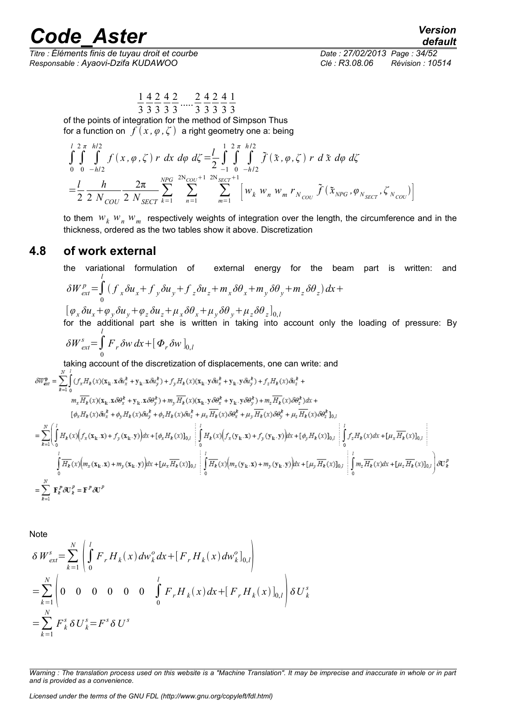$\overline{T}$ itre : Éléments finis de tuyau droit et courbe *Responsable : Ayaovi-Dzifa KUDAWOO Clé : R3.08.06 Révision : 10514*

1 3 4 3 2 3 4 3 2 3  $\frac{2}{2}$ 3 4 3 2 3 4 3 1 3

of the points of integration for the method of Simpson Thus for a function on  $f(x, \varphi, \zeta)$  a right geometry one a: being

$$
\int_{0}^{1} \int_{0}^{2\pi} \int_{0}^{h/2} f(x, \varphi, \zeta) r dx d\varphi d\zeta = \frac{1}{2} \int_{-1}^{1} \int_{0}^{2\pi} \int_{-h/2}^{h/2} \tilde{f}(\tilde{x}, \varphi, \zeta) r d\tilde{x} d\varphi d\zeta
$$
  
=  $\frac{1}{2} \frac{h}{2 N_{COU}} \frac{2\pi}{2 N_{SCT}} \sum_{k=1}^{NPG} \sum_{n=1}^{2N_{COU}+1} \sum_{m=1}^{2N_{SCCT}+1} \left[ w_k w_n w_m r_{N_{COU}} \tilde{f}(\tilde{x}_{NPG}, \varphi_{N_{SECT}}, \zeta_{N_{COU}}) \right]$ 

to them  $w_k$   $w_n$   $w_m$  respectively weights of integration over the length, the circumference and in the thickness, ordered as the two tables show it above. Discretization

#### **4.8 of work external**

the variational formulation of external energy for the beam part is written: and  
\n
$$
\delta W_{ext}^{p} = \int_{0}^{l} (f_x \delta u_x + f_y \delta u_y + f_z \delta u_z + m_x \delta \theta_x + m_y \delta \theta_y + m_z \delta \theta_z) dx +
$$
\n
$$
[\varphi_x \delta u_x + \varphi_y \delta u_y + \varphi_z \delta u_z + \mu_x \delta \theta_x + \mu_y \delta \theta_y + \mu_z \delta \theta_z]_{0,l}
$$
\nfor the additional part she is written in taking into account only the loading of pressure: By

$$
\delta W_{ext}^s = \int_0^l F_r \delta w \, dx + \left[ \Phi_r \delta w \right]_{0,l}
$$

taking account of the discretization of displacements, one can write: and

$$
\delta W_{ext}^{\mathbf{p}} = \sum_{k=1}^{N} \int_{0}^{1} (f_{x}H_{k}(x)(\mathbf{x}_{k}.\mathbf{x}\delta u_{x}^{k} + \mathbf{y}_{k}.\mathbf{x}\delta u_{y}^{k}) + f_{y}H_{k}(x)(\mathbf{x}_{k}.\mathbf{y}\delta u_{x}^{k} + \mathbf{y}_{k}.\mathbf{y}\delta u_{y}^{k}) + f_{z}H_{k}(x)\delta u_{z}^{k} +
$$
\n
$$
m_{x}\overline{H_{k}}(x)(\mathbf{x}_{k}.\mathbf{x}\delta\theta_{x}^{k} + \mathbf{y}_{k}.\mathbf{x}\delta\theta_{y}^{k}) + m_{y}\overline{H_{k}}(x)(\mathbf{x}_{k}.\mathbf{y}\delta\theta_{x}^{k} + \mathbf{y}_{k}.\mathbf{y}\delta\theta_{y}^{k}) + m_{z}\overline{H_{k}}(x)\delta\theta_{z}^{k} \delta u_{x} +
$$
\n
$$
[\phi_{x}H_{k}(x)\delta u_{x}^{k} + \phi_{y}H_{k}(x)\delta u_{y}^{k} + \phi_{z}H_{k}(x)\delta u_{z}^{k} + \mu_{x}\overline{H_{k}}(x)\delta\theta_{x}^{k} + \mu_{y}\overline{H_{k}}(x)\delta\theta_{y}^{k} + \mu_{z}\overline{H_{k}}(x)\delta\theta_{z}^{k} \delta u_{y} +
$$
\n
$$
= \sum_{k=1}^{N} \int_{0}^{1} H_{k}(x) \Big(f_{x}(\mathbf{x}_{k}.\mathbf{x}) + f_{y}(\mathbf{x}_{k}.\mathbf{y})\Big) dx + [\phi_{x}H_{k}(x)]_{0,i} \begin{bmatrix} \int_{0}^{1} H_{k}(x) \Big(f_{x}(\mathbf{y}_{k}.\mathbf{x}) + f_{y}(\mathbf{y}_{k}.\mathbf{y})\Big) dx + [\phi_{y}H_{k}(x)]_{0,i} \\ \int_{0}^{1} \int_{0}^{1} f_{z}H_{k}(x)dx + [\mu_{x}\overline{H_{k}}(x)]_{0,i} \end{bmatrix} d\mathbf{x} + [\mu_{x}\overline{H_{k}}(x)]_{0,i} \begin{bmatrix} \int_{0}^{1} H_{k}(x) \Big(g_{x}(\mathbf{y}_{k}.\mathbf{x}) +
$$

Note

$$
\delta W_{ext}^{s} = \sum_{k=1}^{N} \left( \int_{0}^{l} F_{r} H_{k}(x) dw_{k}^{o} dx + [F_{r} H_{k}(x) dw_{k}^{o}]_{0,l} \right)
$$
  
= 
$$
\sum_{k=1}^{N} \left( 0 \quad 0 \quad 0 \quad 0 \quad 0 \quad 0 \quad \int_{0}^{l} F_{r} H_{k}(x) dx + [F_{r} H_{k}(x)]_{0,l} \right) \delta U_{k}^{s}
$$
  
= 
$$
\sum_{k=1}^{N} F_{k}^{s} \delta U_{k}^{s} = F^{s} \delta U^{s}
$$

*Licensed under the terms of the GNU FDL (http://www.gnu.org/copyleft/fdl.html)*

*Warning : The translation process used on this website is a "Machine Translation". It may be imprecise and inaccurate in whole or in part and is provided as a convenience.*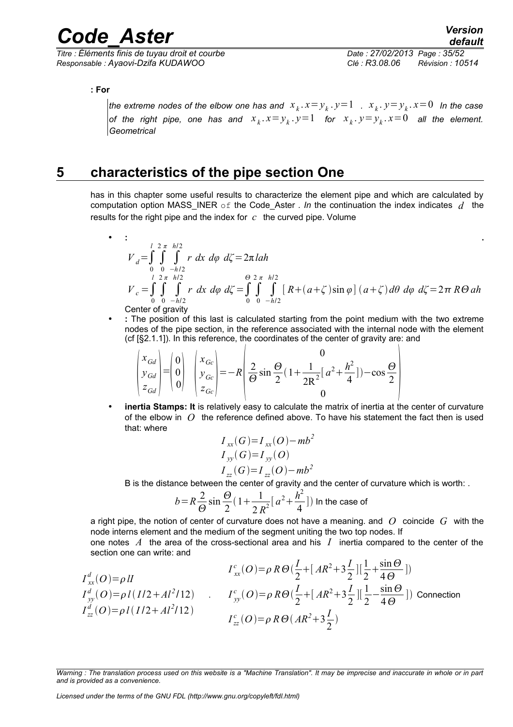*Titre : Éléments finis de tuyau droit et courbe Date : 27/02/2013 Page : 35/52 Responsable : Ayaovi-Dzifa KUDAWOO Clé : R3.08.06 Révision : 10514*

**: For** 

the extreme nodes of the elbow one has and  $\|x_{_k}.\, x\!=\!y_{_k}.\, y\!=\!1\|$  .  $\|x_{_k}.\, y\!=\!y_{_k}.\, x\!=\!0\|$  in the case *of the right pipe, one has and*  $x_k$ *.* $x = y_k$ . $y = 1$  *for*  $x_k$ *.* $y = y_k$ . $x = 0$  *all the element. Geometrical*

### **5 characteristics of the pipe section One**

has in this chapter some useful results to characterize the element pipe and which are calculated by computation option MASS\_INER of the Code\_Aster *. In* the continuation the index indicates *d* the results for the right pipe and the index for  $c$  the curved pipe. Volume

$$
V_{d} = \int_{0}^{1} \int_{0}^{2\pi} \int_{-h/2}^{h/2} r \, dx \, d\varphi \, d\zeta = 2\pi \, lah
$$
  
\n
$$
V_{c} = \int_{0}^{1} \int_{0}^{2\pi} \int_{-h/2}^{h/2} r \, dx \, d\varphi \, d\zeta = \int_{0}^{\Theta} \int_{0}^{2\pi} \int_{-h/2}^{h/2} \left[ R + (a + \zeta) \sin \varphi \right] (a + \zeta) d\theta \, d\varphi \, d\zeta = 2\pi \, R\Theta \, ah
$$
  
\nCenter of gravity

• **:** The position of this last is calculated starting from the point medium with the two extreme nodes of the pipe section, in the reference associated with the internal node with the element (cf [§2.1.1]). In this reference, the coordinates of the center of gravity are: and

$$
\begin{pmatrix} x_{Gd} \\ y_{Gd} \\ z_{Gd} \end{pmatrix} = \begin{pmatrix} 0 \\ 0 \\ 0 \end{pmatrix} \begin{pmatrix} x_{Gc} \\ y_{Gc} \\ z_{Gc} \end{pmatrix} = -R \begin{pmatrix} 0 \\ \frac{2}{\Theta} \sin \frac{\Theta}{2} (1 + \frac{1}{2R^2} [a^2 + \frac{h^2}{4}]) - \cos \frac{\Theta}{2} \\ 0 \end{pmatrix}
$$

• **inertia Stamps: It** is relatively easy to calculate the matrix of inertia at the center of curvature of the elbow in *O* the reference defined above. To have his statement the fact then is used that: where

$$
I_{xx}(G)=I_{xx}(O)-mb2
$$
  
\n
$$
I_{yy}(G)=I_{yy}(O)
$$
  
\n
$$
I_{zz}(G)=I_{zz}(O)-mb2
$$

B is the distance between the center of gravity and the center of curvature which is worth: .

$$
b = R\frac{2}{\Theta}\sin\frac{\Theta}{2}\left(1 + \frac{1}{2R^2}\left[a^2 + \frac{h^2}{4}\right]\right)
$$
 In the case of

a right pipe, the notion of center of curvature does not have a meaning. and *O* coincide *G* with the node interns element and the medium of the segment uniting the two top nodes. If

one notes *A* the area of the cross-sectional area and his *I* inertia compared to the center of the section one can write: and

$$
I_{xx}^{d}(O) = \rho II
$$
  
\n
$$
I_{xx}^{d}(O) = \rho I(I12 + Al^{2}/12)
$$
  
\n
$$
I_{yy}^{e}(O) = \rho I(I12 + Al^{2}/12)
$$
  
\n
$$
I_{yy}^{e}(O) = \rho R \Theta(\frac{I}{2} + [AR^{2} + 3\frac{I}{2}][\frac{1}{2} - \frac{\sin \Theta}{4\Theta}])
$$
  
\n
$$
I_{zz}^{d}(O) = \rho I(I12 + Al^{2}/12)
$$
  
\n
$$
I_{zz}^{e}(O) = \rho R \Theta(AR^{2} + 3\frac{I}{2})
$$
  
\n
$$
I_{zz}^{e}(O) = \rho R \Theta(AR^{2} + 3\frac{I}{2})
$$

*Warning : The translation process used on this website is a "Machine Translation". It may be imprecise and inaccurate in whole or in part and is provided as a convenience.*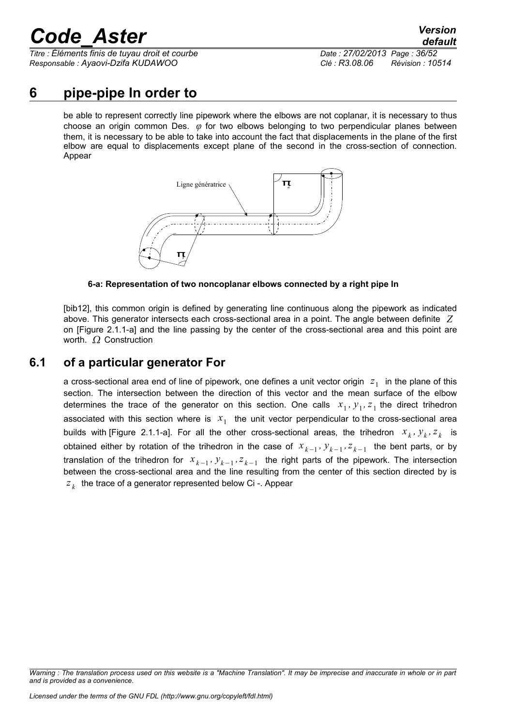*Titre : Éléments finis de tuyau droit et courbe Date : 27/02/2013 Page : 36/52 Responsable : Ayaovi-Dzifa KUDAWOO Clé : R3.08.06 Révision : 10514*

### **6 pipe-pipe In order to**

be able to represent correctly line pipework where the elbows are not coplanar, it is necessary to thus choose an origin common Des. *φ* for two elbows belonging to two perpendicular planes between them, it is necessary to be able to take into account the fact that displacements in the plane of the first elbow are equal to displacements except plane of the second in the cross-section of connection. Appear



**6-a: Representation of two noncoplanar elbows connected by a right pipe In**

[bib12], this common origin is defined by generating line continuous along the pipework as indicated above. This generator intersects each cross-sectional area in a point. The angle between definite *Z* on [Figure 2.1.1-a] and the line passing by the center of the cross-sectional area and this point are worth.  $\Omega$  Construction

### **6.1 of a particular generator For**

a cross-sectional area end of line of pipework, one defines a unit vector origin  $|z_1|$  in the plane of this section. The intersection between the direction of this vector and the mean surface of the elbow determines the trace of the generator on this section. One calls  $x_1, y_1, z_1$  the direct trihedron associated with this section where is  $x_1$  the unit vector perpendicular to the cross-sectional area builds with [Figure 2.1.1-a]. For all the other cross-sectional areas, the trihedron  $x_k$ ,  $y_k$ ,  $z_k$  is obtained either by rotation of the trihedron in the case of  $x_{k-1}, y_{k-1}, z_{k-1}$  the bent parts, or by translation of the trihedron for  $x_{k-1}$ ,  $y_{k-1}$ ,  $z_{k-1}$  the right parts of the pipework. The intersection between the cross-sectional area and the line resulting from the center of this section directed by is *z k* the trace of a generator represented below Ci -. Appear

*Warning : The translation process used on this website is a "Machine Translation". It may be imprecise and inaccurate in whole or in part and is provided as a convenience.*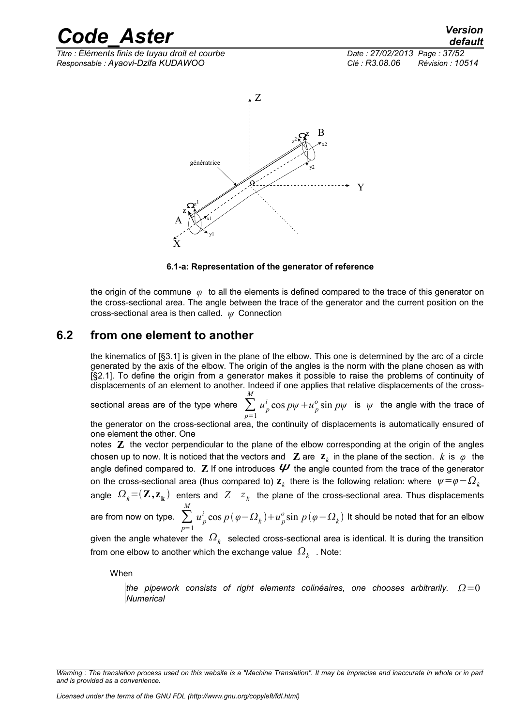*Titre : Éléments finis de tuyau droit et courbe Date : 27/02/2013 Page : 37/52 Responsable : Ayaovi-Dzifa KUDAWOO Clé : R3.08.06 Révision : 10514*



#### **6.1-a: Representation of the generator of reference**

the origin of the commune *φ* to all the elements is defined compared to the trace of this generator on the cross-sectional area. The angle between the trace of the generator and the current position on the cross-sectional area is then called. *ψ* Connection

#### **6.2 from one element to another**

the kinematics of [§3.1] is given in the plane of the elbow. This one is determined by the arc of a circle generated by the axis of the elbow. The origin of the angles is the norm with the plane chosen as with [§2.1]. To define the origin from a generator makes it possible to raise the problems of continuity of displacements of an element to another. Indeed if one applies that relative displacements of the cross-

sectional areas are of the type where  $\sum_{p=1}$ *M u p*  $\int_{p}^{i}$  cos  $p\psi + u_p^o$  $\frac{\partial}{\partial p}$  sin  $p\psi$  is  $\psi$  the angle with the trace of

the generator on the cross-sectional area, the continuity of displacements is automatically ensured of one element the other. One

notes **Z** the vector perpendicular to the plane of the elbow corresponding at the origin of the angles chosen up to now. It is noticed that the vectors and  $\mathbf{Z}$  are  $\mathbf{z}_k$  in the plane of the section.  $k$  is  $\varphi$  the angle defined compared to.  $\mathbb Z$  If one introduces  $\mathcal V$  the angle counted from the trace of the generator on the cross-sectional area (thus compared to)  $\mathbf{z}_k$  there is the following relation: where  $\,\psi\!=\!\varphi\!-\!\varOmega_k\,$ 

angle  $\,\varOmega_k^{}\!=\!(\bm{Z},\bm{z}_\bm{k}^{})\,$  enters and  $\,\overline{Z}-z_k^{}\,$  the plane of the cross-sectional area. Thus displacements *M*

are from now on type.  $\sum\limits_{p=1}$ *u p*  $\int_{p}^{i}$  cos  $p(\varphi - \Omega_k) + u_p^o$  $\frac{\partial}{\partial \rho} \sin \, p \, (\varphi \! - \! \varOmega_k)$  It should be noted that for an elbow

given the angle whatever the  $\,\varOmega_{_k}\,$  selected cross-sectional area is identical. It is during the transition from one elbow to another which the exchange value  $\left\vert \mathcal{Q}_{\mathcal{k}}\right\vert$  . Note:

When

*the pipework consists of right elements colinéaires, one chooses arbitrarily.*  $\Omega=0$ *Numerical*

*Warning : The translation process used on this website is a "Machine Translation". It may be imprecise and inaccurate in whole or in part and is provided as a convenience.*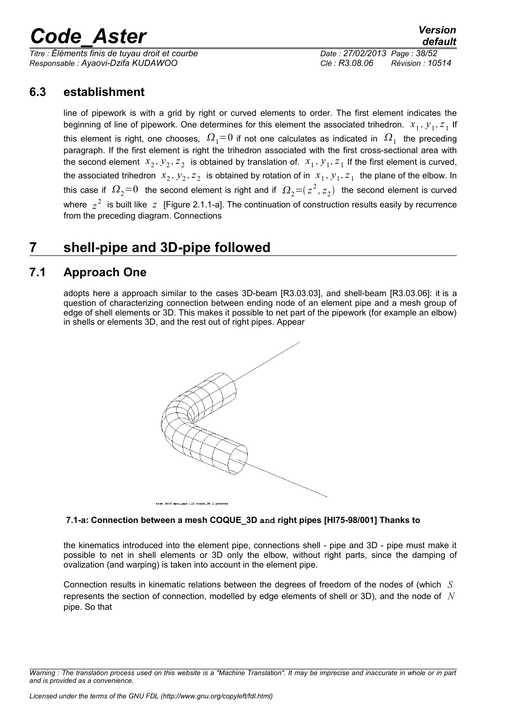*Titre : Éléments finis de tuyau droit et courbe Date : 27/02/2013 Page : 38/52 Responsable : Ayaovi-Dzifa KUDAWOO Clé : R3.08.06 Révision : 10514*

### **6.3 establishment**

line of pipework is with a grid by right or curved elements to order. The first element indicates the beginning of line of pipework. One determines for this element the associated trihedron.  $x_1$ ,  $y_1$ ,  $z_1$  If this element is right, one chooses,  $\,\varOmega_{\rm 1}{=}0$  if not one calculates as indicated in  $\,\varOmega_{\rm 1}\,$  the preceding paragraph. If the first element is right the trihedron associated with the first cross-sectional area with the second element  $x_2, y_2, z_2$  is obtained by translation of.  $x_1, y_1, z_1$  If the first element is curved, the associated trihedron  $x_2$ ,  $y_2$ ,  $z_2$  is obtained by rotation of in  $x_1$ ,  $y_1$ ,  $z_1$  the plane of the elbow. In this case if  $\,\varOmega_2^{}\text{=}0\,$  the second element is right and if  $\,\varOmega_2^{}\text{=}$  ( $z^{\,2}$ ,  $z_2^{}$ ) the second element is curved where  $z^2$  is built like  $z$  [Figure 2.1.1-a]. The continuation of construction results easily by recurrence from the preceding diagram. Connections

### **7 shell-pipe and 3D-pipe followed**

### **7.1 Approach One**

adopts here a approach similar to the cases 3D-beam [R3.03.03], and shell-beam [R3.03.06]: it is a question of characterizing connection between ending node of an element pipe and a mesh group of edge of shell elements or 3D. This makes it possible to net part of the pipework (for example an elbow) in shells or elements 3D, and the rest out of right pipes. Appear



#### **7.1-a: Connection between a mesh COQUE\_3D and right pipes [HI75-98/001] Thanks to**

the kinematics introduced into the element pipe, connections shell - pipe and 3D - pipe must make it possible to net in shell elements or 3D only the elbow, without right parts, since the damping of ovalization (and warping) is taken into account in the element pipe.

Connection results in kinematic relations between the degrees of freedom of the nodes of (which *S* represents the section of connection, modelled by edge elements of shell or 3D), and the node of *N* pipe. So that

*Warning : The translation process used on this website is a "Machine Translation". It may be imprecise and inaccurate in whole or in part and is provided as a convenience.*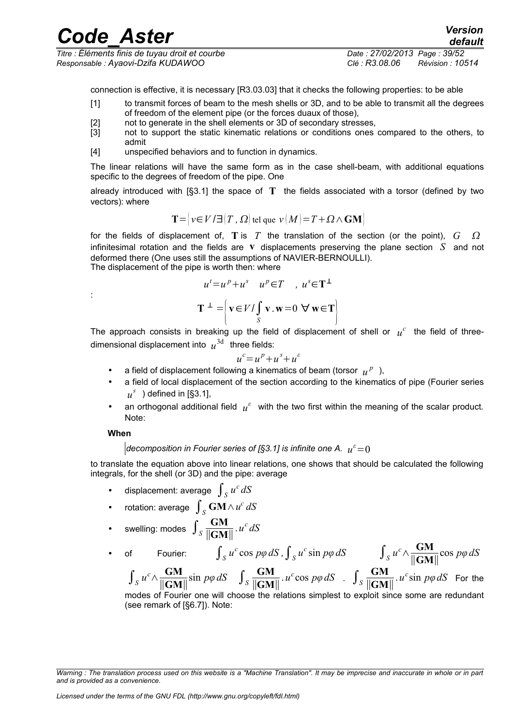| <b>Code Aster</b>                               |                              | <b>Version</b><br>default |
|-------------------------------------------------|------------------------------|---------------------------|
| Titre : Éléments finis de tuyau droit et courbe | Date: 27/02/2013 Page: 39/52 |                           |
| Responsable : Ayaovi-Dzifa KUDAWOO              | Clé : R3.08.06               | Révision : 10514          |

connection is effective, it is necessary [R3.03.03] that it checks the following properties: to be able

- [1] to transmit forces of beam to the mesh shells or 3D, and to be able to transmit all the degrees of freedom of the element pipe (or the forces duaux of those),
- [2] not to generate in the shell elements or 3D of secondary stresses,
- [3] not to support the static kinematic relations or conditions ones compared to the others, to admit
- [4] unspecified behaviors and to function in dynamics.

The linear relations will have the same form as in the case shell-beam, with additional equations specific to the degrees of freedom of the pipe. One

already introduced with [§3.1] the space of **T** the fields associated with a torsor (defined by two vectors): where

$$
T = |v \in V / \exists |T, \Omega| \text{ tel que } v \, |M| = T + \Omega \wedge \text{GM}.
$$

for the fields of displacement of,  $T$  is  $T$  the translation of the section (or the point),  $G \Omega$ infinitesimal rotation and the fields are **v** displacements preserving the plane section *S* and not deformed there (One uses still the assumptions of NAVIER-BERNOULLI). The displacement of the pipe is worth then: where

$$
u^{t} = u^{p} + u^{s} \quad u^{p} \in T \quad , \ u^{s} \in T^{\perp}
$$

$$
T^{\perp} = \left\{ v \in V / \int_{S} v \cdot w = 0 \quad \forall w \in T \right\}
$$

The approach consists in breaking up the field of displacement of shell or  $u^c$  the field of threedimensional displacement into  $u^{3d}$  three fields:

$$
u^c = u^p + u^s + u^s
$$

- a field of displacement following a kinematics of beam (torsor  $u^p$ ),
- a field of local displacement of the section according to the kinematics of pipe (Fourier series  $u^s$ ) defined in [§3.1],
- an orthogonal additional field  $u^{\varepsilon}$  with the two first within the meaning of the scalar product. Note:

#### **When**

:

#### *decomposition in Fourier series of [§3.1] is infinite one A.*  $\,u^{\varepsilon}\!=\!0\,$

to translate the equation above into linear relations, one shows that should be calculated the following integrals, for the shell (or 3D) and the pipe: average

- displacement: average  $\int_S u^c dS$
- rotation: average ∫*<sup>S</sup>* **GM**∧*u c dS*
- swelling: modes  $\int_S \frac{GM}{\parallel GM}$ ∥**GM**∥ .*u c dS*

• of Fourier:  $\int_{S} u^c \cos p\varphi dS$ ,  $\int_{S} u^c \sin p\varphi dS$   $\int_{S} u^c \wedge \frac{GM}{\|\mathbf{GM}\|}$  $\frac{GM}{\|\mathbf{GM}\|}\sin p\varphi dS$   $\int_{S} \frac{GM}{\|\mathbf{GM}\|}$  $\int_{S} u^c \cos p\varphi dS$  .  $\int_{S} \frac{GM}{\|GM\|}$ 

∥**GM**∥ cos *pφ dS*  $u^c$ sin  $p\varphi dS$  For the

 $\int_S u^c \wedge \frac{GM}{\|\mathbf{GM}\|}$ ∥**GM**∥ ∥**GM**∥ modes of Fourier one will choose the relations simplest to exploit since some are redundant (see remark of [§6.7]). Note:

*Warning : The translation process used on this website is a "Machine Translation". It may be imprecise and inaccurate in whole or in part and is provided as a convenience.*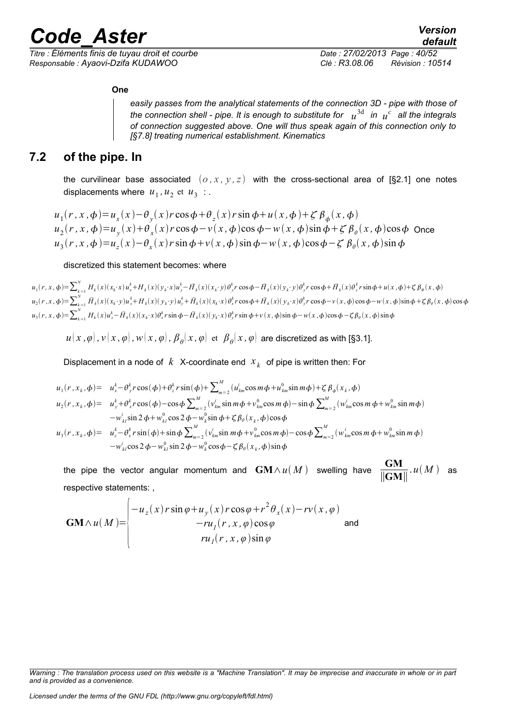*Titre : Éléments finis de tuyau droit et courbe Date : 27/02/2013 Page : 40/52 Responsable : Ayaovi-Dzifa KUDAWOO Clé : R3.08.06 Révision : 10514*

#### **One**

*easily passes from the analytical statements of the connection 3D - pipe with those of* the connection shell - pipe. It is enough to substitute for  $\;u^{3\text{d}}\;$  in  $\;u^c\;$  all the integrals *of connection suggested above. One will thus speak again of this connection only to [§7.8] treating numerical establishment. Kinematics*

### **7.2 of the pipe. In**

the curvilinear base associated  $(o, x, y, z)$  with the cross-sectional area of [§2.1] one notes displacements where  $u_1, u_2$  et  $u_3$ :

$$
u_1(r, x, \phi) = u_x(x) - \theta_y(x) r \cos \phi + \theta_z(x) r \sin \phi + u(x, \phi) + \zeta \beta_\phi(x, \phi)
$$
  
\n
$$
u_2(r, x, \phi) = u_y(x) + \theta_x(x) r \cos \phi - v(x, \phi) \cos \phi - w(x, \phi) \sin \phi + \zeta \beta_\theta(x, \phi) \cos \phi
$$
 Once  
\n
$$
u_3(r, x, \phi) = u_z(x) - \theta_x(x) r \sin \phi + v(x, \phi) \sin \phi - w(x, \phi) \cos \phi - \zeta \beta_\theta(x, \phi) \sin \phi
$$

#### discretized this statement becomes: where

 $u_1(r, x, \phi) = \sum_{k=1}^{N} H_k(x) (x_k \cdot x) u_x^k + H_k(x) (y_k \cdot x) u_y^k - \bar{H}_k(x) (x_k \cdot y) \theta_y^k r \cos \phi - \bar{H}_k(x) (y_k \cdot y) \theta_y^k r \cos \phi + \bar{H}_k(x) \theta_z^k r \sin \phi + u(x, \phi) + \zeta \beta_{\phi}(x, \phi)$  $u_2(r,x,\phi) = \sum_{k=1}^N \bar{H}_k(x)(x_k \cdot y)u_x^k + H_k(x)(y_k \cdot y)u_y^k + \bar{H}_k(x)(x_k \cdot x)\theta_x^k r\cos\phi + \bar{H}_k(x)(y_k \cdot x)\theta_y^k r\cos\phi - v(x,\phi)\cos\phi - w(x,\phi)\sin\phi + \zeta\beta_\theta(x,\phi)\cos\phi$  $u_3(r, x, \phi) = \sum_{k=1}^{N} H_k(x) u_z^k - \bar{H}_k(x) (x_k \cdot x) \theta_x^k r \sin \phi - \bar{H}_k(x) (y_k \cdot x) \theta_y^k r \sin \phi + v(x, \phi) \sin \phi - w(x, \phi) \cos \phi - \zeta \beta_\theta(x, \phi) \sin \phi$ 

 $u(x\,,\varphi)$  ,  $v(x\,,\varphi)$  ,  $w(x\,,\varphi)$  ,  $\pmb{\beta}_\theta(x\,,\varphi)$  et  $\ \pmb{\beta}_\theta(x\,,\varphi)$  are discretized as with [§3.1].

Displacement in a node of  $k$  X-coordinate end  $x_k$  of pipe is written then: For

$$
u_{1}(r, x_{k}, \phi) = u_{x}^{k} - \theta_{y}^{k} r \cos(\phi) + \theta_{z}^{k} r \sin(\phi) + \sum_{m=2}^{M} (u_{km}^{i} \cos m\phi + u_{km}^{0} \sin m\phi) + \zeta \beta_{\phi}(x_{k}, \phi)
$$
  
\n
$$
u_{2}(r, x_{k}, \phi) = u_{y}^{k} + \theta_{x}^{k} r \cos(\phi) - \cos\phi \sum_{m=2}^{M} (v_{km}^{i} \sin m\phi + v_{km}^{0} \cos m\phi) - \sin\phi \sum_{m=2}^{M} (w_{km}^{i} \cos m\phi + w_{km}^{0} \sin m\phi)
$$
  
\n
$$
-w_{kl}^{i} \sin 2\phi + w_{kl}^{0} \cos 2\phi - w_{k}^{0} \sin \phi + \zeta \beta_{\theta}(x_{k}, \phi) \cos \phi
$$
  
\n
$$
u_{3}(r, x_{k}, \phi) = u_{z}^{k} - \theta_{x}^{k} r \sin(\phi) + \sin\phi \sum_{m=2}^{M} (v_{km}^{i} \sin m\phi + v_{km}^{0} \cos m\phi) - \cos\phi \sum_{m=2}^{M} (w_{km}^{i} \cos m\phi + w_{km}^{0} \sin m\phi)
$$
  
\n
$$
-w_{kl}^{i} \cos 2\phi - w_{kl}^{0} \sin 2\phi - w_{k}^{0} \cos \phi - \zeta \beta_{\theta}(x_{k}, \phi) \sin \phi
$$

the pipe the vector angular momentum and  $\mathbf{GM}\wedge u(M)$  swelling have  $\frac{\mathbf{GM}}{11\mathbf{GM}}$ ∥**GM**∥ .  $u(M)$  as respective statements: ,

$$
\mathbf{GM} \wedge u(M) = \begin{vmatrix} -u_z(x) r \sin \varphi + u_y(x) r \cos \varphi + r^2 \theta_x(x) - r v(x, \varphi) \\ -r u_1(r, x, \varphi) \cos \varphi \\ ru_1(r, x, \varphi) \sin \varphi \end{vmatrix}
$$
 and

*Warning : The translation process used on this website is a "Machine Translation". It may be imprecise and inaccurate in whole or in part and is provided as a convenience.*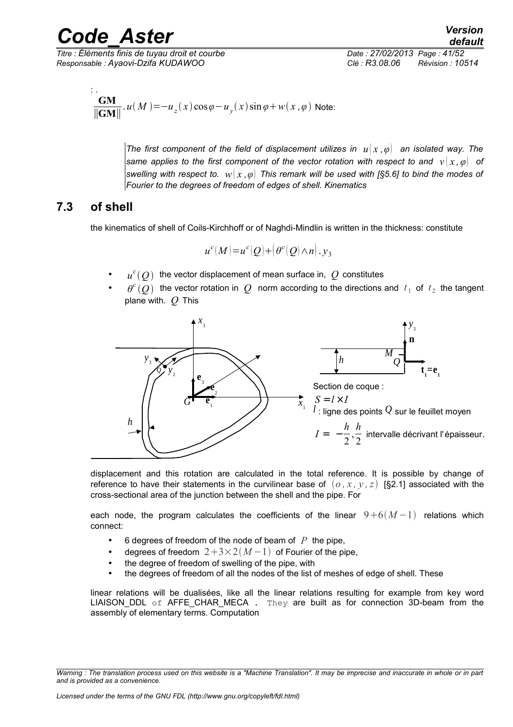*Titre : Éléments finis de tuyau droit et courbe Date : 27/02/2013 Page : 41/52 Responsable : Ayaovi-Dzifa KUDAWOO Clé : R3.08.06 Révision : 10514*

*default*

$$
\frac{GM}{\|\mathbf{GM}\|} \cdot u(M) = -u_z(x) \cos \varphi - u_y(x) \sin \varphi + w(x, \varphi)
$$
 Note:

*The first component of the field of displacement utilizes in*  $u(x, \varphi)$  *an isolated way. The same applies to the first component of the vector rotation with respect to and*  $v(x, \varphi)$  *of swelling with respect to. w x ,φ This remark will be used with [§5.6] to bind the modes of Fourier to the degrees of freedom of edges of shell. Kinematics*

### **7.3 of shell**

the kinematics of shell of Coils-Kirchhoff or of Naghdi-Mindlin is written in the thickness: constitute

$$
u^{c}(M)=u^{c}(Q)+(\theta^{c}(Q)\wedge n).y_{3}
$$

- $u^c(Q)$  the vector displacement of mean surface in,  $Q$  constitutes
- $\theta^c(Q)$  the vector rotation in  $Q$  norm according to the directions and  $t_1$  of  $t_2$  the tangent plane with. *Q* This



displacement and this rotation are calculated in the total reference. It is possible by change of reference to have their statements in the curvilinear base of  $(o, x, y, z)$  [§2.1] associated with the cross-sectional area of the junction between the shell and the pipe. For

each node, the program calculates the coefficients of the linear  $9+6(M-1)$  relations which connect:

- 6 degrees of freedom of the node of beam of  $P$  the pipe,
- degrees of freedom  $2+3\times2(M-1)$  of Fourier of the pipe,
- the degree of freedom of swelling of the pipe, with
- the degrees of freedom of all the nodes of the list of meshes of edge of shell. These

linear relations will be dualisées, like all the linear relations resulting for example from key word LIAISON DDL of AFFE CHAR MECA . They are built as for connection 3D-beam from the assembly of elementary terms. Computation

*Warning : The translation process used on this website is a "Machine Translation". It may be imprecise and inaccurate in whole or in part and is provided as a convenience.*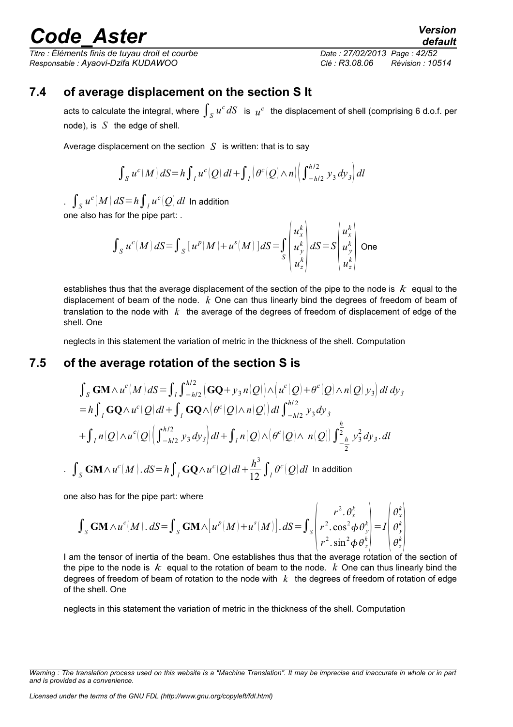*Titre : Éléments finis de tuyau droit et courbe Date : 27/02/2013 Page : 42/52 Responsable : Ayaovi-Dzifa KUDAWOO Clé : R3.08.06 Révision : 10514*

*default*

### **7.4 of average displacement on the section S It**

acts to calculate the integral, where  $\int_S u^c \,dS$  is  $\vert u^c\vert$  the displacement of shell (comprising 6 d.o.f. per node), is *S* the edge of shell.

Average displacement on the section  $S$  is written: that is to say

 $\int_S u^c(M) dS = h \int_I u^c(Q) dI + \int_I \left( \theta^c(Q) \wedge n \right) \left( \int_{-h/2}^{h/2} y_3 dy_3 \right) dl$ 

.  $\int_S u^c(M) \, dS = h \int_I u^c(Q) \, dl$  In addition one also has for the pipe part: .

$$
\int_{S} u^{c}(M) dS = \int_{S} [u^{p}(M) + u^{s}(M)] dS = \int_{S} \begin{pmatrix} u_{x}^{k} \\ u_{y}^{k} \\ u_{z}^{k} \end{pmatrix} dS = S \begin{pmatrix} u_{x}^{k} \\ u_{y}^{k} \\ u_{z}^{k} \end{pmatrix}
$$
 One

establishes thus that the average displacement of the section of the pipe to the node is *k* equal to the displacement of beam of the node. *k* One can thus linearly bind the degrees of freedom of beam of translation to the node with *k* the average of the degrees of freedom of displacement of edge of the shell. One

neglects in this statement the variation of metric in the thickness of the shell. Computation

### **7.5 of the average rotation of the section S is**

$$
\int_{S} \mathbf{GM} \wedge u^{c} (M) dS = \int_{l} \int_{-h/2}^{h/2} \left( \mathbf{GQ} + y_{3} n(Q) \right) \wedge \left( u^{c} (Q) + \theta^{c} (Q) \wedge n(Q) y_{3} \right) dI dy_{3}
$$
  
\n
$$
= h \int_{l} \mathbf{GQ} \wedge u^{c} (Q) dI + \int_{l} \mathbf{GQ} \wedge \left( \theta^{c} (Q) \wedge n(Q) \right) dI \int_{-h/2}^{h/2} y_{3} dy_{3}
$$
  
\n
$$
+ \int_{l} n(Q) \wedge u^{c} (Q) \left( \int_{-h/2}^{h/2} y_{3} dy_{3} \right) dI + \int_{l} n(Q) \wedge \left( \theta^{c} (Q) \wedge n(Q) \right) \int_{-\frac{h}{2}}^{\frac{h}{2}} y_{3}^{2} dy_{3} dI
$$
  
\n
$$
\int_{S} \mathbf{GM} \wedge u^{c} (M) dS = h \int_{l} \mathbf{GQ} \wedge u^{c} (Q) dI + \frac{h^{3}}{12} \int_{l} \theta^{c} (Q) dI
$$
 In addition

one also has for the pipe part: where

$$
\int_{S} \mathbf{GM} \wedge u^{c}(M) \cdot dS = \int_{S} \mathbf{GM} \wedge [u^{p}(M) + u^{s}(M)] \cdot dS = \int_{S} \left( \frac{r^{2} \cdot \theta_{x}^{k}}{r^{2} \cdot \cos^{2} \phi \theta_{y}^{k}} \right) = I \left( \frac{\theta_{x}^{k}}{\theta_{y}^{k}} \right)
$$

I am the tensor of inertia of the beam. One establishes thus that the average rotation of the section of the pipe to the node is *k* equal to the rotation of beam to the node. *k* One can thus linearly bind the degrees of freedom of beam of rotation to the node with *k* the degrees of freedom of rotation of edge of the shell. One

neglects in this statement the variation of metric in the thickness of the shell. Computation

*Warning : The translation process used on this website is a "Machine Translation". It may be imprecise and inaccurate in whole or in part and is provided as a convenience.*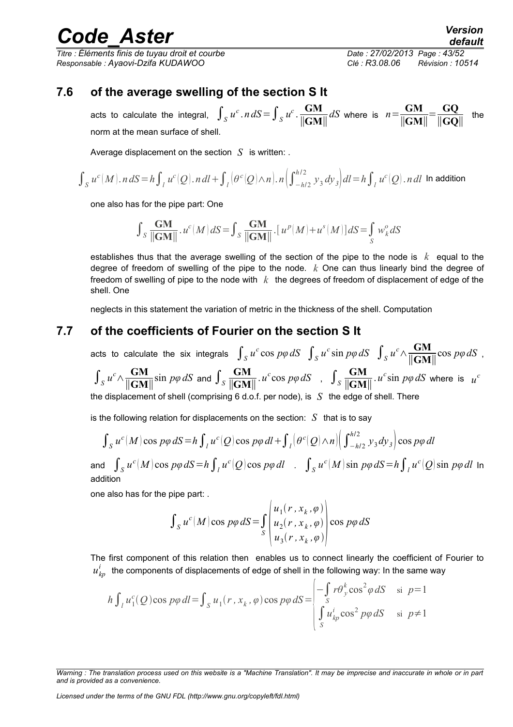*Titre : Éléments finis de tuyau droit et courbe Date : 27/02/2013 Page : 43/52 Responsable : Ayaovi-Dzifa KUDAWOO Clé : R3.08.06 Révision : 10514*

### **7.6 of the average swelling of the section S It**

acts to calculate the integral,  $\int_S u^c$ .  $n dS = \int_S u^c$ .  $\frac{GM}{\|GM}$ ∥**GM**∥  $dS$  where is  $n = \frac{GM}{dS}$ ∥**GM**∥  $=\frac{GQ}{1/GQ}$  $\frac{GQ}{\|GQ\|}$  the norm at the mean surface of shell.

Average displacement on the section *S* is written: .

$$
\int_{S} u^{c}(M) \cdot n \, dS = h \int_{I} u^{c}(Q) \cdot n \, dl + \int_{I} \left( \theta^{c}(Q) \wedge n \right) \cdot n \left( \int_{-h/2}^{h/2} y_{3} \, dy_{3} \right) dl = h \int_{I} u^{c}(Q) \cdot n \, dl
$$
 In addition

one also has for the pipe part: One

$$
\int_S \frac{\textbf{GM}}{\|\textbf{GM}\|} \cdot u^c(M) \, dS = \int_S \frac{\textbf{GM}}{\|\textbf{GM}\|} \cdot \big[ \, u^p(M) + u^s(M) \big] \, dS = \int_S w_k^o \, dS
$$

establishes thus that the average swelling of the section of the pipe to the node is *k* equal to the degree of freedom of swelling of the pipe to the node. *k* One can thus linearly bind the degree of freedom of swelling of pipe to the node with *k* the degrees of freedom of displacement of edge of the shell. One

neglects in this statement the variation of metric in the thickness of the shell. Computation

#### **7.7 of the coefficients of Fourier on the section S It**

acts to calculate the six integrals  $\int_S u^c \cos p\varphi \, dS$   $\int_S u^c \sin p\varphi \, dS$   $\int_S u^c \wedge \frac{GM}{\|GM}$ ∥**GM**∥ cos *pφdS* ,  $\int_S u^c \wedge \frac{GM}{\|\mathbf{GM}\|}$  $\frac{GM}{\|\mathbf{GM}\|}$ sin  $p\varphi dS$  and  $\int_S \frac{GM}{\|\mathbf{GM}\|}$ ∥**GM**∥  $\int u^c \cos p\varphi \, dS$ ,  $\int_S \frac{GM}{\|GM|}$ ∥**GM**∥  $u^c$ sin  $p\varphi dS$  where is  $u^c$ the displacement of shell (comprising 6 d.o.f. per node), is *S* the edge of shell. There

is the following relation for displacements on the section:  $S$  that is to say

$$
\int_{S} u^{c}(M) \cos p\varphi \, dS = h \int_{I} u^{c}(Q) \cos p\varphi \, dl + \int_{I} \left| \theta^{c}(Q) \wedge n \right| \left( \int_{-h/2}^{h/2} y_{3} dy_{3} \right) \cos p\varphi \, dl
$$

and  $\int_S u^c(M) \cos\,p\varphi\,dS\!=\!h\int_{|I} u^c(Q) \cos\,p\varphi\,dl$  .  $\int_S u^c(M) \sin\,p\varphi\,dS\!=\!h\int_{|I} u^c(Q) \sin\,p\varphi\,dl$  In addition

one also has for the pipe part: .

$$
\int_{S} u^{c}(M) \cos p\varphi \, dS = \int_{S} \left( \frac{u_{1}(r, x_{k}, \varphi)}{u_{2}(r, x_{k}, \varphi)} \right) \cos p\varphi \, dS
$$

The first component of this relation then enables us to connect linearly the coefficient of Fourier to  $u_{\mathit{kp}}^i$  the components of displacements of edge of shell in the following way: In the same way

$$
h \int_{l} u_1^c(Q) \cos p\varphi \, dl = \int_{S} u_1(r, x_k, \varphi) \cos p\varphi \, dS = \begin{vmatrix} -\int_{S} r \theta_y^k \cos^2 \varphi \, dS & \text{si } p=1\\ S & u_{kp}^i \cos^2 p\varphi \, dS & \text{si } p \neq 1 \end{vmatrix}
$$

*Licensed under the terms of the GNU FDL (http://www.gnu.org/copyleft/fdl.html)*

*Warning : The translation process used on this website is a "Machine Translation". It may be imprecise and inaccurate in whole or in part and is provided as a convenience.*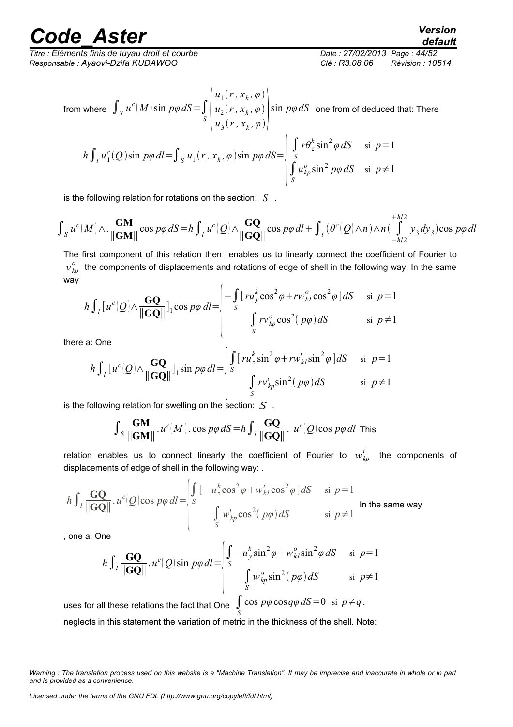*Titre : Éléments finis de tuyau droit et courbe Date : 27/02/2013 Page : 44/52 Responsable : Ayaovi-Dzifa KUDAWOO Clé : R3.08.06 Révision : 10514*

from where 
$$
\int_{S} u^{c}(M) \sin p\varphi dS = \int_{S} \begin{pmatrix} u_{1}(r, x_{k}, \varphi) \\ u_{2}(r, x_{k}, \varphi) \\ u_{3}(r, x_{k}, \varphi) \end{pmatrix} \sin p\varphi dS
$$
 one from of deduced that: There  
\n
$$
h \int_{I} u_{1}^{c}(Q) \sin p\varphi dI = \int_{S} u_{1}(r, x_{k}, \varphi) \sin p\varphi dS = \begin{pmatrix} \int_{S} r\theta_{z}^{k} \sin^{2} \varphi dS & \text{si } p=1 \\ \int_{S} u_{kp}^{o} \sin^{2} p\varphi dS & \text{si } p \neq 1 \end{pmatrix}
$$

is the following relation for rotations on the section: *S* .

$$
\int_{S} u^{c}(M) \wedge \frac{GM}{\|\mathbf{GM}\|} \cos p\varphi \, dS = h \int_{I} u^{c}(Q) \wedge \frac{GQ}{\|\mathbf{G}Q\|} \cos p\varphi \, dl + \int_{I} (\theta^{c}(Q) \wedge n) \wedge n \left(\int_{-h/2}^{h/2} y_{3} dy_{3}\right) \cos p\varphi \, dl
$$

The first component of this relation then enables us to linearly connect the coefficient of Fourier to  $v^o_{\,kp}$  the components of displacements and rotations of edge of shell in the following way: In the same way

$$
h \int_{l} [u^{c}(Q) \wedge \frac{GQ}{\|GQ\|}]_{1} \cos p\varphi \, dl = \begin{vmatrix} -\int_{S} [r u_{y}^{k} \cos^{2} \varphi + r w_{kl}^{o} \cos^{2} \varphi] dS & \text{si } p=1\\ \int_{S} r v_{kp}^{o} \cos^{2} (p\varphi) dS & \text{si } p \neq 1 \end{vmatrix}
$$

there a: One

$$
h \int_{l} [u^{c}(Q) \wedge \frac{GQ}{\|GQ\|}]_{1} \sin p\varphi dl = \begin{vmatrix} \int_{S} [r u_{z}^{k} \sin^{2} \varphi + r w_{kl}^{i} \sin^{2} \varphi] dS & \text{si } p=1 \\ \int_{S} r v_{kp}^{i} \sin^{2} (p\varphi) dS & \text{si } p \neq 1 \end{vmatrix}
$$

 $\overline{1}$ 

is the following relation for swelling on the section: *S* .

 $\overline{1}$ 

$$
\int_{S} \frac{GM}{\|\mathbf{GM}\|} \cdot u^{c}(M) \cdot \cos p\varphi \, dS = h \int_{l} \frac{GQ}{\|\mathbf{G}Q\|} \cdot u^{c}(Q) \cos p\varphi \, dl \text{ This}
$$

relation enables us to connect linearly the coefficient of Fourier to  $w_{kp}^i$  the components of displacements of edge of shell in the following way: .

$$
h \int_{l} \frac{GQ}{\|GQ\|} u^{c}(Q) \cos p\varphi \, dl = \begin{cases} \int_{S} \left[ -u_{z}^{k} \cos^{2} \varphi + w_{kl}^{i} \cos^{2} \varphi \right] dS & \text{si } p=1\\ \int_{S} w_{kp}^{i} \cos^{2} (p\varphi) dS & \text{si } p \neq 1 \end{cases}
$$
 \nIn the same way

, one a: One

$$
h \int_{l} \frac{GQ}{\|GQ\|} u^{c}(Q) \sin p\varphi \, dl = \begin{cases} \int_{S} -u_{y}^{k} \sin^{2} \varphi + w_{k}^{o} \sin^{2} \varphi \, dS & \text{si } p=1\\ \int_{S} w_{kp}^{o} \sin^{2} (p\varphi) \, dS & \text{si } p \neq 1 \end{cases}
$$

uses for all these relations the fact that One  $\int\limits_S$  $\cos p\varphi \cos q\varphi dS = 0 \text{ si } p \neq q.$ neglects in this statement the variation of metric in the thickness of the shell. Note: *default*

*Warning : The translation process used on this website is a "Machine Translation". It may be imprecise and inaccurate in whole or in part and is provided as a convenience.*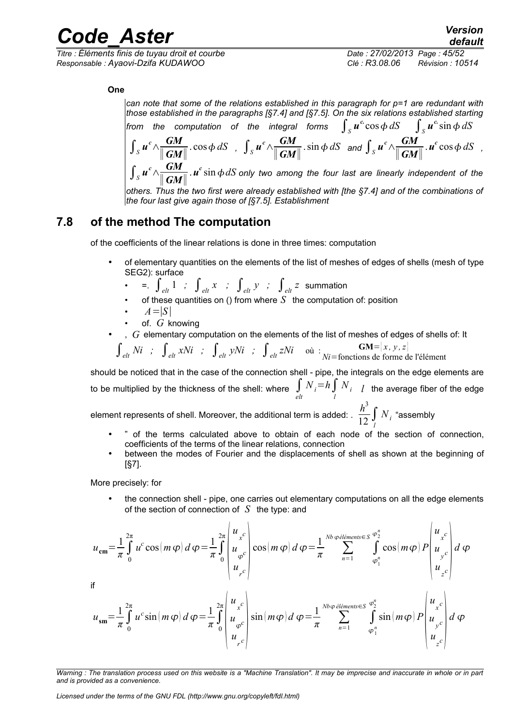*Titre : Éléments finis de tuyau droit et courbe Date : 27/02/2013 Page : 45/52 Responsable : Ayaovi-Dzifa KUDAWOO Clé : R3.08.06 Révision : 10514*

#### **One**

*can note that some of the relations established in this paragraph for p=1 are redundant with those established in the paragraphs [§7.4] and [§7.5]. On the six relations established starting* from the computation of the integral forms  $\int_S \bm{u}^c \cos \phi \, dS - \int_S \bm{u}^c \sin \phi \, dS$  $\int_S u^c \wedge \frac{GM}{\|GM}$  $\frac{GM}{\parallel GM \parallel} \cdot \cos \phi \, dS$ ,  $\int_S u^c \wedge \frac{GM}{\parallel GM \parallel}$  $\frac{GM}{\parallel GM \parallel}$   $\cdot \sin \phi \ dS$  and  $\int_S u^c \wedge \frac{GM}{\parallel GM \parallel}$ ∥ *GM*∥  $\mu^c \cos \phi \, dS$ ,

 $\int_S u^c \wedge \frac{GM}{\|GM}$ ∥ *GM*∥  $\mathbf{a} \cdot \mathbf{u}^c \sin \phi \, dS$  only two among the four last are linearly independent of the

*others. Thus the two first were already established with [the §7.4] and of the combinations of the four last give again those of [§7.5]. Establishment*

### **7.8 of the method The computation**

of the coefficients of the linear relations is done in three times: computation

- of elementary quantities on the elements of the list of meshes of edges of shells (mesh of type SEG2): surface
	- $\int_{e^{lt}} \int_{e^{lt}} 1$  *;*  $\int_{e^{lt}} x$  *;*  $\int_{e^{lt}} y$  *;*  $\int_{e^{lt}} z$  summation
	- of these quantities on () from where  $S$  the computation of: position
	- $A = |S|$
	- of. *G* knowing
- , *G* elementary computation on the elements of the list of meshes of edges of shells of: It

$$
\int_{\text{elt}} Ni \quad ; \quad \int_{\text{elt}} xNi \quad ; \quad \int_{\text{elt}} yNi \quad ; \quad \int_{\text{elt}} zNi \quad \text{out} \quad : \quad \frac{GM = [x, y, z]}{Ni = \text{fonctions de forme de l'élément}}
$$

should be noticed that in the case of the connection shell - pipe, the integrals on the edge elements are to be multiplied by the thickness of the shell: where  $\int\limits_{elt} N_{i}$   $=$   $h$   $\int\limits_{l}^{l} N_{i}$   $-l$  the average fiber of the edge

element represents of shell. Moreover, the additional term is added: .  $\frac{h^3}{12} \int\limits_l$  $N$ <sub>*i*</sub> "assembly

- " of the terms calculated above to obtain of each node of the section of connection, coefficients of the terms of the linear relations, connection
- between the modes of Fourier and the displacements of shell as shown at the beginning of [§7].

More precisely: for

• the connection shell - pipe, one carries out elementary computations on all the edge elements of the section of connection of *S* the type: and

$$
u_{\rm cm} = \frac{1}{\pi} \int_{0}^{2\pi} u^{c} \cos(m\,\varphi) \, d\,\varphi = \frac{1}{\pi} \int_{0}^{2\pi} \begin{vmatrix} u_{x}^{c} \\ u_{\varphi}^{c} \\ u_{r}^{c} \end{vmatrix} \cos(m\,\varphi) \, d\,\varphi = \frac{1}{\pi} \int_{\pi}^{Nb} \phi e^{i\theta m_{\text{ements}} \in S} \int_{\varphi_{1}^{n}}^{\varphi_{2}^{n}} \cos(m\,\varphi) \, P \begin{vmatrix} u_{x}^{c} \\ u_{y}^{c} \\ u_{z}^{c} \end{vmatrix} \, d\,\varphi
$$
\nif

\n
$$
u_{\text{sm}} = \frac{1}{\pi} \int_{0}^{2\pi} u^{c} \sin(m\,\varphi) \, d\,\varphi = \frac{1}{\pi} \int_{0}^{2\pi} \begin{vmatrix} u_{x}^{c} \\ u_{\varphi}^{c} \\ u_{\varphi}^{c} \end{vmatrix} \sin(m\,\varphi) \, d\,\varphi = \frac{1}{\pi} \int_{\pi^{2}}^{Nb} \phi e^{i\theta m_{\text{ements}} \in S} \int_{\varphi_{1}^{n}}^{\varphi_{2}^{n}} \sin(m\,\varphi) \, P \begin{vmatrix} u_{x}^{c} \\ u_{y}^{c} \\ u_{y}^{c} \\ u_{z}^{c} \end{vmatrix} \, d\,\varphi
$$

*Warning : The translation process used on this website is a "Machine Translation". It may be imprecise and inaccurate in whole or in part and is provided as a convenience.*

*Licensed under the terms of the GNU FDL (http://www.gnu.org/copyleft/fdl.html)*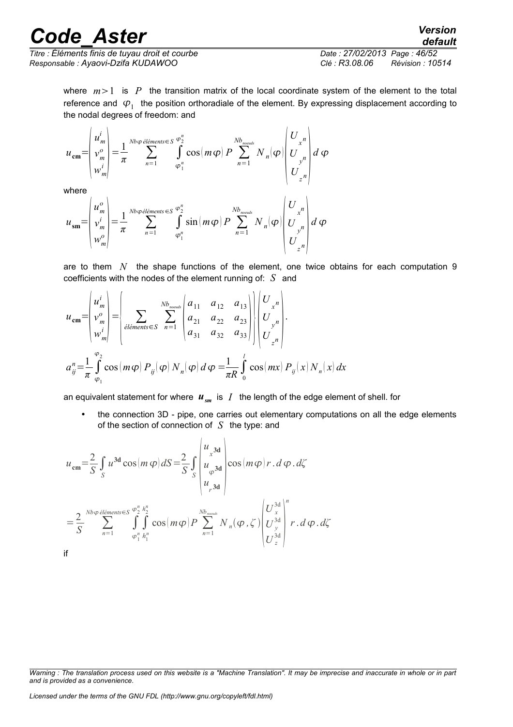*Titre : Éléments finis de tuyau droit et courbe Date : 27/02/2013 Page : 46/52 Responsable : Ayaovi-Dzifa KUDAWOO Clé : R3.08.06 Révision : 10514*

*default*

where  $m>1$  is P the transition matrix of the local coordinate system of the element to the total reference and  $\varphi_1^+$  the position orthoradiale of the element. By expressing displacement according to the nodal degrees of freedom: and

$$
u_{\text{cm}} = \begin{pmatrix} u_m^i \\ v_m^o \\ w_m^i \end{pmatrix} = \frac{1}{\pi} \sum_{n=1}^{Nb\varphi \text{ elements} \in S} \int\limits_{\varphi_1^n}^{\varphi_2^n} \cos(m\varphi) \, P \sum_{n=1}^{Nb_{\text{noeuds}}} N_n(\varphi) \begin{pmatrix} U_{x^n} \\ U_{x^n} \\ U_{y^n} \\ U_{z^n} \end{pmatrix} d\varphi
$$

where

 $\mathbf{r}$ 

 $\sim$ 

$$
u_{\rm sm} = \begin{pmatrix} u_m^o \\ v_m^i \\ w_m^o \end{pmatrix} = \frac{1}{\pi} \sum_{n=1}^{Nb\varphi\acute{e}l\acute{e}ments \in S} \int_{\varphi_1^n}^{\varphi_2^n} \sin\left(m\varphi\right) P \sum_{n=1}^{Nb_{noends}} N_n(\varphi) \begin{pmatrix} U_{x^n} \\ U_{y^n} \\ U_{z^n} \end{pmatrix} d\varphi
$$

are to them *N* the shape functions of the element, one twice obtains for each computation 9 coefficients with the nodes of the element running of: *S* and

 $\mathbf{r}$ 

$$
u_{\text{cm}} = \begin{pmatrix} u_m^i \\ v_m^o \\ w_m^i \end{pmatrix} = \begin{pmatrix} b_{\text{normal}} & b_{\text{normal}} \\ b_{\text{normal}} & b_{\text{normal}} \end{pmatrix} = \begin{pmatrix} b_{\text{normal}} & b_{\text{normal}} \\ b_{\text{normal}} & b_{\text{normal}} \end{pmatrix} \begin{pmatrix} a_{11} & a_{12} & a_{13} \\ a_{21} & a_{22} & a_{23} \\ a_{31} & a_{32} & a_{33} \end{pmatrix} \begin{pmatrix} U_{x^n} \\ U_{y^n} \\ U_{z^n} \end{pmatrix}.
$$
  

$$
a_{ij}^n = \frac{1}{\pi} \int_{\varphi_1}^{\varphi_2} \cos(m\varphi) P_{ij}(\varphi) N_n(\varphi) d\varphi = \frac{1}{\pi R} \int_0^t \cos(mx) P_{ij}(x) N_n(x) dx
$$

an equivalent statement for where  $u_{\rm sm}$  is  $I$  the length of the edge element of shell. for

the connection 3D - pipe, one carries out elementary computations on all the edge elements of the section of connection of *S* the type: and

$$
u_{\rm cm} = \frac{2}{S} \int_{S} u^{3d} \cos(m \varphi) dS = \frac{2}{S} \int_{S} \begin{vmatrix} u_{x}^{3d} \\ u_{\varphi}^{3d} \\ u_{r}^{3d} \end{vmatrix} \cos(m \varphi) r \cdot d \varphi \cdot d\zeta
$$

$$
= \frac{2}{S} \sum_{n=1}^{Nb\varphi \text{ elements}} \sum_{\varphi_{1}^{n}} \int_{h_{1}^{n}}^{h_{2}^{n}} \cos(m \varphi) P \sum_{n=1}^{Nb_{meats}} N_{n}(\varphi, \zeta) \begin{vmatrix} U_{x}^{3d} \\ U_{y}^{3d} \\ U_{z}^{3d} \end{vmatrix}^{n} r \cdot d \varphi \cdot d\zeta
$$
if

*Warning : The translation process used on this website is a "Machine Translation". It may be imprecise and inaccurate in whole or in part and is provided as a convenience.*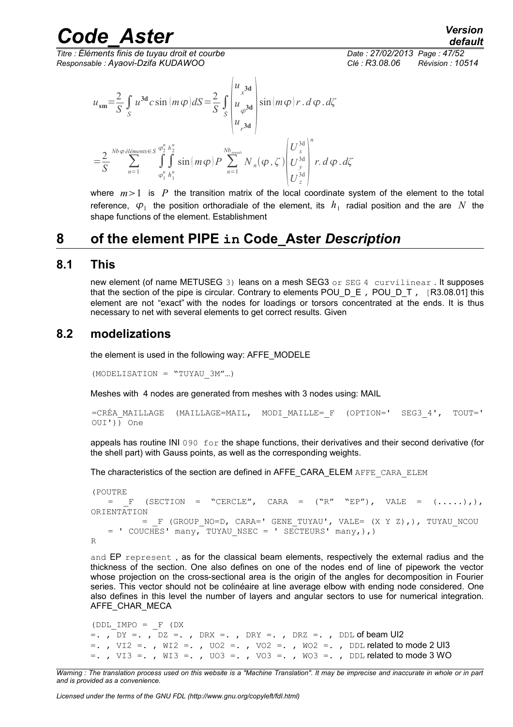*Titre : Éléments finis de tuyau droit et courbe Date : 27/02/2013 Page : 47/52 Responsable : Ayaovi-Dzifa KUDAWOO Clé : R3.08.06 Révision : 10514*

$$
u_{\rm sm} = \frac{2}{S} \int_{S} u^{3d} c \sin(m\varphi) dS = \frac{2}{S} \int_{S} \begin{vmatrix} u_{x}^{3d} \\ u_{\varphi}^{3d} \\ u_{r}^{3d} \end{vmatrix} \sin(m\varphi) r \cdot d\varphi \cdot d\zeta
$$

$$
= \frac{2}{S} \sum_{n=1}^{Nb\varphi \text{ elements}} \sum_{\varphi_{1}^{n}} \int_{\varphi_{1}^{n}}^{\varphi_{2}^{n}} \sin(m\varphi) P \sum_{n=1}^{Nb_{\text{nearest}}} N_{n}(\varphi, \zeta) \begin{vmatrix} U_{x}^{3d} \\ U_{y}^{3d} \\ U_{z}^{3d} \end{vmatrix}^{n} r \cdot d\varphi \cdot d\zeta
$$

where  $m>1$  is *P* the transition matrix of the local coordinate system of the element to the total reference,  $\varphi_1$  the position orthoradiale of the element, its  $\,h_1\,$  radial position and the are  $\,N\,$  the shape functions of the element. Establishment

### **8 of the element PIPE in Code\_Aster** *Description*

#### **8.1 This**

new element (of name METUSEG 3) leans on a mesh SEG3 or SEG 4 curvilinear. It supposes that the section of the pipe is circular. Contrary to elements POU  $D \in I$ , POU  $D \top$ , [R3.08.01] this element are not "exact" with the nodes for loadings or torsors concentrated at the ends. It is thus necessary to net with several elements to get correct results. Given

#### **8.2 modelizations**

the element is used in the following way: AFFE\_MODELE

 $(MODELISATION = "TUYAU 3M"...)$ 

Meshes with 4 nodes are generated from meshes with 3 nodes using: MAIL

```
=CRÉA_MAILLAGE (MAILLAGE=MAIL, MODI_MAILLE=_F (OPTION=' SEG3_4', TOUT='
OUT')) One
```
appeals has routine INI 090  $\epsilon$  for the shape functions, their derivatives and their second derivative (for the shell part) with Gauss points, as well as the corresponding weights.

The characteristics of the section are defined in AFFE\_CARA\_ELEM AFFE\_CARA\_ELEM

```
(POUTRE 
   = F (SECTION = "CERCLE", CARA = ("R" "EP"), VALE = ( \ldots, ),
ORIENTATION
            = _F (GROUP_NO=D, CARA=' GENE_TUYAU', VALE= (X Y Z),), TUYAU_NCOU
   = ' COUCHES' many, TUYAU NSEC = ' SECTEURS' many,),)
R
```
and EP represent , as for the classical beam elements, respectively the external radius and the thickness of the section. One also defines on one of the nodes end of line of pipework the vector whose projection on the cross-sectional area is the origin of the angles for decomposition in Fourier series. This vector should not be colinéaire at line average elbow with ending node considered. One also defines in this level the number of layers and angular sectors to use for numerical integration. AFFE\_CHAR\_MECA

```
(DDL_IMPO = F (DX=., DY =., DZ =., DRX =., DRY =., DRZ =., DDL of beam UI2
=., VI2 =., WI2 =., VO2 =., VO2 =., WO2 =., DDL related to mode 2 UI3
=. , VI3 =. , WI3 =. , VO3 =. , VO3 =. , WO3 =. , DDL related to mode 3 WO
```
*Warning : The translation process used on this website is a "Machine Translation". It may be imprecise and inaccurate in whole or in part and is provided as a convenience.*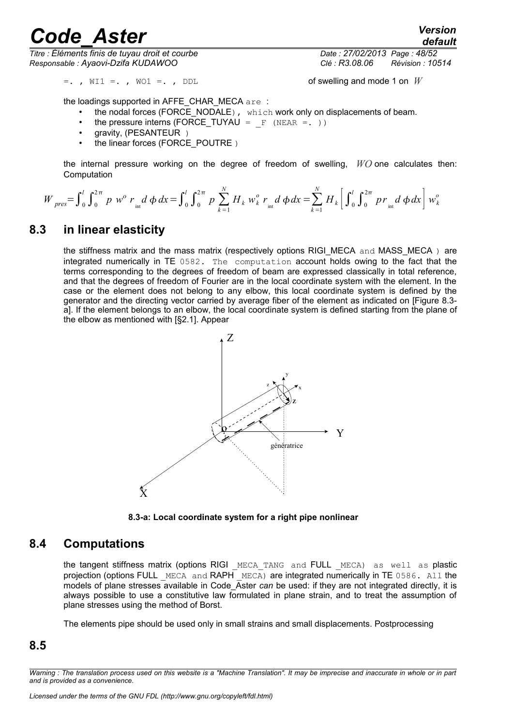*Titre : Éléments finis de tuyau droit et courbe Date : 27/02/2013 Page : 48/52 Responsable : Ayaovi-Dzifa KUDAWOO Clé : R3.08.06 Révision : 10514*

 $=$ . ,  $\forall$ II  $=$ . ,  $\forall$ Ol  $=$ . ,  $\forall$ DDL of swelling and mode 1 on *W* 

the loadings supported in AFFE\_CHAR\_MECA are :

- the nodal forces (FORCE\_NODALE), which work only on displacements of beam.
- the pressure interns (FORCE\_TUYAU =  $_F$  (NEAR =. ))
- gravity, (PESANTEUR )
- the linear forces (FORCE\_POUTRE)

the internal pressure working on the degree of freedom of swelling, *WO* one calculates then: **Computation** 

$$
W_{pres} = \int_{0}^{l} \int_{0}^{2\pi} p w^{o} r_{int} d\phi dx = \int_{0}^{l} \int_{0}^{2\pi} p \sum_{k=1}^{N} H_{k} w_{k}^{o} r_{int} d\phi dx = \sum_{k=1}^{N} H_{k} \left[ \int_{0}^{l} \int_{0}^{2\pi} p r_{int} d\phi dx \right] w_{k}^{o}
$$

#### **8.3 in linear elasticity**

the stiffness matrix and the mass matrix (respectively options RIGI\_MECA and MASS\_MECA) are integrated numerically in TE 0582. The computation account holds owing to the fact that the terms corresponding to the degrees of freedom of beam are expressed classically in total reference, and that the degrees of freedom of Fourier are in the local coordinate system with the element. In the case or the element does not belong to any elbow, this local coordinate system is defined by the generator and the directing vector carried by average fiber of the element as indicated on [Figure 8.3 a]. If the element belongs to an elbow, the local coordinate system is defined starting from the plane of the elbow as mentioned with [§2.1]. Appear



**8.3-a: Local coordinate system for a right pipe nonlinear**

#### **8.4 Computations**

the tangent stiffness matrix (options RIGI MECA TANG and FULL MECA) as well as plastic projection (options FULL MECA and RAPH  $\overline{MECA}$ ) are integrated numerically in TE 0586. All the models of plane stresses available in Code\_Aster *can* be used: if they are not integrated directly, it is always possible to use a constitutive law formulated in plane strain, and to treat the assumption of plane stresses using the method of Borst.

The elements pipe should be used only in small strains and small displacements. Postprocessing

#### **8.5**

*Warning : The translation process used on this website is a "Machine Translation". It may be imprecise and inaccurate in whole or in part and is provided as a convenience.*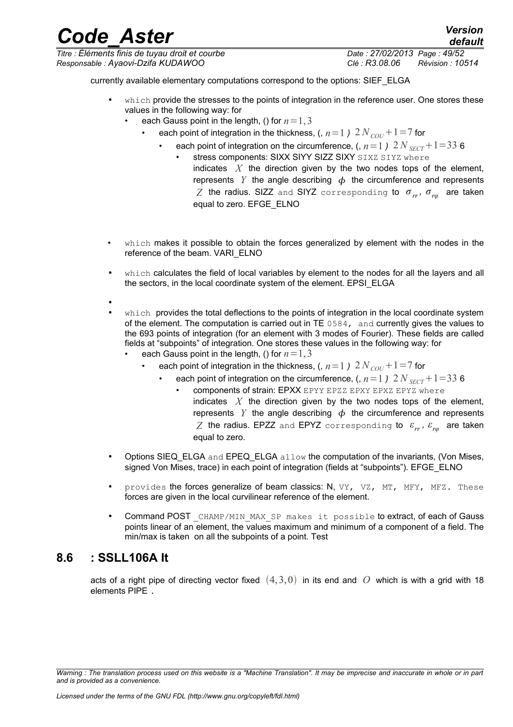### *Code\_Aster Version Titre : Éléments finis de tuyau droit et courbe Date : 27/02/2013 Page : 49/52*

*Responsable : Ayaovi-Dzifa KUDAWOO Clé : R3.08.06 Révision : 10514*

currently available elementary computations correspond to the options: SIEF\_ELGA

- which provide the stresses to the points of integration in the reference user. One stores these values in the following way: for
	- each Gauss point in the length, () for  $n=1,3$ 
		- each point of integration in the thickness,  $(n=1)$   $2N<sub>corr</sub>+1=7$  for
			- each point of integration on the circumference, (,  $n=1$  )  $2 N_{SECT} + 1=33$  6
				- stress components: SIXX SIYY SIZZ SIXY SIXZ SIYZ where indicates *X* the direction given by the two nodes tops of the element, represents *Y* the angle describing  $\phi$  the circumference and represents  $Z$  the radius. SIZZ and SIYZ corresponding to  $\sigma_{rr}^{}$ ,  $\sigma_{r\varphi}^{}$  are taken equal to zero. EFGE\_ELNO
- which makes it possible to obtain the forces generalized by element with the nodes in the reference of the beam. VARI\_ELNO
- which calculates the field of local variables by element to the nodes for all the layers and all the sectors, in the local coordinate system of the element. EPSI\_ELGA
- •
- which provides the total deflections to the points of integration in the local coordinate system of the element. The computation is carried out in TE 0584, and currently gives the values to the 693 points of integration (for an element with 3 modes of Fourier). These fields are called fields at "subpoints" of integration. One stores these values in the following way: for
	- each Gauss point in the length, () for  $n=1,3$ 
		- each point of integration in the thickness, (,  $n=1$  )  $2 N_{\text{COU}} + 1 = 7$  for
			- each point of integration on the circumference, (,  $n=1$  )  $2 N_{SECT} + 1=33$  6 • components of strain: EPXX EPYY EPZZ EPXY EPXZ EPYZ where indicates *X* the direction given by the two nodes tops of the element,
				- represents *Y* the angle describing  $\phi$  the circumference and represents  $Z$  the radius. EPZZ and EPYZ corresponding to  $\varepsilon_{rr}^{}$ ,  $\varepsilon_{r\varphi}^{}$  are taken equal to zero.
- Options SIEQ ELGA and EPEQ ELGA allow the computation of the invariants, (Von Mises, signed Von Mises, trace) in each point of integration (fields at "subpoints"). EFGE\_ELNO
- provides the forces generalize of beam classics: N, VY, VZ, MT, MFY, MFZ. These forces are given in the local curvilinear reference of the element.
- Command POST CHAMP/MIN MAX SP makes it possible to extract, of each of Gauss points linear of an element, the values maximum and minimum of a component of a field. The min/max is taken on all the subpoints of a point. Test

### **8.6 : SSLL106A It**

acts of a right pipe of directing vector fixed  $(4,3,0)$  in its end and O which is with a grid with 18 elements PIPE .

*Warning : The translation process used on this website is a "Machine Translation". It may be imprecise and inaccurate in whole or in part and is provided as a convenience.*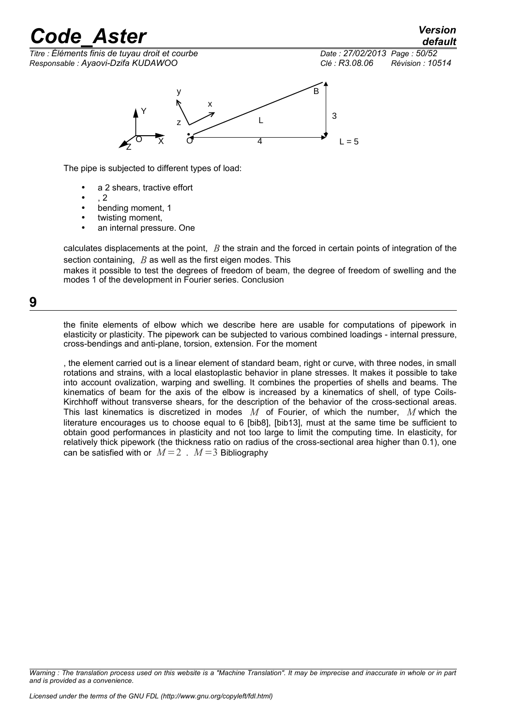*default*

*Titre : Éléments finis de tuyau droit et courbe Date : 27/02/2013 Page : 50/52 Responsable : Ayaovi-Dzifa KUDAWOO Clé : R3.08.06 Révision : 10514*



The pipe is subjected to different types of load:

- a 2 shears, tractive effort
- , 2
- bending moment, 1
- twisting moment,
- an internal pressure. One

calculates displacements at the point, *B* the strain and the forced in certain points of integration of the section containing, *B* as well as the first eigen modes. This

makes it possible to test the degrees of freedom of beam, the degree of freedom of swelling and the modes 1 of the development in Fourier series. Conclusion

#### **9**

the finite elements of elbow which we describe here are usable for computations of pipework in elasticity or plasticity. The pipework can be subjected to various combined loadings - internal pressure, cross-bendings and anti-plane, torsion, extension. For the moment

, the element carried out is a linear element of standard beam, right or curve, with three nodes, in small rotations and strains, with a local elastoplastic behavior in plane stresses. It makes it possible to take into account ovalization, warping and swelling. It combines the properties of shells and beams. The kinematics of beam for the axis of the elbow is increased by a kinematics of shell, of type Coils-Kirchhoff without transverse shears, for the description of the behavior of the cross-sectional areas. This last kinematics is discretized in modes *M* of Fourier, of which the number, *M* which the literature encourages us to choose equal to 6 [bib8], [bib13], must at the same time be sufficient to obtain good performances in plasticity and not too large to limit the computing time. In elasticity, for relatively thick pipework (the thickness ratio on radius of the cross-sectional area higher than 0.1), one can be satisfied with or  $M=2$ .  $M=3$  Bibliography

*Warning : The translation process used on this website is a "Machine Translation". It may be imprecise and inaccurate in whole or in part and is provided as a convenience.*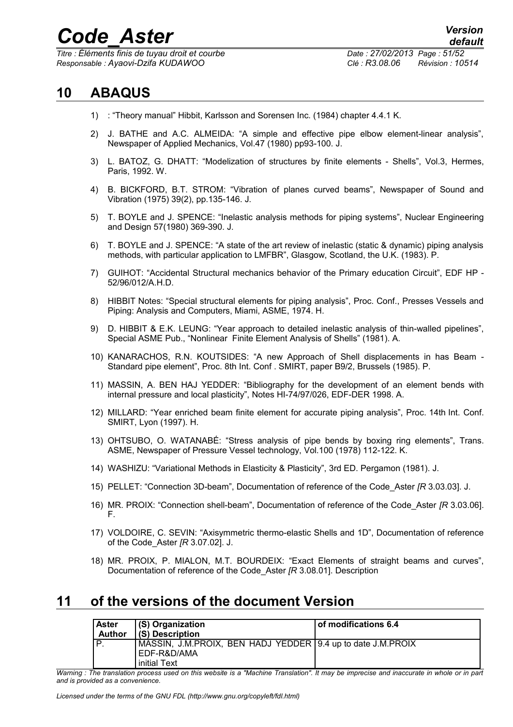*Titre : Éléments finis de tuyau droit et courbe Date : 27/02/2013 Page : 51/52 Responsable : Ayaovi-Dzifa KUDAWOO Clé : R3.08.06 Révision : 10514*

### **10 ABAQUS**

- 1) : "Theory manual" Hibbit, Karlsson and Sorensen Inc. (1984) chapter 4.4.1 K.
- 2) J. BATHE and A.C. ALMEIDA: "A simple and effective pipe elbow element-linear analysis", Newspaper of Applied Mechanics, Vol.47 (1980) pp93-100. J.
- 3) L. BATOZ, G. DHATT: "Modelization of structures by finite elements Shells", Vol.3, Hermes, Paris, 1992. W.
- 4) B. BICKFORD, B.T. STROM: "Vibration of planes curved beams", Newspaper of Sound and Vibration (1975) 39(2), pp.135-146. J.
- 5) T. BOYLE and J. SPENCE: "Inelastic analysis methods for piping systems", Nuclear Engineering and Design 57(1980) 369-390. J.
- 6) T. BOYLE and J. SPENCE: "A state of the art review of inelastic (static & dynamic) piping analysis methods, with particular application to LMFBR", Glasgow, Scotland, the U.K. (1983). P.
- 7) GUIHOT: "Accidental Structural mechanics behavior of the Primary education Circuit", EDF HP 52/96/012/A.H.D.
- 8) HIBBIT Notes: "Special structural elements for piping analysis", Proc. Conf., Presses Vessels and Piping: Analysis and Computers, Miami, ASME, 1974. H.
- 9) D. HIBBIT & E.K. LEUNG: "Year approach to detailed inelastic analysis of thin-walled pipelines", Special ASME Pub., "Nonlinear Finite Element Analysis of Shells" (1981). A.
- 10) KANARACHOS, R.N. KOUTSIDES: "A new Approach of Shell displacements in has Beam Standard pipe element", Proc. 8th Int. Conf . SMIRT, paper B9/2, Brussels (1985). P.
- 11) MASSIN, A. BEN HAJ YEDDER: "Bibliography for the development of an element bends with internal pressure and local plasticity", Notes HI-74/97/026, EDF-DER 1998. A.
- 12) MILLARD: "Year enriched beam finite element for accurate piping analysis", Proc. 14th Int. Conf. SMIRT, Lyon (1997). H.
- 13) OHTSUBO, O. WATANABÉ: "Stress analysis of pipe bends by boxing ring elements", Trans. ASME, Newspaper of Pressure Vessel technology, Vol.100 (1978) 112-122. K.
- 14) WASHIZU: "Variational Methods in Elasticity & Plasticity", 3rd ED. Pergamon (1981). J.
- 15) PELLET: "Connection 3D-beam", Documentation of reference of the Code\_Aster *[R* 3.03.03]. J.
- 16) MR. PROIX: "Connection shell-beam", Documentation of reference of the Code\_Aster *[R* 3.03.06]. F.
- 17) VOLDOIRE, C. SEVIN: "Axisymmetric thermo-elastic Shells and 1D", Documentation of reference of the Code\_Aster *[R* 3.07.02]. J.
- 18) MR. PROIX, P. MIALON, M.T. BOURDEIX: "Exact Elements of straight beams and curves", Documentation of reference of the Code\_Aster *[R* 3.08.01]. Description

### **11 of the versions of the document Version**

| <b>Aster</b><br><b>Author</b> | (S) Organization<br>(S) Description                                        | of modifications 6.4 |
|-------------------------------|----------------------------------------------------------------------------|----------------------|
|                               | MASSIN, J.M.PROIX, BEN HADJ YEDDER 9.4 up to date J.M.PROIX<br>EDF-R&D/AMA |                      |
|                               | initial Text                                                               |                      |

*Warning : The translation process used on this website is a "Machine Translation". It may be imprecise and inaccurate in whole or in part and is provided as a convenience.*